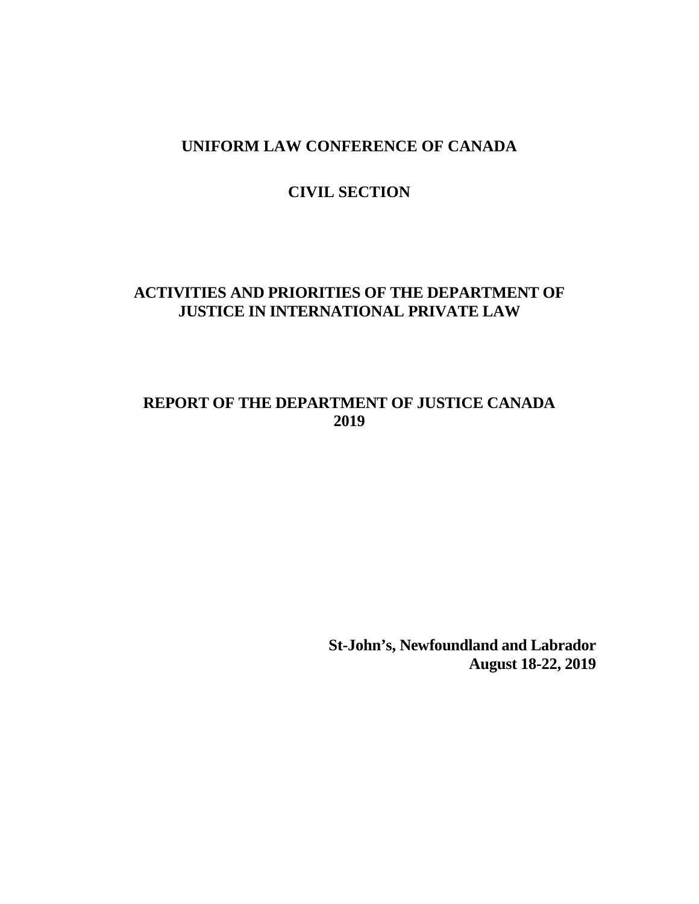# **CIVIL SECTION**

# **ACTIVITIES AND PRIORITIES OF THE DEPARTMENT OF JUSTICE IN INTERNATIONAL PRIVATE LAW**

# **REPORT OF THE DEPARTMENT OF JUSTICE CANADA 2019**

**St-John's, Newfoundland and Labrador August 18-22, 2019**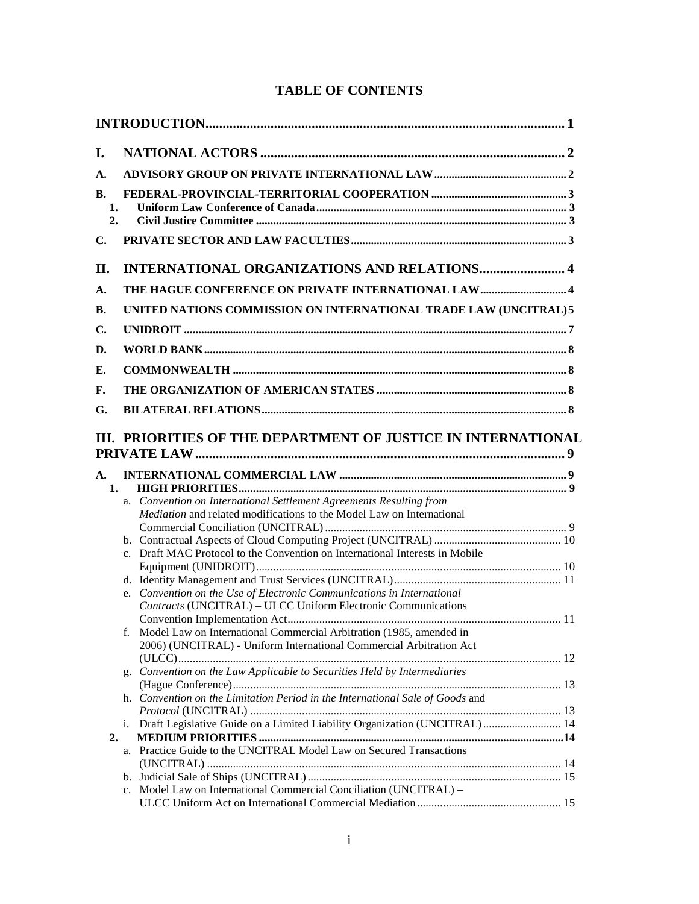| I.                    |    |                                                                                                                                              |  |
|-----------------------|----|----------------------------------------------------------------------------------------------------------------------------------------------|--|
| $\mathbf{A}$ .        |    |                                                                                                                                              |  |
| <b>B.</b><br>1.<br>2. |    |                                                                                                                                              |  |
| $\mathbf{C}$ .        |    |                                                                                                                                              |  |
| II.                   |    | <b>INTERNATIONAL ORGANIZATIONS AND RELATIONS 4</b>                                                                                           |  |
| $\mathbf{A}$ .        |    |                                                                                                                                              |  |
| В.                    |    | UNITED NATIONS COMMISSION ON INTERNATIONAL TRADE LAW (UNCITRAL) 5                                                                            |  |
| C.                    |    |                                                                                                                                              |  |
|                       |    |                                                                                                                                              |  |
| D.                    |    |                                                                                                                                              |  |
| Е.                    |    |                                                                                                                                              |  |
| F.                    |    |                                                                                                                                              |  |
| G.                    |    |                                                                                                                                              |  |
|                       |    | III. PRIORITIES OF THE DEPARTMENT OF JUSTICE IN INTERNATIONAL                                                                                |  |
| $A_{\cdot}$<br>1.     |    |                                                                                                                                              |  |
|                       |    | a. Convention on International Settlement Agreements Resulting from<br>Mediation and related modifications to the Model Law on International |  |
|                       |    |                                                                                                                                              |  |
|                       |    | c. Draft MAC Protocol to the Convention on International Interests in Mobile                                                                 |  |
|                       |    |                                                                                                                                              |  |
|                       |    | e. Convention on the Use of Electronic Communications in International                                                                       |  |
|                       |    | Contracts (UNCITRAL) - ULCC Uniform Electronic Communications                                                                                |  |
|                       |    | Model Law on International Commercial Arbitration (1985, amended in<br>2006) (UNCITRAL) - Uniform International Commercial Arbitration Act   |  |
|                       |    |                                                                                                                                              |  |
|                       |    | g. Convention on the Law Applicable to Securities Held by Intermediaries                                                                     |  |
|                       |    | h. Convention on the Limitation Period in the International Sale of Goods and                                                                |  |
|                       | i. | Draft Legislative Guide on a Limited Liability Organization (UNCITRAL) 14                                                                    |  |
| 2.                    |    |                                                                                                                                              |  |
|                       |    | a. Practice Guide to the UNCITRAL Model Law on Secured Transactions                                                                          |  |
|                       |    |                                                                                                                                              |  |
|                       |    | c. Model Law on International Commercial Conciliation (UNCITRAL) -                                                                           |  |
|                       |    |                                                                                                                                              |  |

## **TABLE OF CONTENTS**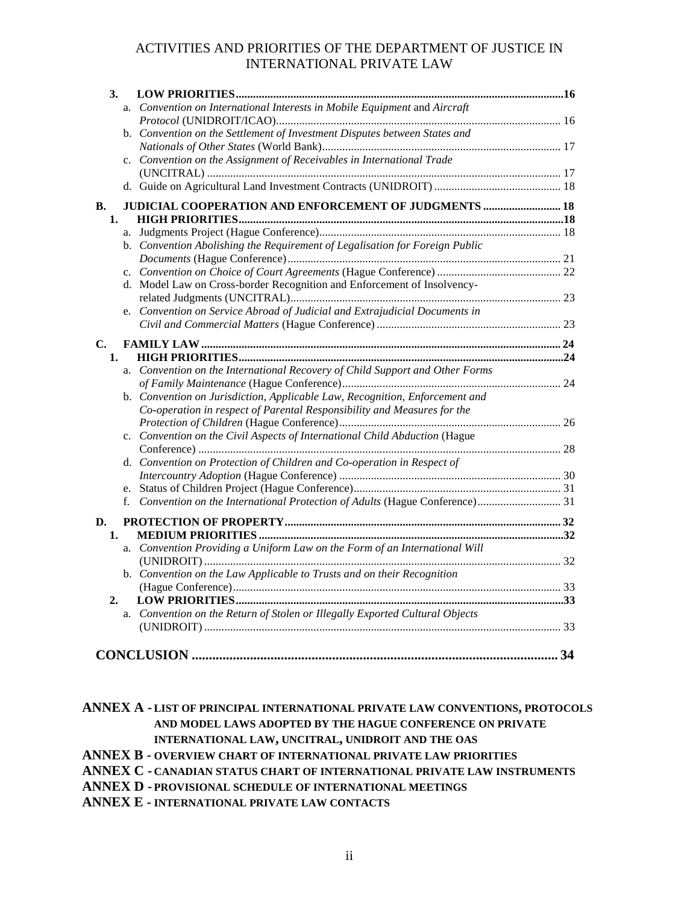| 3. |             |                                                                              |  |
|----|-------------|------------------------------------------------------------------------------|--|
|    | a.          | Convention on International Interests in Mobile Equipment and Aircraft       |  |
|    |             |                                                                              |  |
|    |             | b. Convention on the Settlement of Investment Disputes between States and    |  |
|    |             |                                                                              |  |
|    |             | c. Convention on the Assignment of Receivables in International Trade        |  |
|    |             |                                                                              |  |
|    |             |                                                                              |  |
| В. |             | JUDICIAL COOPERATION AND ENFORCEMENT OF JUDGMENTS  18                        |  |
| 1. |             |                                                                              |  |
|    |             |                                                                              |  |
|    |             | b. Convention Abolishing the Requirement of Legalisation for Foreign Public  |  |
|    |             |                                                                              |  |
|    |             |                                                                              |  |
|    |             | d. Model Law on Cross-border Recognition and Enforcement of Insolvency-      |  |
|    |             |                                                                              |  |
|    |             | e. Convention on Service Abroad of Judicial and Extrajudicial Documents in   |  |
|    |             |                                                                              |  |
| C. |             |                                                                              |  |
| 1. |             |                                                                              |  |
|    |             | a. Convention on the International Recovery of Child Support and Other Forms |  |
|    |             |                                                                              |  |
|    |             | b. Convention on Jurisdiction, Applicable Law, Recognition, Enforcement and  |  |
|    |             | Co-operation in respect of Parental Responsibility and Measures for the      |  |
|    |             |                                                                              |  |
|    |             | c. Convention on the Civil Aspects of International Child Abduction (Hague   |  |
|    |             | d. Convention on Protection of Children and Co-operation in Respect of       |  |
|    |             |                                                                              |  |
|    |             |                                                                              |  |
|    | $f_{\cdot}$ |                                                                              |  |
|    |             |                                                                              |  |
| D. |             |                                                                              |  |
| 1. |             |                                                                              |  |
|    |             | a. Convention Providing a Uniform Law on the Form of an International Will   |  |
|    |             |                                                                              |  |
|    |             | b. Convention on the Law Applicable to Trusts and on their Recognition       |  |
| 2. |             |                                                                              |  |
|    |             | a. Convention on the Return of Stolen or Illegally Exported Cultural Objects |  |
|    |             |                                                                              |  |
|    |             |                                                                              |  |
|    |             |                                                                              |  |
|    |             |                                                                              |  |

**ANNEX A - LIST OF PRINCIPAL INTERNATIONAL PRIVATE LAW CONVENTIONS, PROTOCOLS AND MODEL LAWS ADOPTED BY THE HAGUE CONFERENCE ON PRIVATE INTERNATIONAL LAW, UNCITRAL, UNIDROIT AND THE OAS ANNEX B - OVERVIEW CHART OF INTERNATIONAL PRIVATE LAW PRIORITIES ANNEX C - CANADIAN STATUS CHART OF INTERNATIONAL PRIVATE LAW INSTRUMENTS**

**ANNEX D - PROVISIONAL SCHEDULE OF INTERNATIONAL MEETINGS**

**ANNEX E - INTERNATIONAL PRIVATE LAW CONTACTS**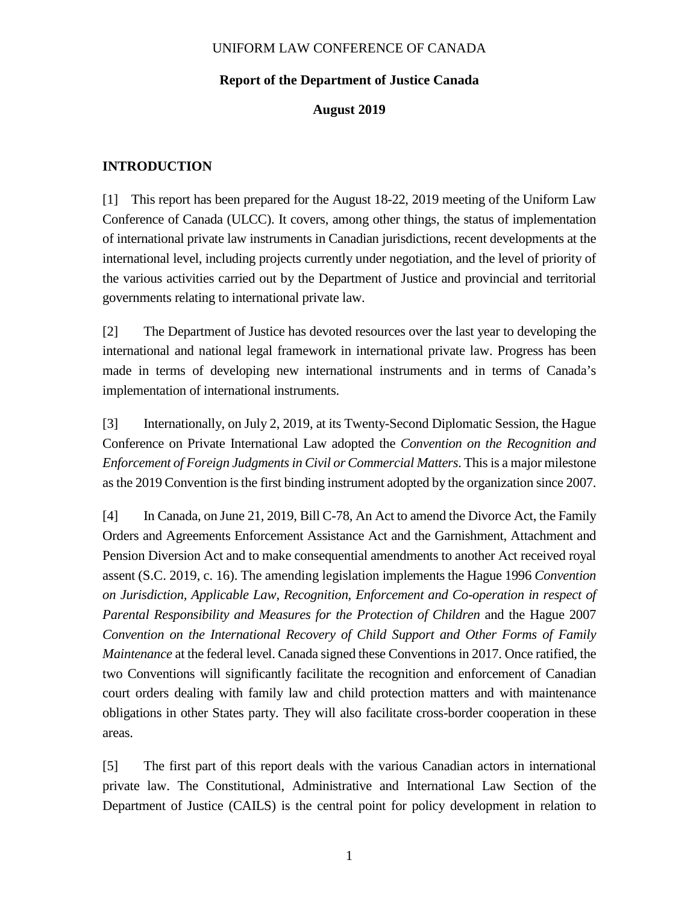#### **Report of the Department of Justice Canada**

#### **August 2019**

#### **INTRODUCTION**

[1] This report has been prepared for the August 18-22, 2019 meeting of the Uniform Law Conference of Canada (ULCC). It covers, among other things, the status of implementation of international private law instruments in Canadian jurisdictions, recent developments at the international level, including projects currently under negotiation, and the level of priority of the various activities carried out by the Department of Justice and provincial and territorial governments relating to international private law.

[2] The Department of Justice has devoted resources over the last year to developing the international and national legal framework in international private law. Progress has been made in terms of developing new international instruments and in terms of Canada's implementation of international instruments.

[3] Internationally, on July 2, 2019, at its Twenty-Second Diplomatic Session, the Hague Conference on Private International Law adopted the *Convention on the Recognition and Enforcement of Foreign Judgments in Civil or Commercial Matters*. This is a major milestone as the 2019 Convention is the first binding instrument adopted by the organization since 2007.

[4] In Canada, on June 21, 2019, Bill C-78, An Act to amend the Divorce Act, the Family Orders and Agreements Enforcement Assistance Act and the Garnishment, Attachment and Pension Diversion Act and to make consequential amendments to another Act received royal assent (S.C. 2019, c. 16). The amending legislation implements the Hague 1996 *Convention on Jurisdiction, Applicable Law, Recognition, Enforcement and Co-operation in respect of Parental Responsibility and Measures for the Protection of Children* and the Hague 2007 *Convention on the International Recovery of Child Support and Other Forms of Family Maintenance* at the federal level. Canada signed these Conventions in 2017. Once ratified, the two Conventions will significantly facilitate the recognition and enforcement of Canadian court orders dealing with family law and child protection matters and with maintenance obligations in other States party. They will also facilitate cross-border cooperation in these areas.

[5] The first part of this report deals with the various Canadian actors in international private law. The Constitutional, Administrative and International Law Section of the Department of Justice (CAILS) is the central point for policy development in relation to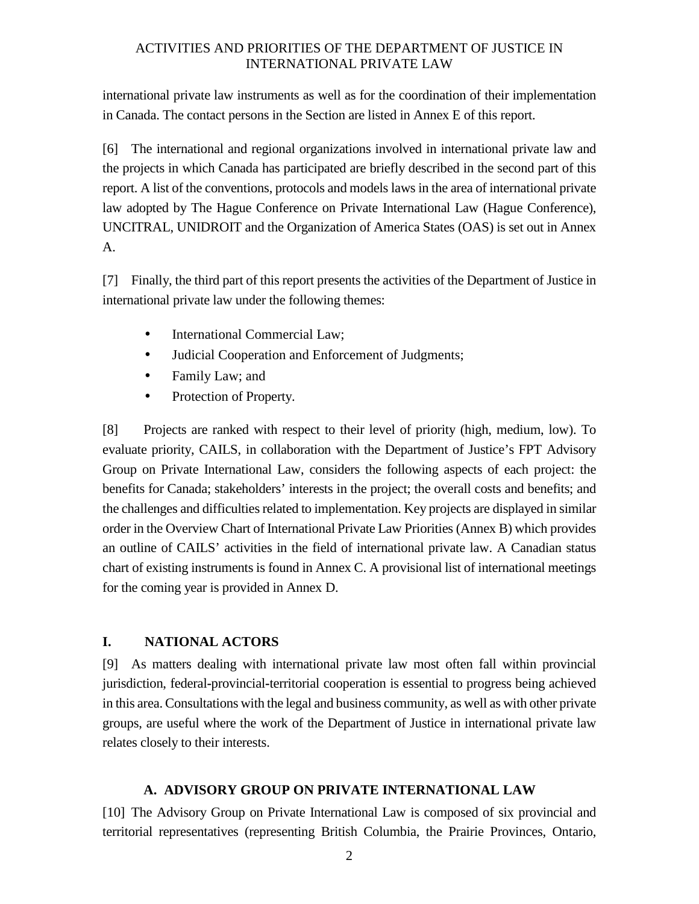international private law instruments as well as for the coordination of their implementation in Canada. The contact persons in the Section are listed in Annex E of this report.

[6] The international and regional organizations involved in international private law and the projects in which Canada has participated are briefly described in the second part of this report. A list of the conventions, protocols and models laws in the area of international private law adopted by The Hague Conference on Private International Law (Hague Conference), UNCITRAL, UNIDROIT and the Organization of America States (OAS) is set out in Annex A.

[7] Finally, the third part of this report presents the activities of the Department of Justice in international private law under the following themes:

- International Commercial Law:
- Judicial Cooperation and Enforcement of Judgments;
- Family Law; and
- Protection of Property.

[8] Projects are ranked with respect to their level of priority (high, medium, low). To evaluate priority, CAILS, in collaboration with the Department of Justice's FPT Advisory Group on Private International Law, considers the following aspects of each project: the benefits for Canada; stakeholders' interests in the project; the overall costs and benefits; and the challenges and difficulties related to implementation. Key projects are displayed in similar order in the Overview Chart of International Private Law Priorities (Annex B) which provides an outline of CAILS' activities in the field of international private law. A Canadian status chart of existing instruments is found in Annex C. A provisional list of international meetings for the coming year is provided in Annex D.

#### **I. NATIONAL ACTORS**

[9] As matters dealing with international private law most often fall within provincial jurisdiction, federal**-**provincial**-**territorial cooperation is essential to progress being achieved in this area. Consultations with the legal and business community, as well as with other private groups, are useful where the work of the Department of Justice in international private law relates closely to their interests.

#### **A. ADVISORY GROUP ON PRIVATE INTERNATIONAL LAW**

[10] The Advisory Group on Private International Law is composed of six provincial and territorial representatives (representing British Columbia, the Prairie Provinces, Ontario,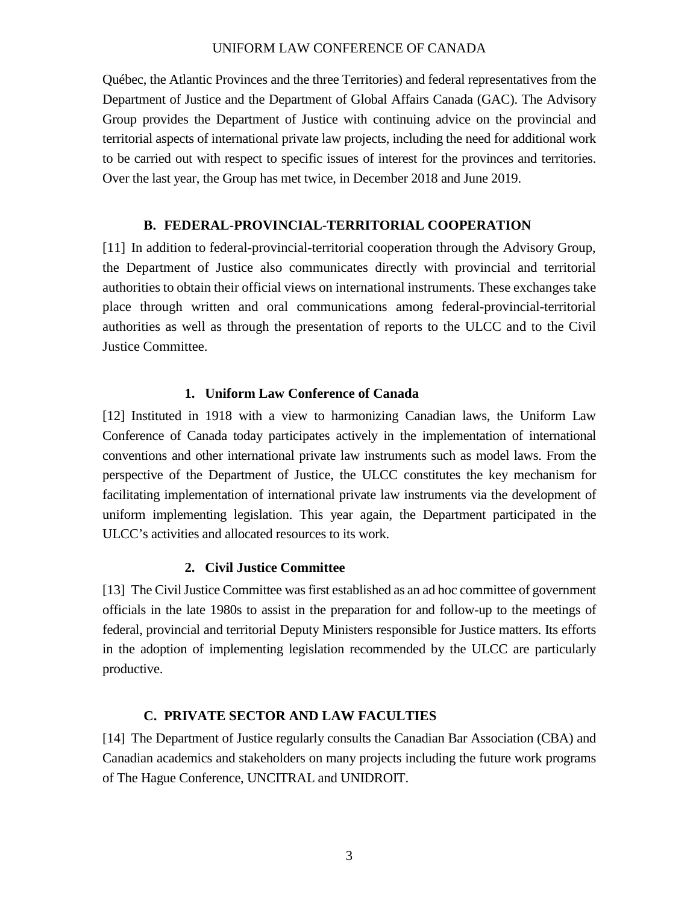Québec, the Atlantic Provinces and the three Territories) and federal representatives from the Department of Justice and the Department of Global Affairs Canada (GAC). The Advisory Group provides the Department of Justice with continuing advice on the provincial and territorial aspects of international private law projects, including the need for additional work to be carried out with respect to specific issues of interest for the provinces and territories. Over the last year, the Group has met twice, in December 2018 and June 2019.

#### **B. FEDERAL**-**PROVINCIAL**-**TERRITORIAL COOPERATION**

[11] In addition to federal-provincial-territorial cooperation through the Advisory Group, the Department of Justice also communicates directly with provincial and territorial authorities to obtain their official views on international instruments. These exchanges take place through written and oral communications among federal-provincial-territorial authorities as well as through the presentation of reports to the ULCC and to the Civil Justice Committee.

#### **1. Uniform Law Conference of Canada**

[12] Instituted in 1918 with a view to harmonizing Canadian laws, the Uniform Law Conference of Canada today participates actively in the implementation of international conventions and other international private law instruments such as model laws. From the perspective of the Department of Justice, the ULCC constitutes the key mechanism for facilitating implementation of international private law instruments via the development of uniform implementing legislation. This year again, the Department participated in the ULCC's activities and allocated resources to its work.

#### **2. Civil Justice Committee**

[13] The Civil Justice Committee was first established as an ad hoc committee of government officials in the late 1980s to assist in the preparation for and follow-up to the meetings of federal, provincial and territorial Deputy Ministers responsible for Justice matters. Its efforts in the adoption of implementing legislation recommended by the ULCC are particularly productive.

#### **C. PRIVATE SECTOR AND LAW FACULTIES**

[14] The Department of Justice regularly consults the Canadian Bar Association (CBA) and Canadian academics and stakeholders on many projects including the future work programs of The Hague Conference, UNCITRAL and UNIDROIT.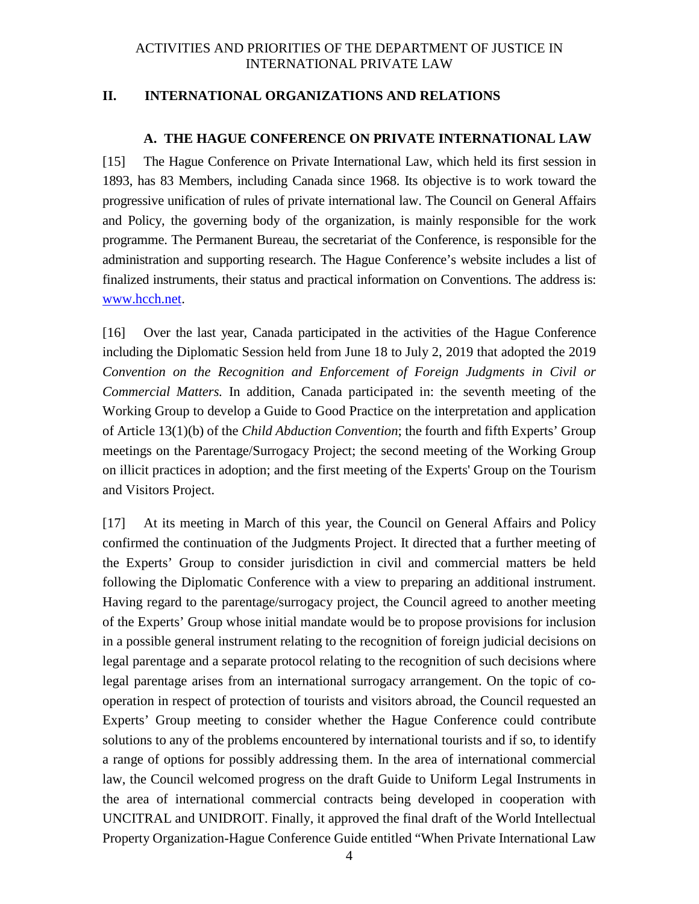#### **II. INTERNATIONAL ORGANIZATIONS AND RELATIONS**

#### **A. THE HAGUE CONFERENCE ON PRIVATE INTERNATIONAL LAW**

[15] The Hague Conference on Private International Law, which held its first session in 1893, has 83 Members, including Canada since 1968. Its objective is to work toward the progressive unification of rules of private international law. The Council on General Affairs and Policy, the governing body of the organization, is mainly responsible for the work programme. The Permanent Bureau, the secretariat of the Conference, is responsible for the administration and supporting research. The Hague Conference's website includes a list of finalized instruments, their status and practical information on Conventions. The address is: www.hcch.net.

[16] Over the last year, Canada participated in the activities of the Hague Conference including the Diplomatic Session held from June 18 to July 2, 2019 that adopted the 2019 *Convention on the Recognition and Enforcement of Foreign Judgments in Civil or Commercial Matters.* In addition, Canada participated in: the seventh meeting of the Working Group to develop a Guide to Good Practice on the interpretation and application of Article 13(1)(b) of the *Child Abduction Convention*; the fourth and fifth Experts' Group meetings on the Parentage/Surrogacy Project; the second meeting of the Working Group on illicit practices in adoption; and the first meeting of the Experts' Group on the Tourism and Visitors Project.

[17] At its meeting in March of this year, the Council on General Affairs and Policy confirmed the continuation of the Judgments Project. It directed that a further meeting of the Experts' Group to consider jurisdiction in civil and commercial matters be held following the Diplomatic Conference with a view to preparing an additional instrument. Having regard to the parentage/surrogacy project, the Council agreed to another meeting of the Experts' Group whose initial mandate would be to propose provisions for inclusion in a possible general instrument relating to the recognition of foreign judicial decisions on legal parentage and a separate protocol relating to the recognition of such decisions where legal parentage arises from an international surrogacy arrangement. On the topic of cooperation in respect of protection of tourists and visitors abroad, the Council requested an Experts' Group meeting to consider whether the Hague Conference could contribute solutions to any of the problems encountered by international tourists and if so, to identify a range of options for possibly addressing them. In the area of international commercial law, the Council welcomed progress on the draft Guide to Uniform Legal Instruments in the area of international commercial contracts being developed in cooperation with UNCITRAL and UNIDROIT. Finally, it approved the final draft of the World Intellectual Property Organization-Hague Conference Guide entitled "When Private International Law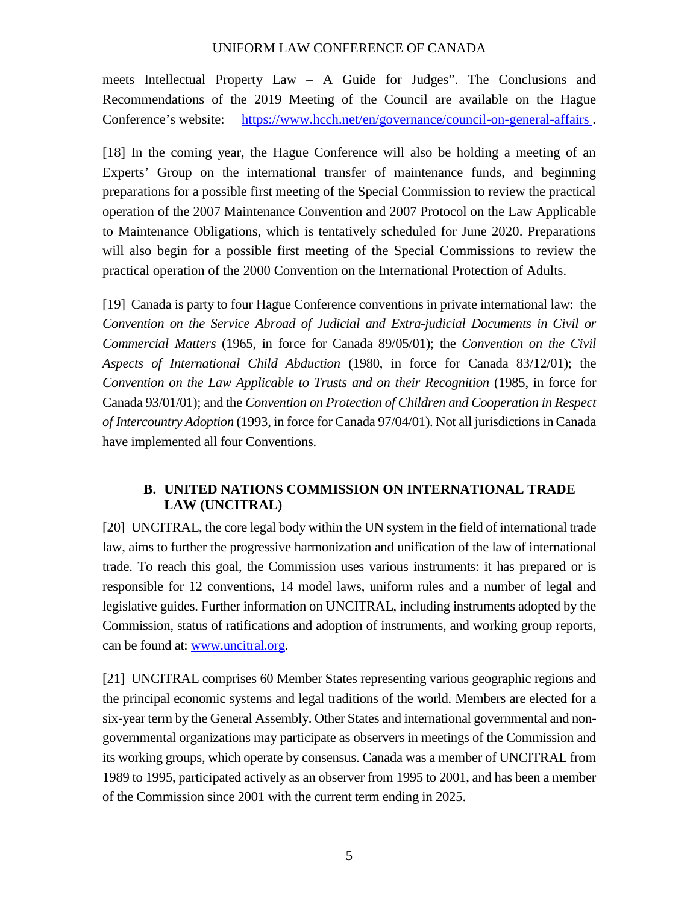meets Intellectual Property Law – A Guide for Judges". The Conclusions and Recommendations of the 2019 Meeting of the Council are available on the Hague Conference's website: https://www.hcch.net/en/governance/council-on-general-affairs .

[18] In the coming year, the Hague Conference will also be holding a meeting of an Experts' Group on the international transfer of maintenance funds, and beginning preparations for a possible first meeting of the Special Commission to review the practical operation of the 2007 Maintenance Convention and 2007 Protocol on the Law Applicable to Maintenance Obligations, which is tentatively scheduled for June 2020. Preparations will also begin for a possible first meeting of the Special Commissions to review the practical operation of the 2000 Convention on the International Protection of Adults.

[19] Canada is party to four Hague Conference conventions in private international law: the *Convention on the Service Abroad of Judicial and Extra-judicial Documents in Civil or Commercial Matters* (1965, in force for Canada 89/05/01); the *Convention on the Civil Aspects of International Child Abduction* (1980, in force for Canada 83/12/01); the *Convention on the Law Applicable to Trusts and on their Recognition* (1985, in force for Canada 93/01/01); and the *Convention on Protection of Children and Cooperation in Respect of Intercountry Adoption* (1993, in force for Canada 97/04/01). Not all jurisdictions in Canada have implemented all four Conventions.

#### **B. UNITED NATIONS COMMISSION ON INTERNATIONAL TRADE LAW (UNCITRAL)**

[20] UNCITRAL, the core legal body within the UN system in the field of international trade law, aims to further the progressive harmonization and unification of the law of international trade. To reach this goal, the Commission uses various instruments: it has prepared or is responsible for 12 conventions, 14 model laws, uniform rules and a number of legal and legislative guides. Further information on UNCITRAL, including instruments adopted by the Commission, status of ratifications and adoption of instruments, and working group reports, can be found at: www.uncitral.org.

[21] UNCITRAL comprises 60 Member States representing various geographic regions and the principal economic systems and legal traditions of the world. Members are elected for a six-year term by the General Assembly. Other States and international governmental and nongovernmental organizations may participate as observers in meetings of the Commission and its working groups, which operate by consensus. Canada was a member of UNCITRAL from 1989 to 1995, participated actively as an observer from 1995 to 2001, and has been a member of the Commission since 2001 with the current term ending in 2025.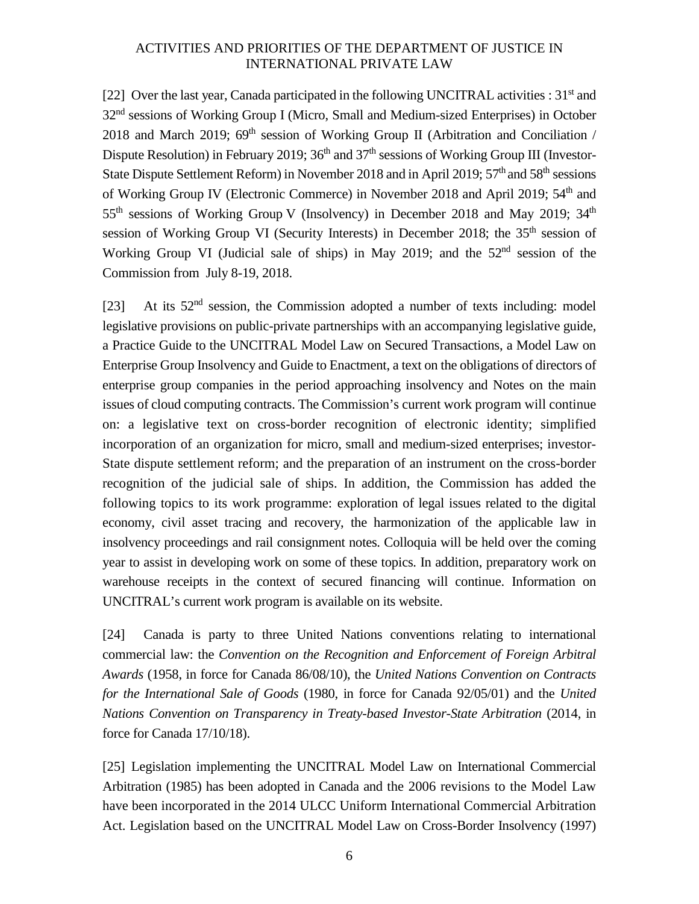[22] Over the last year, Canada participated in the following UNCITRAL activities :  $31<sup>st</sup>$  and 32<sup>nd</sup> sessions of Working Group I (Micro, Small and Medium-sized Enterprises) in October 2018 and March 2019;  $69<sup>th</sup>$  session of Working Group II (Arbitration and Conciliation / Dispute Resolution) in February 2019; 36<sup>th</sup> and 37<sup>th</sup> sessions of Working Group III (Investor-State Dispute Settlement Reform) in November 2018 and in April 2019; 57<sup>th</sup> and 58<sup>th</sup> sessions of Working Group IV (Electronic Commerce) in November 2018 and April 2019; 54<sup>th</sup> and 55<sup>th</sup> sessions of Working Group V (Insolvency) in December 2018 and May 2019; 34<sup>th</sup> session of Working Group VI (Security Interests) in December 2018; the  $35<sup>th</sup>$  session of Working Group VI (Judicial sale of ships) in May 2019; and the  $52<sup>nd</sup>$  session of the Commission from July 8-19, 2018.

[23] At its  $52<sup>nd</sup>$  session, the Commission adopted a number of texts including: model legislative provisions on public-private partnerships with an accompanying legislative guide, a Practice Guide to the UNCITRAL Model Law on Secured Transactions, a Model Law on Enterprise Group Insolvency and Guide to Enactment, a text on the obligations of directors of enterprise group companies in the period approaching insolvency and Notes on the main issues of cloud computing contracts. The Commission's current work program will continue on: a legislative text on cross-border recognition of electronic identity; simplified incorporation of an organization for micro, small and medium-sized enterprises; investor-State dispute settlement reform; and the preparation of an instrument on the cross-border recognition of the judicial sale of ships. In addition, the Commission has added the following topics to its work programme: exploration of legal issues related to the digital economy, civil asset tracing and recovery, the harmonization of the applicable law in insolvency proceedings and rail consignment notes. Colloquia will be held over the coming year to assist in developing work on some of these topics. In addition, preparatory work on warehouse receipts in the context of secured financing will continue. Information on UNCITRAL's current work program is available on its website.

[24] Canada is party to three United Nations conventions relating to international commercial law: the *Convention on the Recognition and Enforcement of Foreign Arbitral Awards* (1958, in force for Canada 86/08/10), the *United Nations Convention on Contracts for the International Sale of Goods* (1980, in force for Canada 92/05/01) and the *United Nations Convention on Transparency in Treaty-based Investor-State Arbitration* (2014, in force for Canada 17/10/18).

[25] Legislation implementing the UNCITRAL Model Law on International Commercial Arbitration (1985) has been adopted in Canada and the 2006 revisions to the Model Law have been incorporated in the 2014 ULCC Uniform International Commercial Arbitration Act. Legislation based on the UNCITRAL Model Law on Cross-Border Insolvency (1997)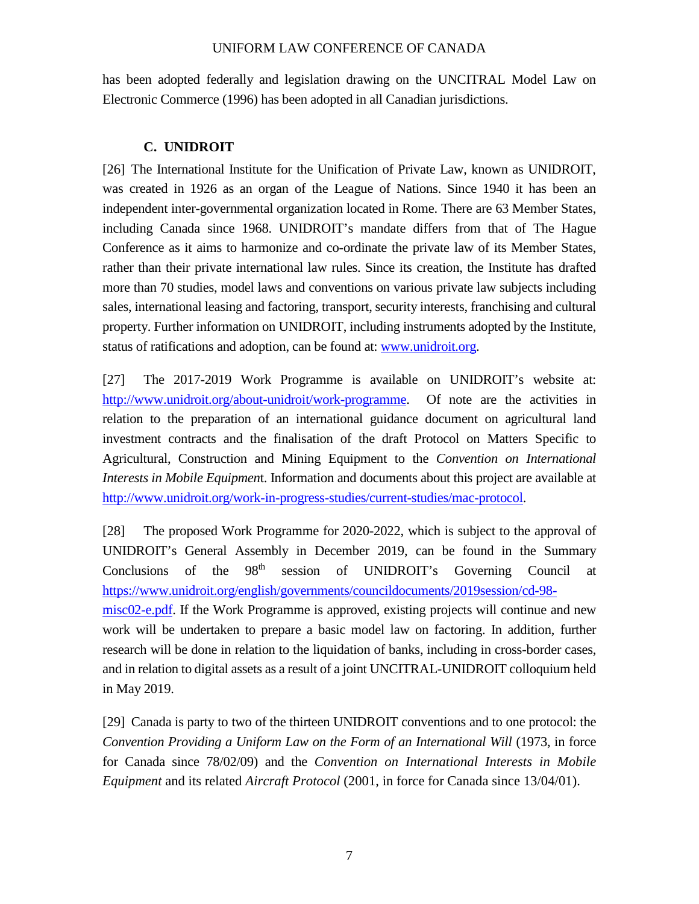has been adopted federally and legislation drawing on the UNCITRAL Model Law on Electronic Commerce (1996) has been adopted in all Canadian jurisdictions.

#### **C. UNIDROIT**

[26] The International Institute for the Unification of Private Law, known as UNIDROIT, was created in 1926 as an organ of the League of Nations. Since 1940 it has been an independent inter-governmental organization located in Rome. There are 63 Member States, including Canada since 1968. UNIDROIT's mandate differs from that of The Hague Conference as it aims to harmonize and co-ordinate the private law of its Member States, rather than their private international law rules. Since its creation, the Institute has drafted more than 70 studies, model laws and conventions on various private law subjects including sales, international leasing and factoring, transport, security interests, franchising and cultural property. Further information on UNIDROIT, including instruments adopted by the Institute, status of ratifications and adoption, can be found at: www.unidroit.org.

[27] The 2017-2019 Work Programme is available on UNIDROIT's website at: http://www.unidroit.org/about-unidroit/work-programme. Of note are the activities in relation to the preparation of an international guidance document on agricultural land investment contracts and the finalisation of the draft Protocol on Matters Specific to Agricultural, Construction and Mining Equipment to the *Convention on International Interests in Mobile Equipmen*t. Information and documents about this project are available at http://www.unidroit.org/work-in-progress-studies/current-studies/mac-protocol.

[28] The proposed Work Programme for 2020-2022, which is subject to the approval of UNIDROIT's General Assembly in December 2019, can be found in the Summary Conclusions of the 98<sup>th</sup> session of UNIDROIT's Governing Council at https://www.unidroit.org/english/governments/councildocuments/2019session/cd-98 misc02-e.pdf. If the Work Programme is approved, existing projects will continue and new work will be undertaken to prepare a basic model law on factoring. In addition, further research will be done in relation to the liquidation of banks, including in cross-border cases, and in relation to digital assets as a result of a joint UNCITRAL-UNIDROIT colloquium held in May 2019.

[29] Canada is party to two of the thirteen UNIDROIT conventions and to one protocol: the *Convention Providing a Uniform Law on the Form of an International Will (1973, in force* for Canada since 78/02/09) and the *Convention on International Interests in Mobile Equipment* and its related *Aircraft Protocol* (2001, in force for Canada since 13/04/01).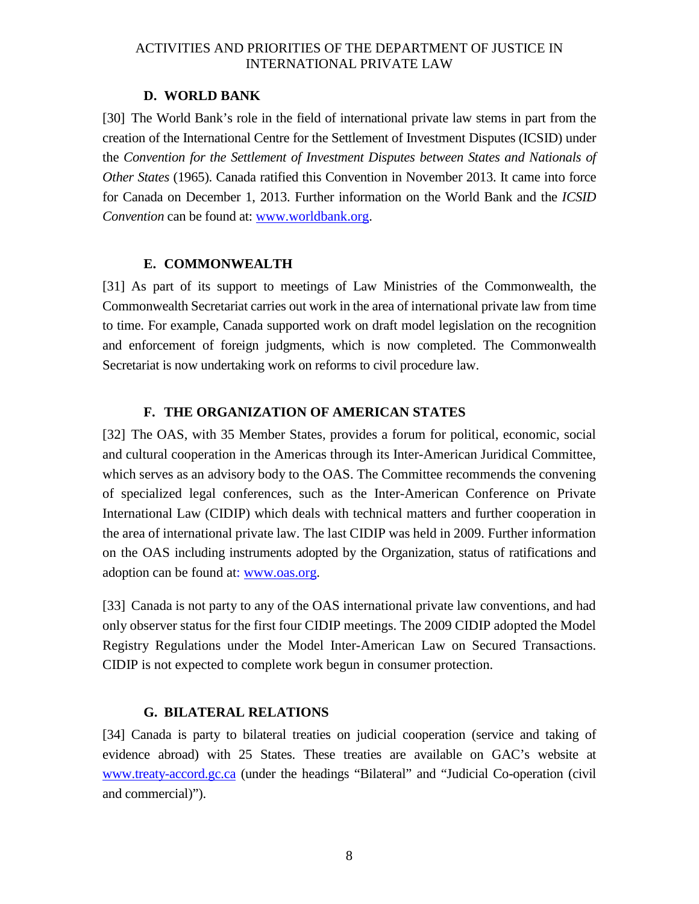#### **D. WORLD BANK**

[30] The World Bank's role in the field of international private law stems in part from the creation of the International Centre for the Settlement of Investment Disputes (ICSID) under the *Convention for the Settlement of Investment Disputes between States and Nationals of Other States* (1965). Canada ratified this Convention in November 2013. It came into force for Canada on December 1, 2013. Further information on the World Bank and the *ICSID Convention* can be found at: www.worldbank.org.

#### **E. COMMONWEALTH**

[31] As part of its support to meetings of Law Ministries of the Commonwealth, the Commonwealth Secretariat carries out work in the area of international private law from time to time. For example, Canada supported work on draft model legislation on the recognition and enforcement of foreign judgments, which is now completed. The Commonwealth Secretariat is now undertaking work on reforms to civil procedure law.

#### **F. THE ORGANIZATION OF AMERICAN STATES**

[32] The OAS, with 35 Member States, provides a forum for political, economic, social and cultural cooperation in the Americas through its Inter-American Juridical Committee, which serves as an advisory body to the OAS. The Committee recommends the convening of specialized legal conferences, such as the Inter-American Conference on Private International Law (CIDIP) which deals with technical matters and further cooperation in the area of international private law. The last CIDIP was held in 2009. Further information on the OAS including instruments adopted by the Organization, status of ratifications and adoption can be found at: www.oas.org.

[33] Canada is not party to any of the OAS international private law conventions, and had only observer status for the first four CIDIP meetings. The 2009 CIDIP adopted the Model Registry Regulations under the Model Inter-American Law on Secured Transactions. CIDIP is not expected to complete work begun in consumer protection.

#### **G. BILATERAL RELATIONS**

[34] Canada is party to bilateral treaties on judicial cooperation (service and taking of evidence abroad) with 25 States. These treaties are available on GAC's website at www.treaty-accord.gc.ca (under the headings "Bilateral" and "Judicial Co-operation (civil and commercial)").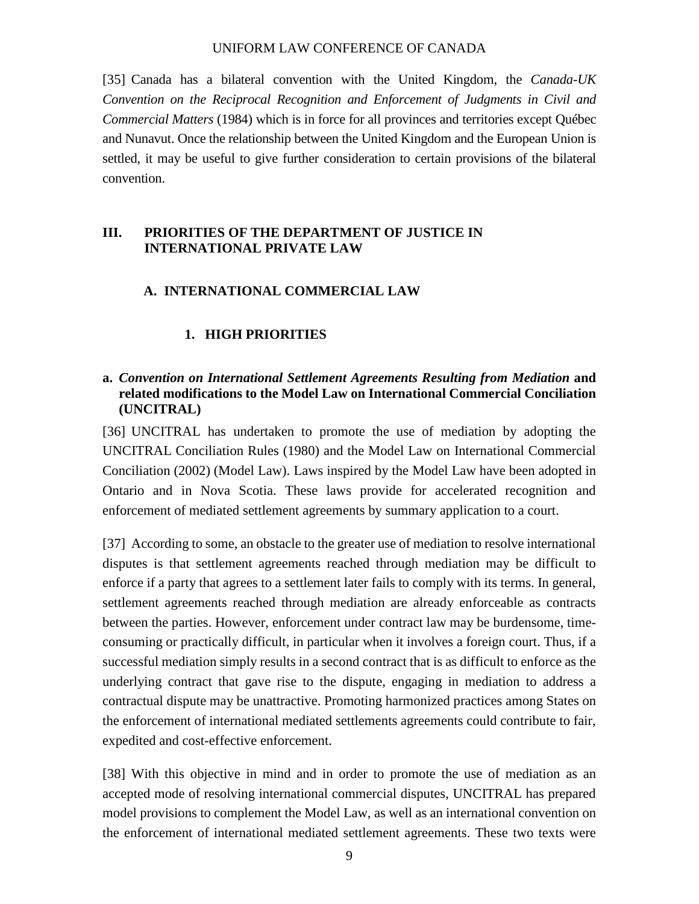[35] Canada has a bilateral convention with the United Kingdom, the *Canada-UK Convention on the Reciprocal Recognition and Enforcement of Judgments in Civil and Commercial Matters* (1984) which is in force for all provinces and territories except Québec and Nunavut. Once the relationship between the United Kingdom and the European Union is settled, it may be useful to give further consideration to certain provisions of the bilateral convention.

#### **III. PRIORITIES OF THE DEPARTMENT OF JUSTICE IN INTERNATIONAL PRIVATE LAW**

#### **A. INTERNATIONAL COMMERCIAL LAW**

#### **1. HIGH PRIORITIES**

#### **a.** *Convention on International Settlement Agreements Resulting from Mediation* **and related modifications to the Model Law on International Commercial Conciliation (UNCITRAL)**

[36] UNCITRAL has undertaken to promote the use of mediation by adopting the UNCITRAL Conciliation Rules (1980) and the Model Law on International Commercial Conciliation (2002) (Model Law). Laws inspired by the Model Law have been adopted in Ontario and in Nova Scotia. These laws provide for accelerated recognition and enforcement of mediated settlement agreements by summary application to a court.

[37] According to some, an obstacle to the greater use of mediation to resolve international disputes is that settlement agreements reached through mediation may be difficult to enforce if a party that agrees to a settlement later fails to comply with its terms. In general, settlement agreements reached through mediation are already enforceable as contracts between the parties. However, enforcement under contract law may be burdensome, timeconsuming or practically difficult, in particular when it involves a foreign court. Thus, if a successful mediation simply results in a second contract that is as difficult to enforce as the underlying contract that gave rise to the dispute, engaging in mediation to address a contractual dispute may be unattractive. Promoting harmonized practices among States on the enforcement of international mediated settlements agreements could contribute to fair, expedited and cost-effective enforcement.

[38] With this objective in mind and in order to promote the use of mediation as an accepted mode of resolving international commercial disputes, UNCITRAL has prepared model provisions to complement the Model Law, as well as an international convention on the enforcement of international mediated settlement agreements. These two texts were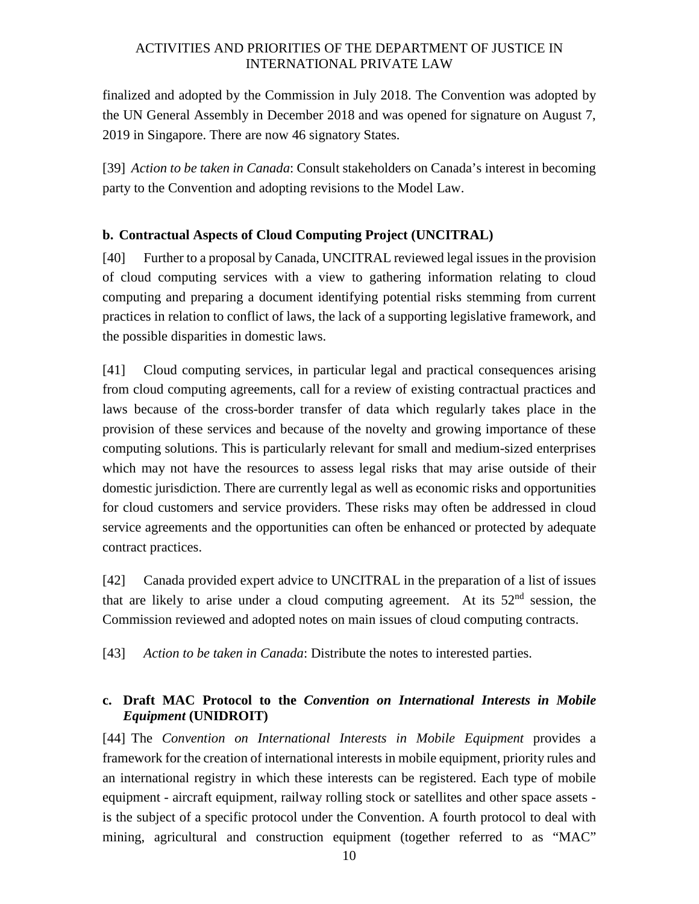finalized and adopted by the Commission in July 2018. The Convention was adopted by the UN General Assembly in December 2018 and was opened for signature on August 7, 2019 in Singapore. There are now 46 signatory States.

[39] *Action to be taken in Canada*: Consult stakeholders on Canada's interest in becoming party to the Convention and adopting revisions to the Model Law.

#### **b. Contractual Aspects of Cloud Computing Project (UNCITRAL)**

[40] Further to a proposal by Canada, UNCITRAL reviewed legal issues in the provision of cloud computing services with a view to gathering information relating to cloud computing and preparing a document identifying potential risks stemming from current practices in relation to conflict of laws, the lack of a supporting legislative framework, and the possible disparities in domestic laws.

[41] Cloud computing services, in particular legal and practical consequences arising from cloud computing agreements, call for a review of existing contractual practices and laws because of the cross-border transfer of data which regularly takes place in the provision of these services and because of the novelty and growing importance of these computing solutions. This is particularly relevant for small and medium-sized enterprises which may not have the resources to assess legal risks that may arise outside of their domestic jurisdiction. There are currently legal as well as economic risks and opportunities for cloud customers and service providers. These risks may often be addressed in cloud service agreements and the opportunities can often be enhanced or protected by adequate contract practices.

[42] Canada provided expert advice to UNCITRAL in the preparation of a list of issues that are likely to arise under a cloud computing agreement. At its  $52<sup>nd</sup>$  session, the Commission reviewed and adopted notes on main issues of cloud computing contracts.

[43] *Action to be taken in Canada*: Distribute the notes to interested parties.

#### **c. Draft MAC Protocol to the** *Convention on International Interests in Mobile Equipment* **(UNIDROIT)**

[44] The *Convention on International Interests in Mobile Equipment* provides a framework for the creation of international interests in mobile equipment, priority rules and an international registry in which these interests can be registered. Each type of mobile equipment - aircraft equipment, railway rolling stock or satellites and other space assets is the subject of a specific protocol under the Convention. A fourth protocol to deal with mining, agricultural and construction equipment (together referred to as "MAC"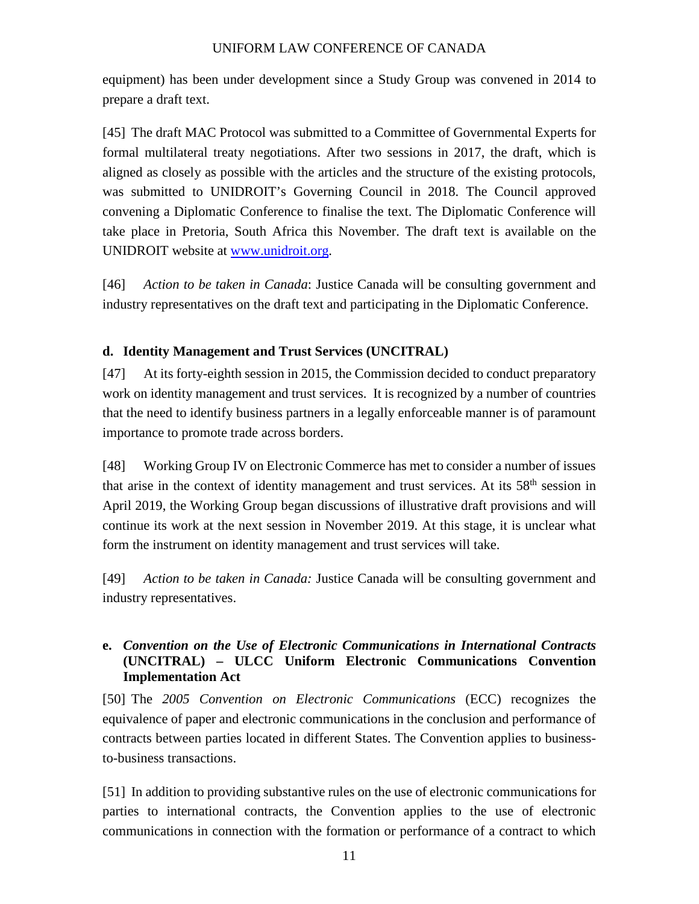equipment) has been under development since a Study Group was convened in 2014 to prepare a draft text.

[45] The draft MAC Protocol was submitted to a Committee of Governmental Experts for formal multilateral treaty negotiations. After two sessions in 2017, the draft, which is aligned as closely as possible with the articles and the structure of the existing protocols, was submitted to UNIDROIT's Governing Council in 2018. The Council approved convening a Diplomatic Conference to finalise the text. The Diplomatic Conference will take place in Pretoria, South Africa this November. The draft text is available on the UNIDROIT website at www.unidroit.org.

[46] *Action to be taken in Canada*: Justice Canada will be consulting government and industry representatives on the draft text and participating in the Diplomatic Conference.

#### **d. Identity Management and Trust Services (UNCITRAL)**

[47] At its forty-eighth session in 2015, the Commission decided to conduct preparatory work on identity management and trust services. It is recognized by a number of countries that the need to identify business partners in a legally enforceable manner is of paramount importance to promote trade across borders.

[48] Working Group IV on Electronic Commerce has met to consider a number of issues that arise in the context of identity management and trust services. At its  $58<sup>th</sup>$  session in April 2019, the Working Group began discussions of illustrative draft provisions and will continue its work at the next session in November 2019. At this stage, it is unclear what form the instrument on identity management and trust services will take.

[49] *Action to be taken in Canada:* Justice Canada will be consulting government and industry representatives.

#### **e.** *Convention on the Use of Electronic Communications in International Contracts* **(UNCITRAL) – ULCC Uniform Electronic Communications Convention Implementation Act**

[50] The *2005 Convention on Electronic Communications* (ECC) recognizes the equivalence of paper and electronic communications in the conclusion and performance of contracts between parties located in different States. The Convention applies to businessto-business transactions.

[51] In addition to providing substantive rules on the use of electronic communications for parties to international contracts, the Convention applies to the use of electronic communications in connection with the formation or performance of a contract to which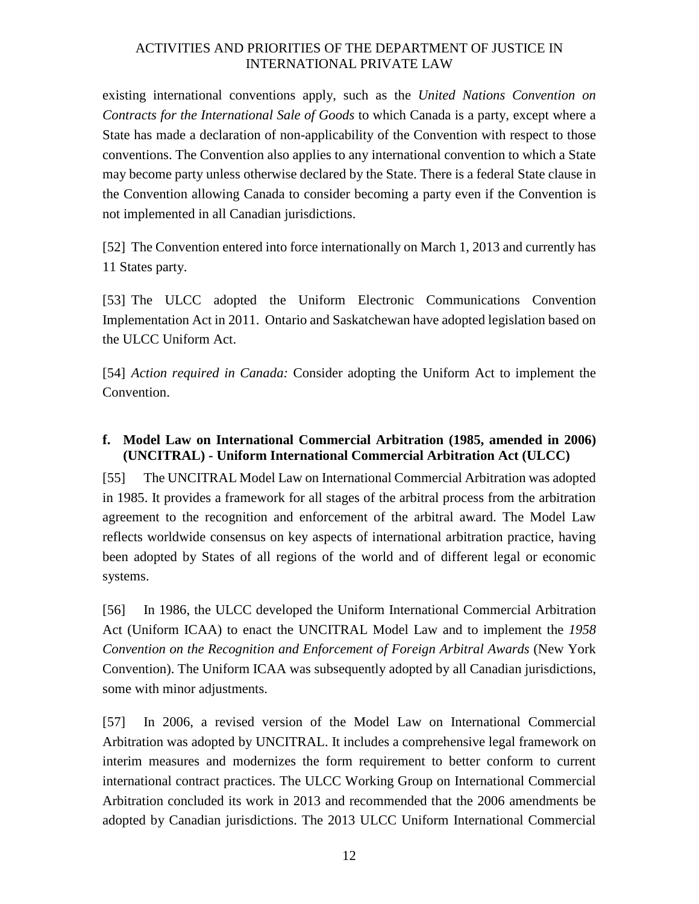existing international conventions apply, such as the *United Nations Convention on Contracts for the International Sale of Goods* to which Canada is a party, except where a State has made a declaration of non-applicability of the Convention with respect to those conventions. The Convention also applies to any international convention to which a State may become party unless otherwise declared by the State. There is a federal State clause in the Convention allowing Canada to consider becoming a party even if the Convention is not implemented in all Canadian jurisdictions.

[52] The Convention entered into force internationally on March 1, 2013 and currently has 11 States party.

[53] The ULCC adopted the Uniform Electronic Communications Convention Implementation Act in 2011. Ontario and Saskatchewan have adopted legislation based on the ULCC Uniform Act.

[54] *Action required in Canada:* Consider adopting the Uniform Act to implement the Convention.

#### **f. Model Law on International Commercial Arbitration (1985, amended in 2006) (UNCITRAL) - Uniform International Commercial Arbitration Act (ULCC)**

[55] The UNCITRAL Model Law on International Commercial Arbitration was adopted in 1985. It provides a framework for all stages of the arbitral process from the arbitration agreement to the recognition and enforcement of the arbitral award. The Model Law reflects worldwide consensus on key aspects of international arbitration practice, having been adopted by States of all regions of the world and of different legal or economic systems.

[56] In 1986, the ULCC developed the Uniform International Commercial Arbitration Act (Uniform ICAA) to enact the UNCITRAL Model Law and to implement the *1958 Convention on the Recognition and Enforcement of Foreign Arbitral Awards* (New York Convention). The Uniform ICAA was subsequently adopted by all Canadian jurisdictions, some with minor adjustments.

[57] In 2006, a revised version of the Model Law on International Commercial Arbitration was adopted by UNCITRAL. It includes a comprehensive legal framework on interim measures and modernizes the form requirement to better conform to current international contract practices. The ULCC Working Group on International Commercial Arbitration concluded its work in 2013 and recommended that the 2006 amendments be adopted by Canadian jurisdictions. The 2013 ULCC Uniform International Commercial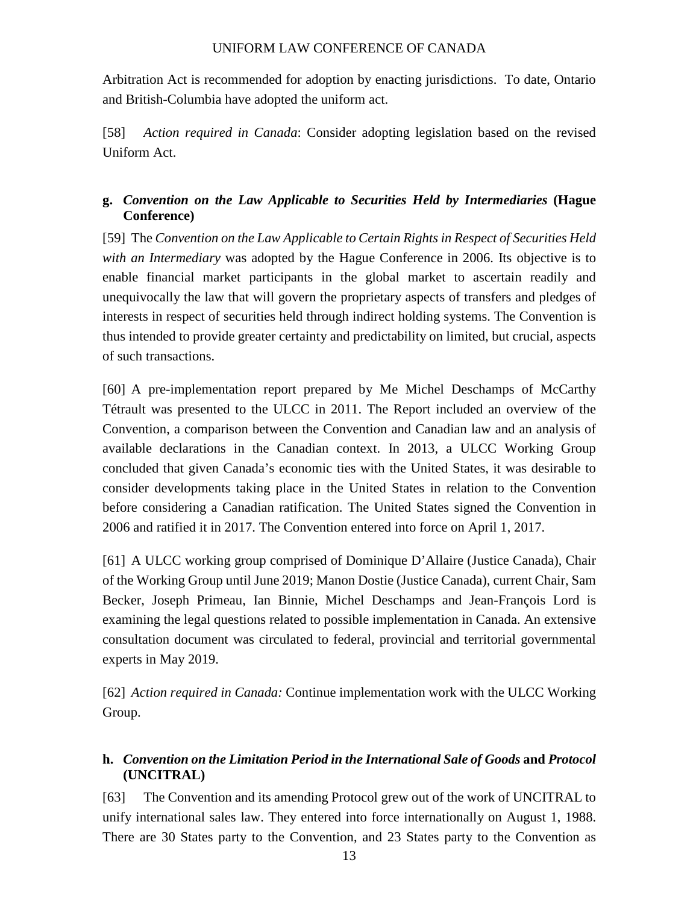Arbitration Act is recommended for adoption by enacting jurisdictions. To date, Ontario and British-Columbia have adopted the uniform act.

[58] *Action required in Canada*: Consider adopting legislation based on the revised Uniform Act.

#### **g.** *Convention on the Law Applicable to Securities Held by Intermediaries* **(Hague Conference)**

[59] The *Convention on the Law Applicable to Certain Rights in Respect of Securities Held with an Intermediary* was adopted by the Hague Conference in 2006. Its objective is to enable financial market participants in the global market to ascertain readily and unequivocally the law that will govern the proprietary aspects of transfers and pledges of interests in respect of securities held through indirect holding systems. The Convention is thus intended to provide greater certainty and predictability on limited, but crucial, aspects of such transactions.

[60] A pre-implementation report prepared by Me Michel Deschamps of McCarthy Tétrault was presented to the ULCC in 2011. The Report included an overview of the Convention, a comparison between the Convention and Canadian law and an analysis of available declarations in the Canadian context. In 2013, a ULCC Working Group concluded that given Canada's economic ties with the United States, it was desirable to consider developments taking place in the United States in relation to the Convention before considering a Canadian ratification. The United States signed the Convention in 2006 and ratified it in 2017. The Convention entered into force on April 1, 2017.

[61] A ULCC working group comprised of Dominique D'Allaire (Justice Canada), Chair of the Working Group until June 2019; Manon Dostie (Justice Canada), current Chair, Sam Becker, Joseph Primeau, Ian Binnie, Michel Deschamps and Jean-François Lord is examining the legal questions related to possible implementation in Canada. An extensive consultation document was circulated to federal, provincial and territorial governmental experts in May 2019.

[62] *Action required in Canada:* Continue implementation work with the ULCC Working Group.

#### **h.** *Convention on the Limitation Period in the International Sale of Goods* **and** *Protocol* **(UNCITRAL)**

[63] The Convention and its amending Protocol grew out of the work of UNCITRAL to unify international sales law. They entered into force internationally on August 1, 1988. There are 30 States party to the Convention, and 23 States party to the Convention as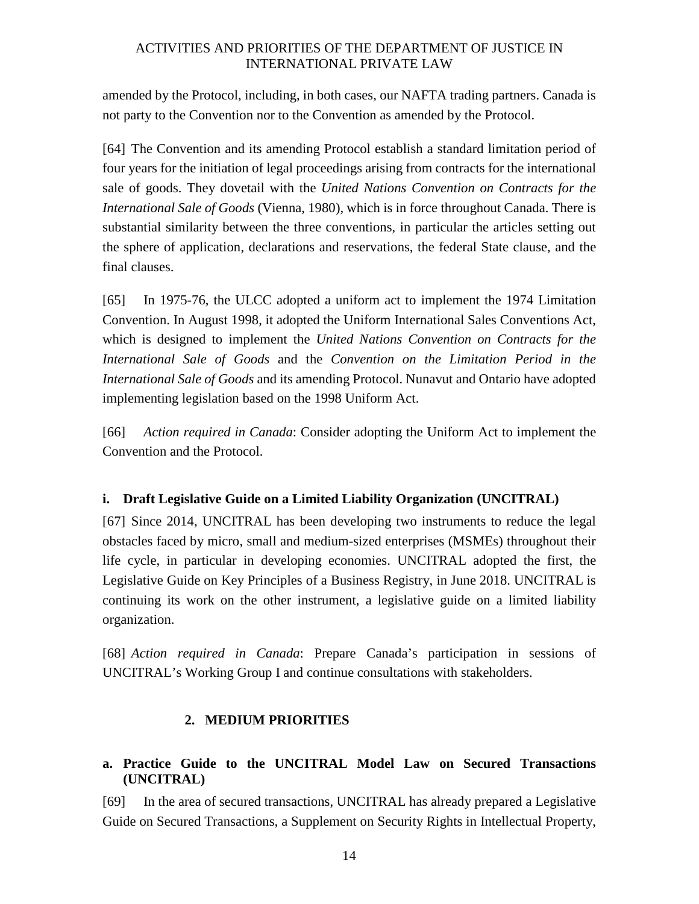amended by the Protocol, including, in both cases, our NAFTA trading partners. Canada is not party to the Convention nor to the Convention as amended by the Protocol.

[64] The Convention and its amending Protocol establish a standard limitation period of four years for the initiation of legal proceedings arising from contracts for the international sale of goods. They dovetail with the *United Nations Convention on Contracts for the International Sale of Goods* (Vienna, 1980), which is in force throughout Canada. There is substantial similarity between the three conventions, in particular the articles setting out the sphere of application, declarations and reservations, the federal State clause, and the final clauses.

[65] In 1975-76, the ULCC adopted a uniform act to implement the 1974 Limitation Convention. In August 1998, it adopted the Uniform International Sales Conventions Act, which is designed to implement the *United Nations Convention on Contracts for the International Sale of Goods* and the *Convention on the Limitation Period in the International Sale of Goods* and its amending Protocol. Nunavut and Ontario have adopted implementing legislation based on the 1998 Uniform Act.

[66] *Action required in Canada*: Consider adopting the Uniform Act to implement the Convention and the Protocol.

#### **i. Draft Legislative Guide on a Limited Liability Organization (UNCITRAL)**

[67] Since 2014, UNCITRAL has been developing two instruments to reduce the legal obstacles faced by micro, small and medium-sized enterprises (MSMEs) throughout their life cycle, in particular in developing economies. UNCITRAL adopted the first, the Legislative Guide on Key Principles of a Business Registry, in June 2018. UNCITRAL is continuing its work on the other instrument, a legislative guide on a limited liability organization.

[68] *Action required in Canada*: Prepare Canada's participation in sessions of UNCITRAL's Working Group I and continue consultations with stakeholders.

#### **2. MEDIUM PRIORITIES**

#### **a. Practice Guide to the UNCITRAL Model Law on Secured Transactions (UNCITRAL)**

[69] In the area of secured transactions, UNCITRAL has already prepared a Legislative Guide on Secured Transactions, a Supplement on Security Rights in Intellectual Property,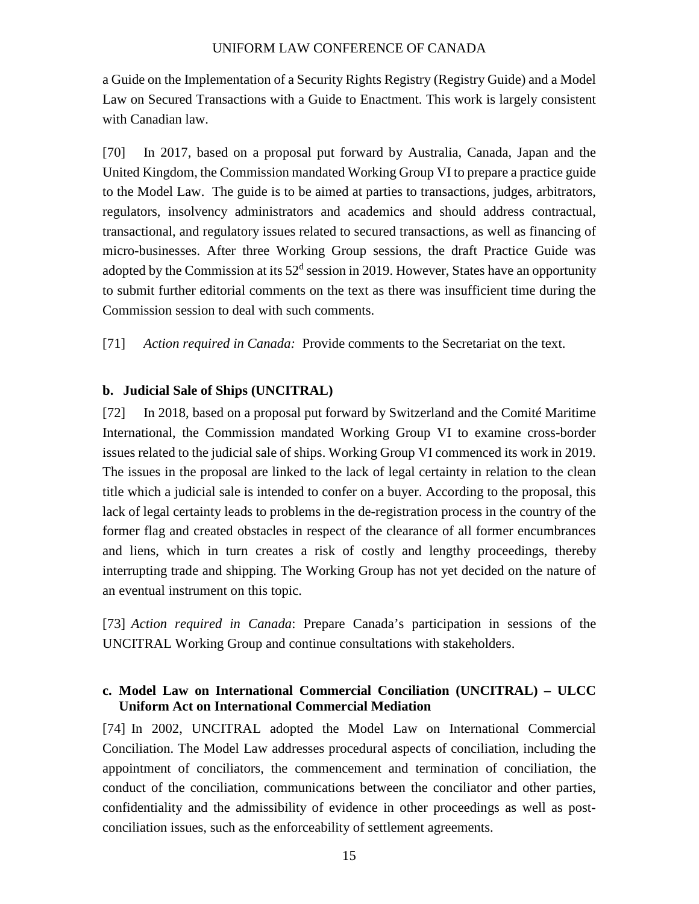a Guide on the Implementation of a Security Rights Registry (Registry Guide) and a Model Law on Secured Transactions with a Guide to Enactment. This work is largely consistent with Canadian law.

[70] In 2017, based on a proposal put forward by Australia, Canada, Japan and the United Kingdom, the Commission mandated Working Group VI to prepare a practice guide to the Model Law. The guide is to be aimed at parties to transactions, judges, arbitrators, regulators, insolvency administrators and academics and should address contractual, transactional, and regulatory issues related to secured transactions, as well as financing of micro-businesses. After three Working Group sessions, the draft Practice Guide was adopted by the Commission at its  $52<sup>d</sup>$  session in 2019. However, States have an opportunity to submit further editorial comments on the text as there was insufficient time during the Commission session to deal with such comments.

[71] *Action required in Canada:* Provide comments to the Secretariat on the text.

#### **b. Judicial Sale of Ships (UNCITRAL)**

[72] In 2018, based on a proposal put forward by Switzerland and the Comité Maritime International, the Commission mandated Working Group VI to examine cross-border issues related to the judicial sale of ships. Working Group VI commenced its work in 2019. The issues in the proposal are linked to the lack of legal certainty in relation to the clean title which a judicial sale is intended to confer on a buyer. According to the proposal, this lack of legal certainty leads to problems in the de-registration process in the country of the former flag and created obstacles in respect of the clearance of all former encumbrances and liens, which in turn creates a risk of costly and lengthy proceedings, thereby interrupting trade and shipping. The Working Group has not yet decided on the nature of an eventual instrument on this topic.

[73] *Action required in Canada*: Prepare Canada's participation in sessions of the UNCITRAL Working Group and continue consultations with stakeholders.

#### **c. Model Law on International Commercial Conciliation (UNCITRAL) – ULCC Uniform Act on International Commercial Mediation**

[74] In 2002, UNCITRAL adopted the Model Law on International Commercial Conciliation. The Model Law addresses procedural aspects of conciliation, including the appointment of conciliators, the commencement and termination of conciliation, the conduct of the conciliation, communications between the conciliator and other parties, confidentiality and the admissibility of evidence in other proceedings as well as postconciliation issues, such as the enforceability of settlement agreements.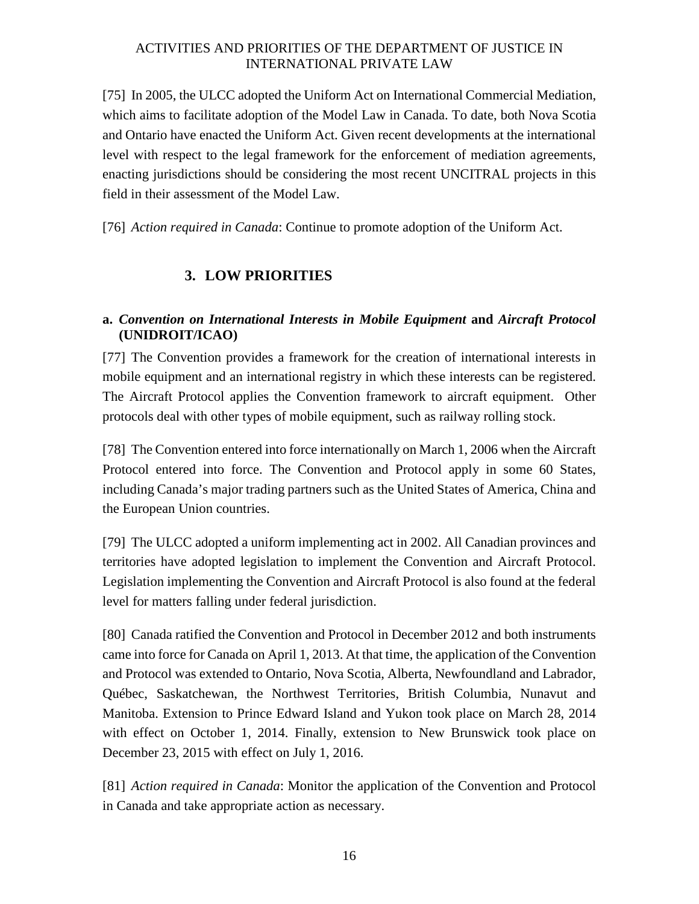[75] In 2005, the ULCC adopted the Uniform Act on International Commercial Mediation, which aims to facilitate adoption of the Model Law in Canada. To date, both Nova Scotia and Ontario have enacted the Uniform Act. Given recent developments at the international level with respect to the legal framework for the enforcement of mediation agreements, enacting jurisdictions should be considering the most recent UNCITRAL projects in this field in their assessment of the Model Law.

[76] *Action required in Canada*: Continue to promote adoption of the Uniform Act.

## **3. LOW PRIORITIES**

#### **a.** *Convention on International Interests in Mobile Equipment* **and** *Aircraft Protocol* **(UNIDROIT/ICAO)**

[77] The Convention provides a framework for the creation of international interests in mobile equipment and an international registry in which these interests can be registered. The Aircraft Protocol applies the Convention framework to aircraft equipment. Other protocols deal with other types of mobile equipment, such as railway rolling stock.

[78] The Convention entered into force internationally on March 1, 2006 when the Aircraft Protocol entered into force. The Convention and Protocol apply in some 60 States, including Canada's major trading partners such as the United States of America, China and the European Union countries.

[79] The ULCC adopted a uniform implementing act in 2002. All Canadian provinces and territories have adopted legislation to implement the Convention and Aircraft Protocol. Legislation implementing the Convention and Aircraft Protocol is also found at the federal level for matters falling under federal jurisdiction.

[80] Canada ratified the Convention and Protocol in December 2012 and both instruments came into force for Canada on April 1, 2013. At that time, the application of the Convention and Protocol was extended to Ontario, Nova Scotia, Alberta, Newfoundland and Labrador, Québec, Saskatchewan, the Northwest Territories, British Columbia, Nunavut and Manitoba. Extension to Prince Edward Island and Yukon took place on March 28, 2014 with effect on October 1, 2014. Finally, extension to New Brunswick took place on December 23, 2015 with effect on July 1, 2016.

[81] *Action required in Canada*: Monitor the application of the Convention and Protocol in Canada and take appropriate action as necessary.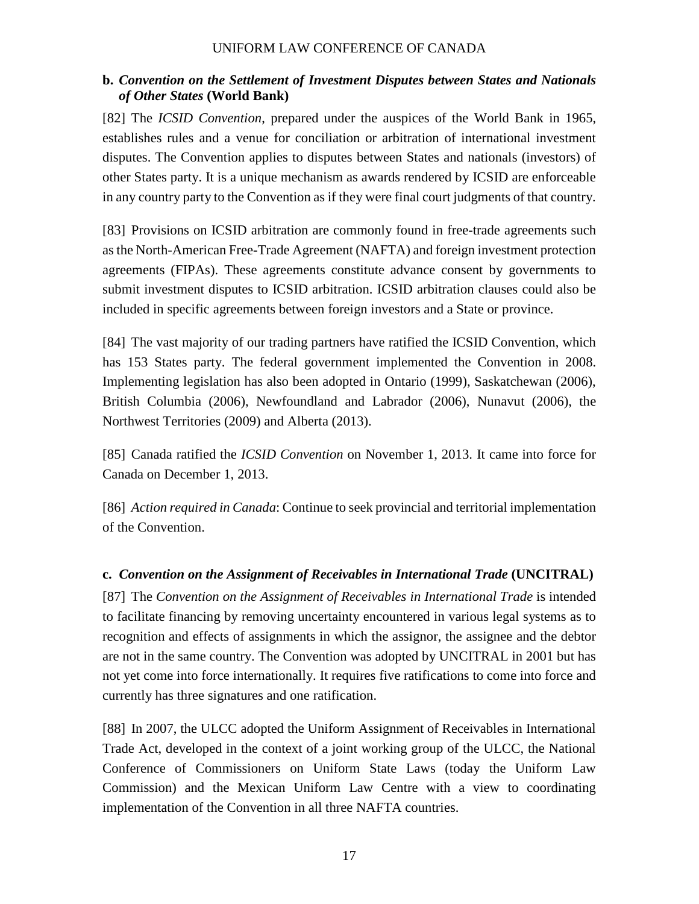#### **b.** *Convention on the Settlement of Investment Disputes between States and Nationals of Other States* **(World Bank)**

[82] The *ICSID Convention*, prepared under the auspices of the World Bank in 1965, establishes rules and a venue for conciliation or arbitration of international investment disputes. The Convention applies to disputes between States and nationals (investors) of other States party. It is a unique mechanism as awards rendered by ICSID are enforceable in any country party to the Convention as if they were final court judgments of that country.

[83] Provisions on ICSID arbitration are commonly found in free**-**trade agreements such as the North-American Free**-**Trade Agreement (NAFTA) and foreign investment protection agreements (FIPAs). These agreements constitute advance consent by governments to submit investment disputes to ICSID arbitration. ICSID arbitration clauses could also be included in specific agreements between foreign investors and a State or province.

[84] The vast majority of our trading partners have ratified the ICSID Convention, which has 153 States party. The federal government implemented the Convention in 2008. Implementing legislation has also been adopted in Ontario (1999), Saskatchewan (2006), British Columbia (2006), Newfoundland and Labrador (2006), Nunavut (2006), the Northwest Territories (2009) and Alberta (2013).

[85] Canada ratified the *ICSID Convention* on November 1, 2013. It came into force for Canada on December 1, 2013.

[86] *Action required in Canada*: Continue to seek provincial and territorial implementation of the Convention.

### **c.** *Convention on the Assignment of Receivables in International Trade* **(UNCITRAL)**

[87] The *Convention on the Assignment of Receivables in International Trade* is intended to facilitate financing by removing uncertainty encountered in various legal systems as to recognition and effects of assignments in which the assignor, the assignee and the debtor are not in the same country. The Convention was adopted by UNCITRAL in 2001 but has not yet come into force internationally. It requires five ratifications to come into force and currently has three signatures and one ratification.

[88] In 2007, the ULCC adopted the Uniform Assignment of Receivables in International Trade Act, developed in the context of a joint working group of the ULCC, the National Conference of Commissioners on Uniform State Laws (today the Uniform Law Commission) and the Mexican Uniform Law Centre with a view to coordinating implementation of the Convention in all three NAFTA countries.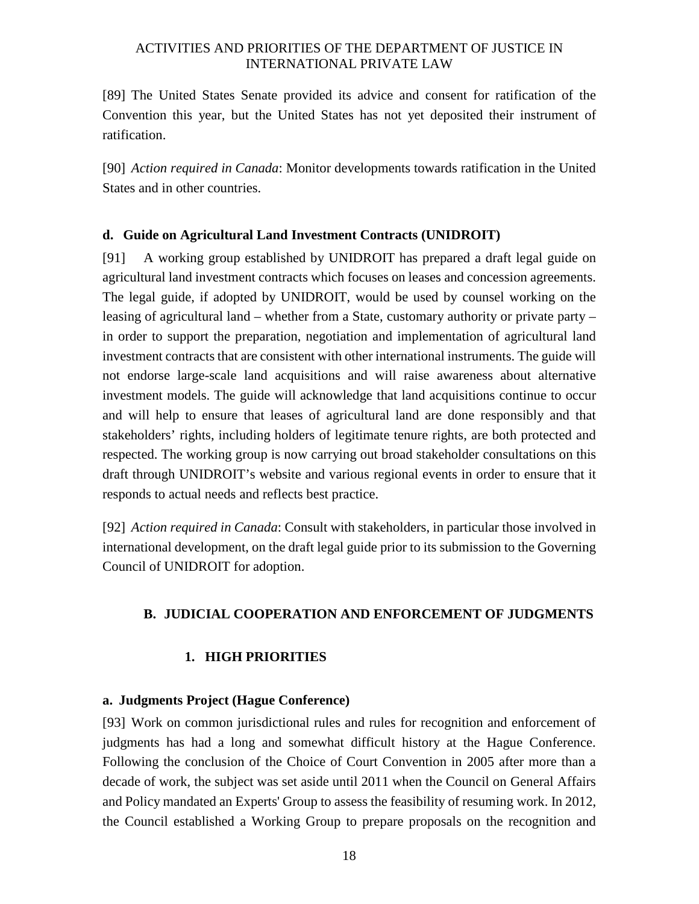[89] The United States Senate provided its advice and consent for ratification of the Convention this year, but the United States has not yet deposited their instrument of ratification.

[90] *Action required in Canada*: Monitor developments towards ratification in the United States and in other countries.

#### **d. Guide on Agricultural Land Investment Contracts (UNIDROIT)**

[91] A working group established by UNIDROIT has prepared a draft legal guide on agricultural land investment contracts which focuses on leases and concession agreements. The legal guide, if adopted by UNIDROIT, would be used by counsel working on the leasing of agricultural land – whether from a State, customary authority or private party – in order to support the preparation, negotiation and implementation of agricultural land investment contracts that are consistent with other international instruments. The guide will not endorse large-scale land acquisitions and will raise awareness about alternative investment models. The guide will acknowledge that land acquisitions continue to occur and will help to ensure that leases of agricultural land are done responsibly and that stakeholders' rights, including holders of legitimate tenure rights, are both protected and respected. The working group is now carrying out broad stakeholder consultations on this draft through UNIDROIT's website and various regional events in order to ensure that it responds to actual needs and reflects best practice.

[92] *Action required in Canada*: Consult with stakeholders, in particular those involved in international development, on the draft legal guide prior to its submission to the Governing Council of UNIDROIT for adoption.

#### **B. JUDICIAL COOPERATION AND ENFORCEMENT OF JUDGMENTS**

#### **1. HIGH PRIORITIES**

#### **a. Judgments Project (Hague Conference)**

[93] Work on common jurisdictional rules and rules for recognition and enforcement of judgments has had a long and somewhat difficult history at the Hague Conference. Following the conclusion of the Choice of Court Convention in 2005 after more than a decade of work, the subject was set aside until 2011 when the Council on General Affairs and Policy mandated an Experts' Group to assess the feasibility of resuming work. In 2012, the Council established a Working Group to prepare proposals on the recognition and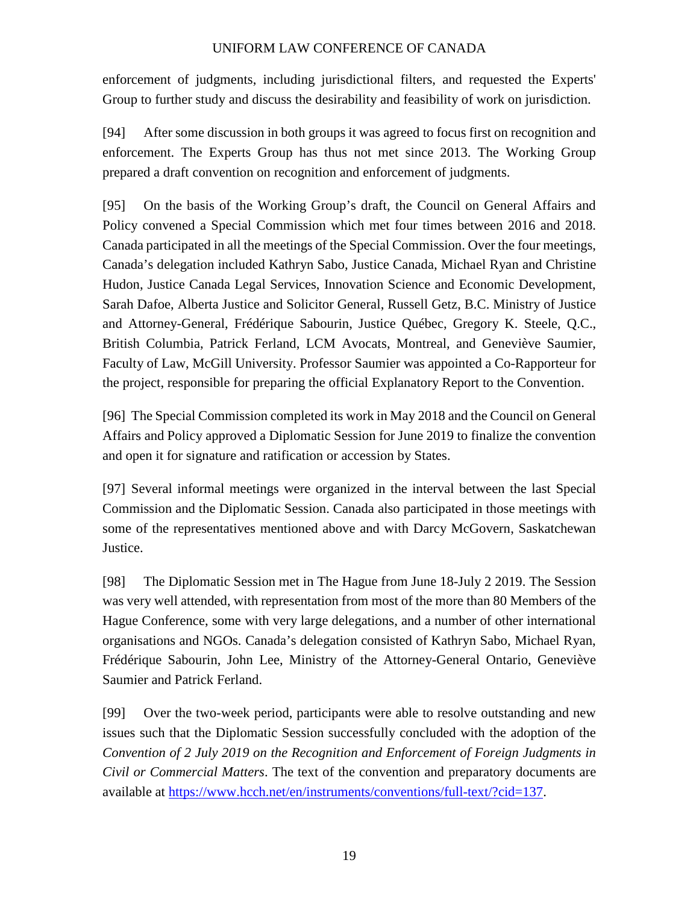enforcement of judgments, including jurisdictional filters, and requested the Experts' Group to further study and discuss the desirability and feasibility of work on jurisdiction.

[94] After some discussion in both groups it was agreed to focus first on recognition and enforcement. The Experts Group has thus not met since 2013. The Working Group prepared a draft convention on recognition and enforcement of judgments.

[95] On the basis of the Working Group's draft, the Council on General Affairs and Policy convened a Special Commission which met four times between 2016 and 2018. Canada participated in all the meetings of the Special Commission. Over the four meetings, Canada's delegation included Kathryn Sabo, Justice Canada, Michael Ryan and Christine Hudon, Justice Canada Legal Services, Innovation Science and Economic Development, Sarah Dafoe, Alberta Justice and Solicitor General, Russell Getz, B.C. Ministry of Justice and Attorney-General, Frédérique Sabourin, Justice Québec, Gregory K. Steele, Q.C., British Columbia, Patrick Ferland, LCM Avocats, Montreal, and Geneviève Saumier, Faculty of Law, McGill University. Professor Saumier was appointed a Co-Rapporteur for the project, responsible for preparing the official Explanatory Report to the Convention.

[96] The Special Commission completed its work in May 2018 and the Council on General Affairs and Policy approved a Diplomatic Session for June 2019 to finalize the convention and open it for signature and ratification or accession by States.

[97] Several informal meetings were organized in the interval between the last Special Commission and the Diplomatic Session. Canada also participated in those meetings with some of the representatives mentioned above and with Darcy McGovern, Saskatchewan Justice.

[98] The Diplomatic Session met in The Hague from June 18-July 2 2019. The Session was very well attended, with representation from most of the more than 80 Members of the Hague Conference, some with very large delegations, and a number of other international organisations and NGOs. Canada's delegation consisted of Kathryn Sabo, Michael Ryan, Frédérique Sabourin, John Lee, Ministry of the Attorney-General Ontario, Geneviève Saumier and Patrick Ferland.

[99] Over the two-week period, participants were able to resolve outstanding and new issues such that the Diplomatic Session successfully concluded with the adoption of the *Convention of 2 July 2019 on the Recognition and Enforcement of Foreign Judgments in Civil or Commercial Matters*. The text of the convention and preparatory documents are available at https://www.hcch.net/en/instruments/conventions/full-text/?cid=137.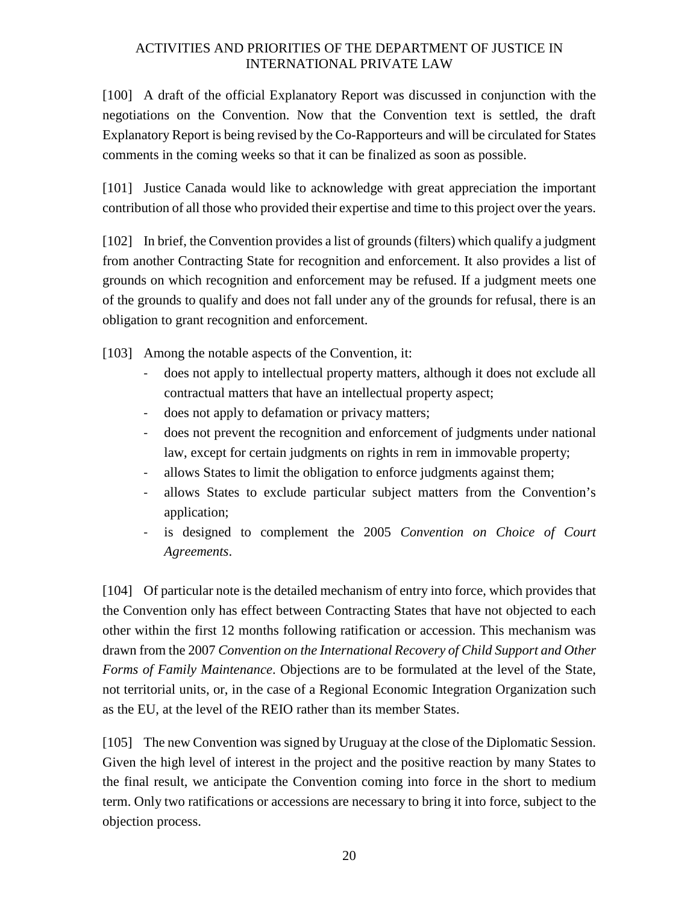[100] A draft of the official Explanatory Report was discussed in conjunction with the negotiations on the Convention. Now that the Convention text is settled, the draft Explanatory Report is being revised by the Co-Rapporteurs and will be circulated for States comments in the coming weeks so that it can be finalized as soon as possible.

[101] Justice Canada would like to acknowledge with great appreciation the important contribution of all those who provided their expertise and time to this project over the years.

[102] In brief, the Convention provides a list of grounds (filters) which qualify a judgment from another Contracting State for recognition and enforcement. It also provides a list of grounds on which recognition and enforcement may be refused. If a judgment meets one of the grounds to qualify and does not fall under any of the grounds for refusal, there is an obligation to grant recognition and enforcement.

[103] Among the notable aspects of the Convention, it:

- does not apply to intellectual property matters, although it does not exclude all contractual matters that have an intellectual property aspect;
- does not apply to defamation or privacy matters;
- does not prevent the recognition and enforcement of judgments under national law, except for certain judgments on rights in rem in immovable property;
- allows States to limit the obligation to enforce judgments against them;
- allows States to exclude particular subject matters from the Convention's application;
- is designed to complement the 2005 *Convention on Choice of Court Agreements*.

[104] Of particular note is the detailed mechanism of entry into force, which provides that the Convention only has effect between Contracting States that have not objected to each other within the first 12 months following ratification or accession. This mechanism was drawn from the 2007 *Convention on the International Recovery of Child Support and Other Forms of Family Maintenance*. Objections are to be formulated at the level of the State, not territorial units, or, in the case of a Regional Economic Integration Organization such as the EU, at the level of the REIO rather than its member States.

[105] The new Convention was signed by Uruguay at the close of the Diplomatic Session. Given the high level of interest in the project and the positive reaction by many States to the final result, we anticipate the Convention coming into force in the short to medium term. Only two ratifications or accessions are necessary to bring it into force, subject to the objection process.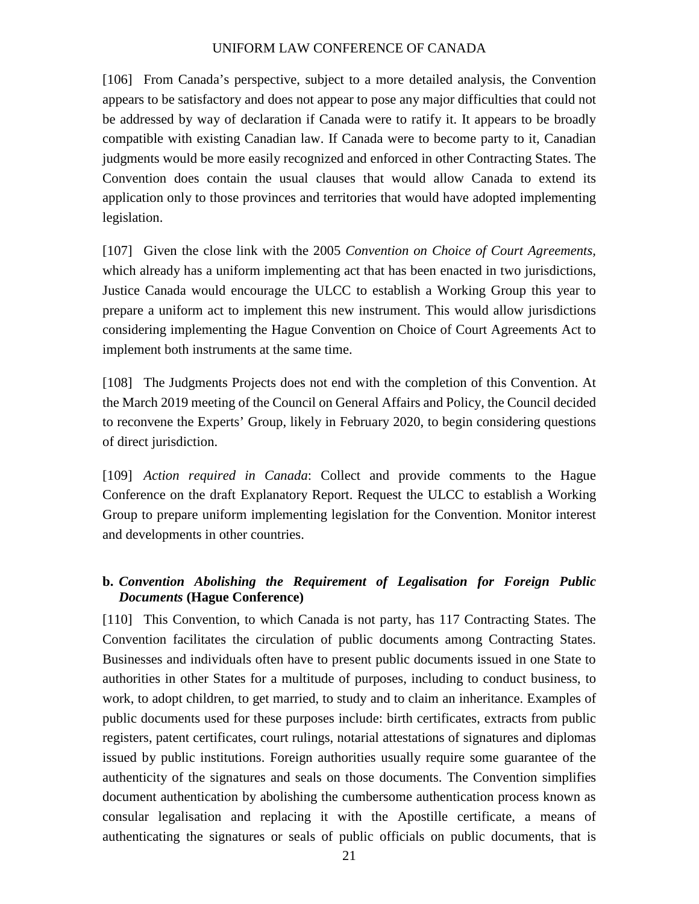[106] From Canada's perspective, subject to a more detailed analysis, the Convention appears to be satisfactory and does not appear to pose any major difficulties that could not be addressed by way of declaration if Canada were to ratify it. It appears to be broadly compatible with existing Canadian law. If Canada were to become party to it, Canadian judgments would be more easily recognized and enforced in other Contracting States. The Convention does contain the usual clauses that would allow Canada to extend its application only to those provinces and territories that would have adopted implementing legislation.

[107] Given the close link with the 2005 *Convention on Choice of Court Agreements,* which already has a uniform implementing act that has been enacted in two jurisdictions, Justice Canada would encourage the ULCC to establish a Working Group this year to prepare a uniform act to implement this new instrument. This would allow jurisdictions considering implementing the Hague Convention on Choice of Court Agreements Act to implement both instruments at the same time.

[108] The Judgments Projects does not end with the completion of this Convention. At the March 2019 meeting of the Council on General Affairs and Policy, the Council decided to reconvene the Experts' Group, likely in February 2020, to begin considering questions of direct jurisdiction.

[109] *Action required in Canada*: Collect and provide comments to the Hague Conference on the draft Explanatory Report. Request the ULCC to establish a Working Group to prepare uniform implementing legislation for the Convention. Monitor interest and developments in other countries.

#### **b.** *Convention Abolishing the Requirement of Legalisation for Foreign Public Documents* **(Hague Conference)**

[110] This Convention, to which Canada is not party, has 117 Contracting States. The Convention facilitates the circulation of public documents among Contracting States. Businesses and individuals often have to present public documents issued in one State to authorities in other States for a multitude of purposes, including to conduct business, to work, to adopt children, to get married, to study and to claim an inheritance. Examples of public documents used for these purposes include: birth certificates, extracts from public registers, patent certificates, court rulings, notarial attestations of signatures and diplomas issued by public institutions. Foreign authorities usually require some guarantee of the authenticity of the signatures and seals on those documents. The Convention simplifies document authentication by abolishing the cumbersome authentication process known as consular legalisation and replacing it with the Apostille certificate, a means of authenticating the signatures or seals of public officials on public documents, that is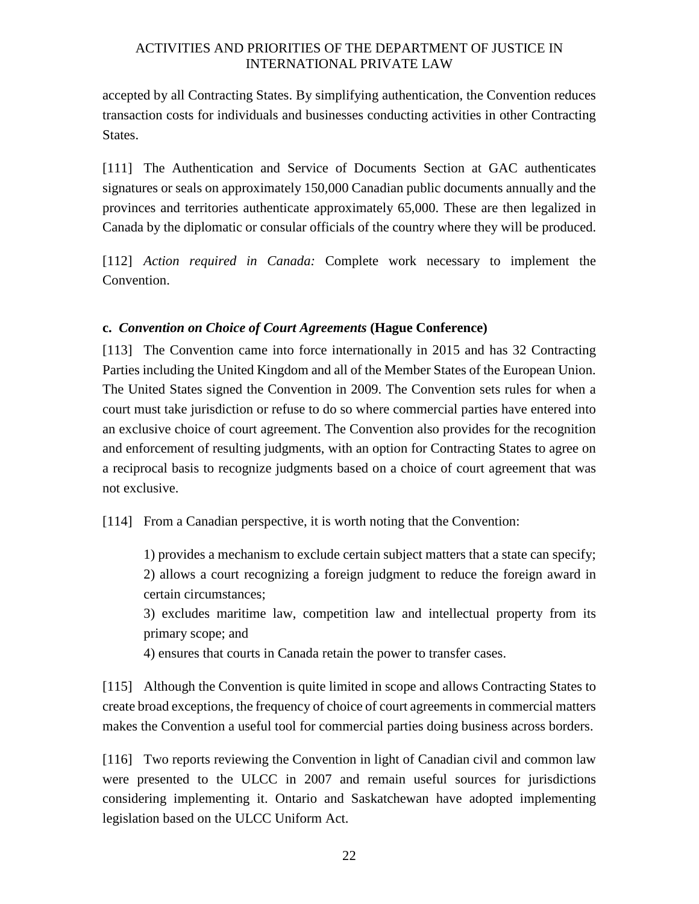accepted by all Contracting States. By simplifying authentication, the Convention reduces transaction costs for individuals and businesses conducting activities in other Contracting States.

[111] The Authentication and Service of Documents Section at GAC authenticates signatures or seals on approximately 150,000 Canadian public documents annually and the provinces and territories authenticate approximately 65,000. These are then legalized in Canada by the diplomatic or consular officials of the country where they will be produced.

[112] *Action required in Canada:* Complete work necessary to implement the Convention.

#### **c.** *Convention on Choice of Court Agreements* **(Hague Conference)**

[113] The Convention came into force internationally in 2015 and has 32 Contracting Parties including the United Kingdom and all of the Member States of the European Union. The United States signed the Convention in 2009. The Convention sets rules for when a court must take jurisdiction or refuse to do so where commercial parties have entered into an exclusive choice of court agreement. The Convention also provides for the recognition and enforcement of resulting judgments, with an option for Contracting States to agree on a reciprocal basis to recognize judgments based on a choice of court agreement that was not exclusive.

[114] From a Canadian perspective, it is worth noting that the Convention:

1) provides a mechanism to exclude certain subject matters that a state can specify; 2) allows a court recognizing a foreign judgment to reduce the foreign award in certain circumstances;

3) excludes maritime law, competition law and intellectual property from its primary scope; and

4) ensures that courts in Canada retain the power to transfer cases.

[115] Although the Convention is quite limited in scope and allows Contracting States to create broad exceptions, the frequency of choice of court agreements in commercial matters makes the Convention a useful tool for commercial parties doing business across borders.

[116] Two reports reviewing the Convention in light of Canadian civil and common law were presented to the ULCC in 2007 and remain useful sources for jurisdictions considering implementing it. Ontario and Saskatchewan have adopted implementing legislation based on the ULCC Uniform Act.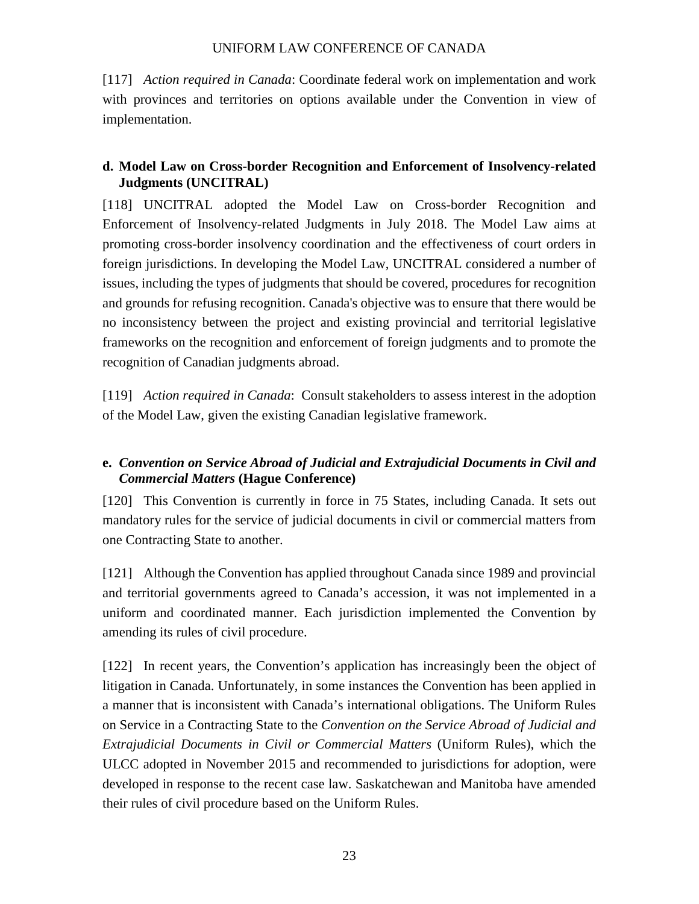[117] *Action required in Canada*: Coordinate federal work on implementation and work with provinces and territories on options available under the Convention in view of implementation.

#### **d. Model Law on Cross-border Recognition and Enforcement of Insolvency-related Judgments (UNCITRAL)**

[118] UNCITRAL adopted the Model Law on Cross-border Recognition and Enforcement of Insolvency-related Judgments in July 2018. The Model Law aims at promoting cross-border insolvency coordination and the effectiveness of court orders in foreign jurisdictions. In developing the Model Law, UNCITRAL considered a number of issues, including the types of judgments that should be covered, procedures for recognition and grounds for refusing recognition. Canada's objective was to ensure that there would be no inconsistency between the project and existing provincial and territorial legislative frameworks on the recognition and enforcement of foreign judgments and to promote the recognition of Canadian judgments abroad.

[119] *Action required in Canada*: Consult stakeholders to assess interest in the adoption of the Model Law, given the existing Canadian legislative framework.

#### **e.** *Convention on Service Abroad of Judicial and Extrajudicial Documents in Civil and Commercial Matters* **(Hague Conference)**

[120] This Convention is currently in force in 75 States, including Canada. It sets out mandatory rules for the service of judicial documents in civil or commercial matters from one Contracting State to another.

[121] Although the Convention has applied throughout Canada since 1989 and provincial and territorial governments agreed to Canada's accession, it was not implemented in a uniform and coordinated manner. Each jurisdiction implemented the Convention by amending its rules of civil procedure.

[122] In recent years, the Convention's application has increasingly been the object of litigation in Canada. Unfortunately, in some instances the Convention has been applied in a manner that is inconsistent with Canada's international obligations. The Uniform Rules on Service in a Contracting State to the *Convention on the Service Abroad of Judicial and Extrajudicial Documents in Civil or Commercial Matters* (Uniform Rules), which the ULCC adopted in November 2015 and recommended to jurisdictions for adoption, were developed in response to the recent case law. Saskatchewan and Manitoba have amended their rules of civil procedure based on the Uniform Rules.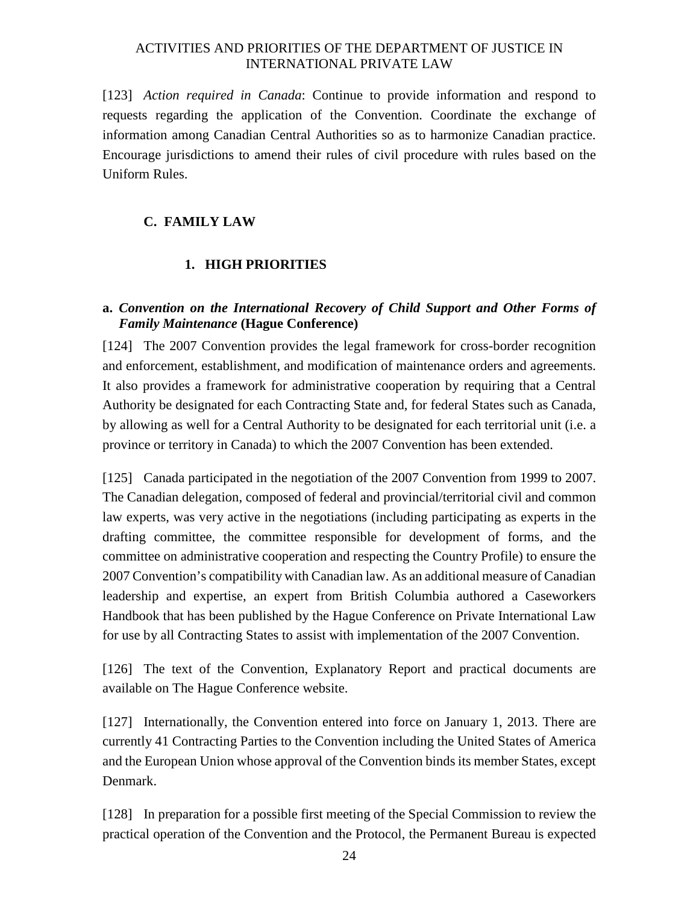[123] *Action required in Canada*: Continue to provide information and respond to requests regarding the application of the Convention. Coordinate the exchange of information among Canadian Central Authorities so as to harmonize Canadian practice. Encourage jurisdictions to amend their rules of civil procedure with rules based on the Uniform Rules.

#### **C. FAMILY LAW**

#### **1. HIGH PRIORITIES**

#### **a.** *Convention on the International Recovery of Child Support and Other Forms of Family Maintenance* **(Hague Conference)**

[124] The 2007 Convention provides the legal framework for cross-border recognition and enforcement, establishment, and modification of maintenance orders and agreements. It also provides a framework for administrative cooperation by requiring that a Central Authority be designated for each Contracting State and, for federal States such as Canada, by allowing as well for a Central Authority to be designated for each territorial unit (i.e. a province or territory in Canada) to which the 2007 Convention has been extended.

[125] Canada participated in the negotiation of the 2007 Convention from 1999 to 2007. The Canadian delegation, composed of federal and provincial/territorial civil and common law experts, was very active in the negotiations (including participating as experts in the drafting committee, the committee responsible for development of forms, and the committee on administrative cooperation and respecting the Country Profile) to ensure the 2007 Convention's compatibility with Canadian law. As an additional measure of Canadian leadership and expertise, an expert from British Columbia authored a Caseworkers Handbook that has been published by the Hague Conference on Private International Law for use by all Contracting States to assist with implementation of the 2007 Convention.

[126] The text of the Convention, Explanatory Report and practical documents are available on The Hague Conference website.

[127] Internationally, the Convention entered into force on January 1, 2013. There are currently 41 Contracting Parties to the Convention including the United States of America and the European Union whose approval of the Convention binds its member States, except Denmark.

[128] In preparation for a possible first meeting of the Special Commission to review the practical operation of the Convention and the Protocol, the Permanent Bureau is expected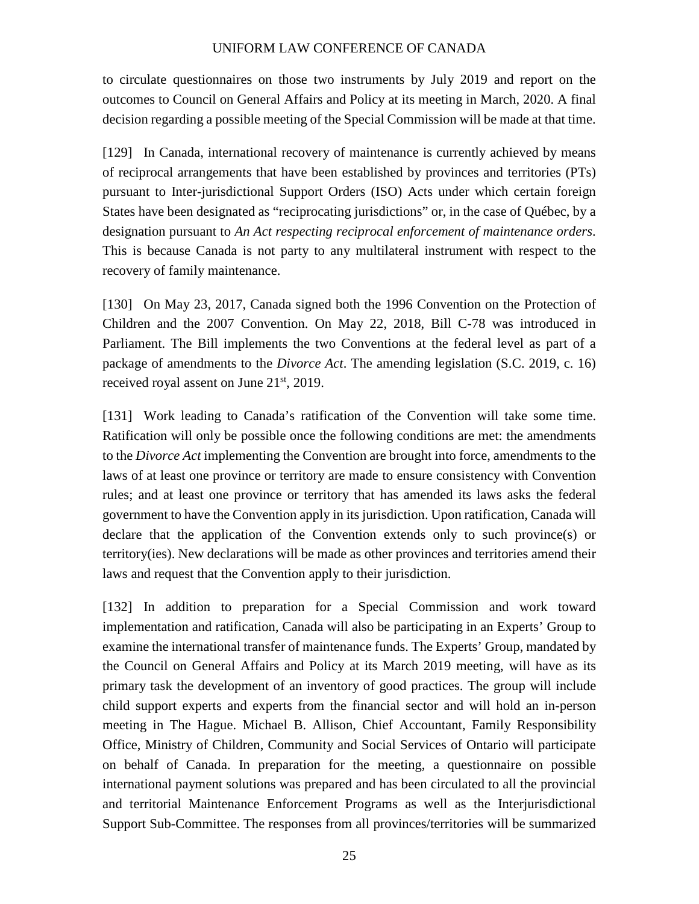to circulate questionnaires on those two instruments by July 2019 and report on the outcomes to Council on General Affairs and Policy at its meeting in March, 2020. A final decision regarding a possible meeting of the Special Commission will be made at that time.

[129] In Canada, international recovery of maintenance is currently achieved by means of reciprocal arrangements that have been established by provinces and territories (PTs) pursuant to Inter-jurisdictional Support Orders (ISO) Acts under which certain foreign States have been designated as "reciprocating jurisdictions" or, in the case of Québec, by a designation pursuant to *An Act respecting reciprocal enforcement of maintenance orders*. This is because Canada is not party to any multilateral instrument with respect to the recovery of family maintenance.

[130] On May 23, 2017, Canada signed both the 1996 Convention on the Protection of Children and the 2007 Convention. On May 22, 2018, Bill C-78 was introduced in Parliament. The Bill implements the two Conventions at the federal level as part of a package of amendments to the *Divorce Act*. The amending legislation (S.C. 2019, c. 16) received royal assent on June  $21<sup>st</sup>$ , 2019.

[131] Work leading to Canada's ratification of the Convention will take some time. Ratification will only be possible once the following conditions are met: the amendments to the *Divorce Act* implementing the Convention are brought into force, amendments to the laws of at least one province or territory are made to ensure consistency with Convention rules; and at least one province or territory that has amended its laws asks the federal government to have the Convention apply in its jurisdiction. Upon ratification, Canada will declare that the application of the Convention extends only to such province(s) or territory(ies). New declarations will be made as other provinces and territories amend their laws and request that the Convention apply to their jurisdiction.

[132] In addition to preparation for a Special Commission and work toward implementation and ratification, Canada will also be participating in an Experts' Group to examine the international transfer of maintenance funds. The Experts' Group, mandated by the Council on General Affairs and Policy at its March 2019 meeting, will have as its primary task the development of an inventory of good practices. The group will include child support experts and experts from the financial sector and will hold an in-person meeting in The Hague. Michael B. Allison, Chief Accountant, Family Responsibility Office, Ministry of Children, Community and Social Services of Ontario will participate on behalf of Canada. In preparation for the meeting, a questionnaire on possible international payment solutions was prepared and has been circulated to all the provincial and territorial Maintenance Enforcement Programs as well as the Interjurisdictional Support Sub-Committee. The responses from all provinces/territories will be summarized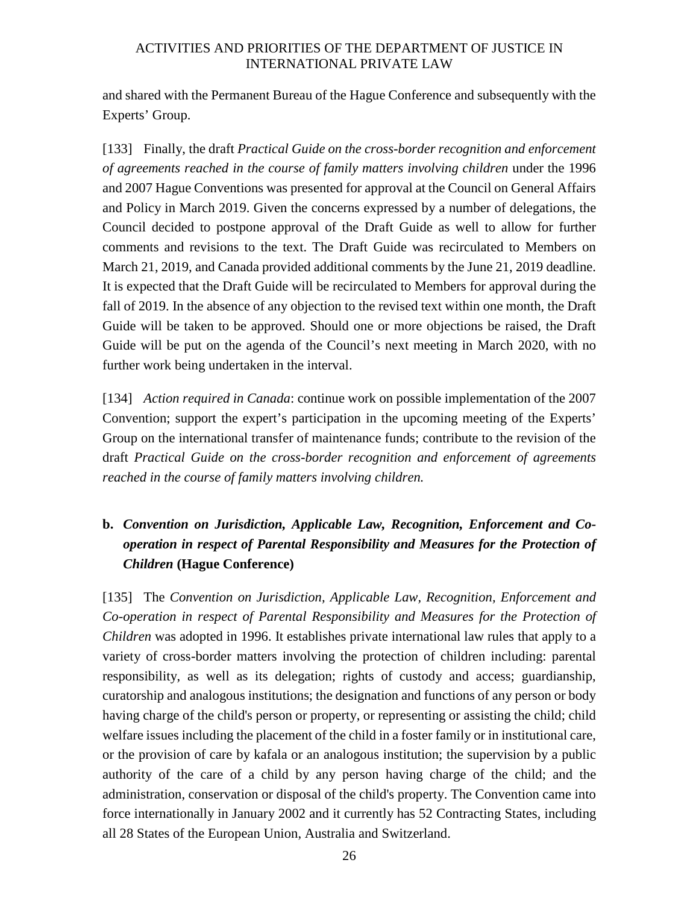and shared with the Permanent Bureau of the Hague Conference and subsequently with the Experts' Group.

[133] Finally, the draft *Practical Guide on the cross-border recognition and enforcement of agreements reached in the course of family matters involving children* under the 1996 and 2007 Hague Conventions was presented for approval at the Council on General Affairs and Policy in March 2019. Given the concerns expressed by a number of delegations, the Council decided to postpone approval of the Draft Guide as well to allow for further comments and revisions to the text. The Draft Guide was recirculated to Members on March 21, 2019, and Canada provided additional comments by the June 21, 2019 deadline. It is expected that the Draft Guide will be recirculated to Members for approval during the fall of 2019. In the absence of any objection to the revised text within one month, the Draft Guide will be taken to be approved. Should one or more objections be raised, the Draft Guide will be put on the agenda of the Council's next meeting in March 2020, with no further work being undertaken in the interval.

[134] *Action required in Canada*: continue work on possible implementation of the 2007 Convention; support the expert's participation in the upcoming meeting of the Experts' Group on the international transfer of maintenance funds; contribute to the revision of the draft *Practical Guide on the cross-border recognition and enforcement of agreements reached in the course of family matters involving children.*

# **b.** *Convention on Jurisdiction, Applicable Law, Recognition, Enforcement and Cooperation in respect of Parental Responsibility and Measures for the Protection of Children* **(Hague Conference)**

[135] The *Convention on Jurisdiction, Applicable Law, Recognition, Enforcement and Co-operation in respect of Parental Responsibility and Measures for the Protection of Children* was adopted in 1996. It establishes private international law rules that apply to a variety of cross-border matters involving the protection of children including: parental responsibility, as well as its delegation; rights of custody and access; guardianship, curatorship and analogous institutions; the designation and functions of any person or body having charge of the child's person or property, or representing or assisting the child; child welfare issues including the placement of the child in a foster family or in institutional care, or the provision of care by kafala or an analogous institution; the supervision by a public authority of the care of a child by any person having charge of the child; and the administration, conservation or disposal of the child's property. The Convention came into force internationally in January 2002 and it currently has 52 Contracting States, including all 28 States of the European Union, Australia and Switzerland.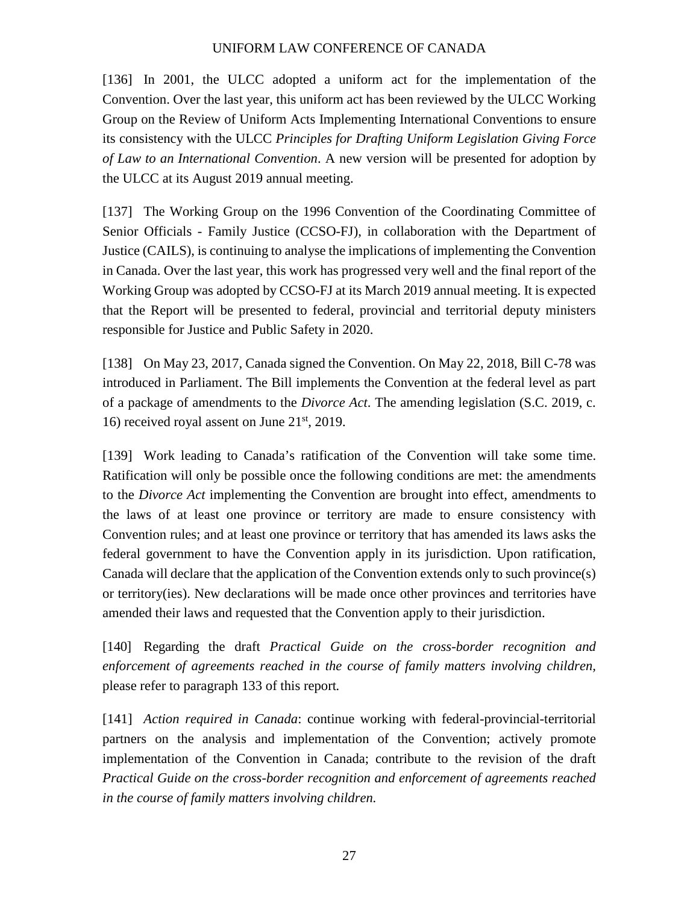[136] In 2001, the ULCC adopted a uniform act for the implementation of the Convention. Over the last year, this uniform act has been reviewed by the ULCC Working Group on the Review of Uniform Acts Implementing International Conventions to ensure its consistency with the ULCC *Principles for Drafting Uniform Legislation Giving Force of Law to an International Convention*. A new version will be presented for adoption by the ULCC at its August 2019 annual meeting.

[137] The Working Group on the 1996 Convention of the Coordinating Committee of Senior Officials - Family Justice (CCSO-FJ), in collaboration with the Department of Justice (CAILS), is continuing to analyse the implications of implementing the Convention in Canada. Over the last year, this work has progressed very well and the final report of the Working Group was adopted by CCSO-FJ at its March 2019 annual meeting. It is expected that the Report will be presented to federal, provincial and territorial deputy ministers responsible for Justice and Public Safety in 2020.

[138] On May 23, 2017, Canada signed the Convention. On May 22, 2018, Bill C-78 was introduced in Parliament. The Bill implements the Convention at the federal level as part of a package of amendments to the *Divorce Act*. The amending legislation (S.C. 2019, c. 16) received royal assent on June  $21<sup>st</sup>$ , 2019.

[139] Work leading to Canada's ratification of the Convention will take some time. Ratification will only be possible once the following conditions are met: the amendments to the *Divorce Act* implementing the Convention are brought into effect, amendments to the laws of at least one province or territory are made to ensure consistency with Convention rules; and at least one province or territory that has amended its laws asks the federal government to have the Convention apply in its jurisdiction. Upon ratification, Canada will declare that the application of the Convention extends only to such province(s) or territory(ies). New declarations will be made once other provinces and territories have amended their laws and requested that the Convention apply to their jurisdiction.

[140] Regarding the draft *Practical Guide on the cross-border recognition and enforcement of agreements reached in the course of family matters involving children,*  please refer to paragraph 133 of this report*.*

[141] *Action required in Canada*: continue working with federal-provincial-territorial partners on the analysis and implementation of the Convention; actively promote implementation of the Convention in Canada; contribute to the revision of the draft *Practical Guide on the cross-border recognition and enforcement of agreements reached in the course of family matters involving children.*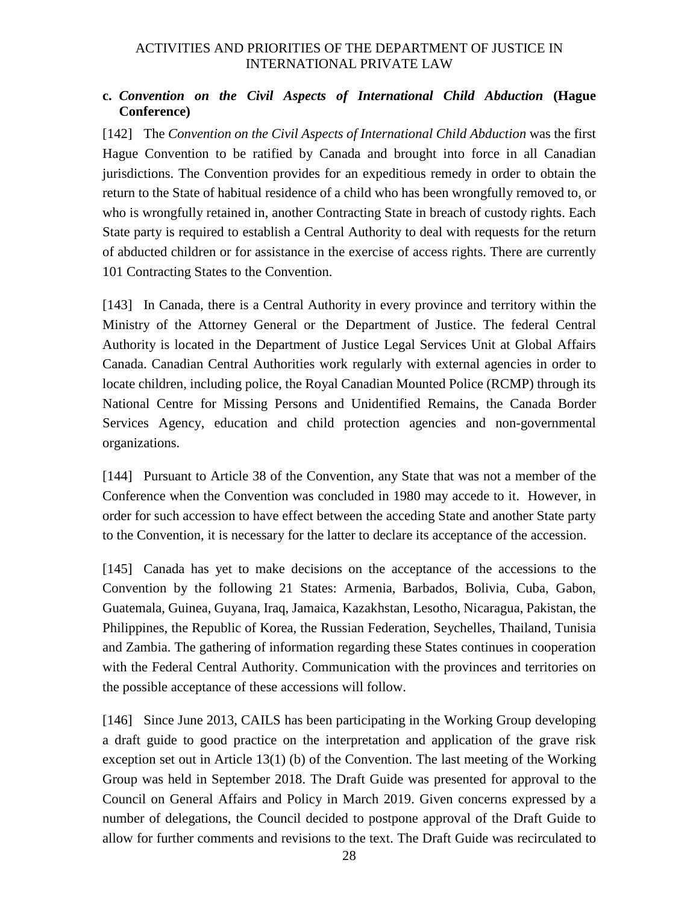#### **c.** *Convention on the Civil Aspects of International Child Abduction* **(Hague Conference)**

[142] The *Convention on the Civil Aspects of International Child Abduction* was the first Hague Convention to be ratified by Canada and brought into force in all Canadian jurisdictions. The Convention provides for an expeditious remedy in order to obtain the return to the State of habitual residence of a child who has been wrongfully removed to, or who is wrongfully retained in, another Contracting State in breach of custody rights. Each State party is required to establish a Central Authority to deal with requests for the return of abducted children or for assistance in the exercise of access rights. There are currently 101 Contracting States to the Convention.

[143] In Canada, there is a Central Authority in every province and territory within the Ministry of the Attorney General or the Department of Justice. The federal Central Authority is located in the Department of Justice Legal Services Unit at Global Affairs Canada. Canadian Central Authorities work regularly with external agencies in order to locate children, including police, the Royal Canadian Mounted Police (RCMP) through its National Centre for Missing Persons and Unidentified Remains, the Canada Border Services Agency, education and child protection agencies and non-governmental organizations.

[144] Pursuant to Article 38 of the Convention, any State that was not a member of the Conference when the Convention was concluded in 1980 may accede to it. However, in order for such accession to have effect between the acceding State and another State party to the Convention, it is necessary for the latter to declare its acceptance of the accession.

[145] Canada has yet to make decisions on the acceptance of the accessions to the Convention by the following 21 States: Armenia, Barbados, Bolivia, Cuba, Gabon, Guatemala, Guinea, Guyana, Iraq, Jamaica, Kazakhstan, Lesotho, Nicaragua, Pakistan, the Philippines, the Republic of Korea, the Russian Federation, Seychelles, Thailand, Tunisia and Zambia. The gathering of information regarding these States continues in cooperation with the Federal Central Authority. Communication with the provinces and territories on the possible acceptance of these accessions will follow.

[146] Since June 2013, CAILS has been participating in the Working Group developing a draft guide to good practice on the interpretation and application of the grave risk exception set out in Article 13(1) (b) of the Convention. The last meeting of the Working Group was held in September 2018. The Draft Guide was presented for approval to the Council on General Affairs and Policy in March 2019. Given concerns expressed by a number of delegations, the Council decided to postpone approval of the Draft Guide to allow for further comments and revisions to the text. The Draft Guide was recirculated to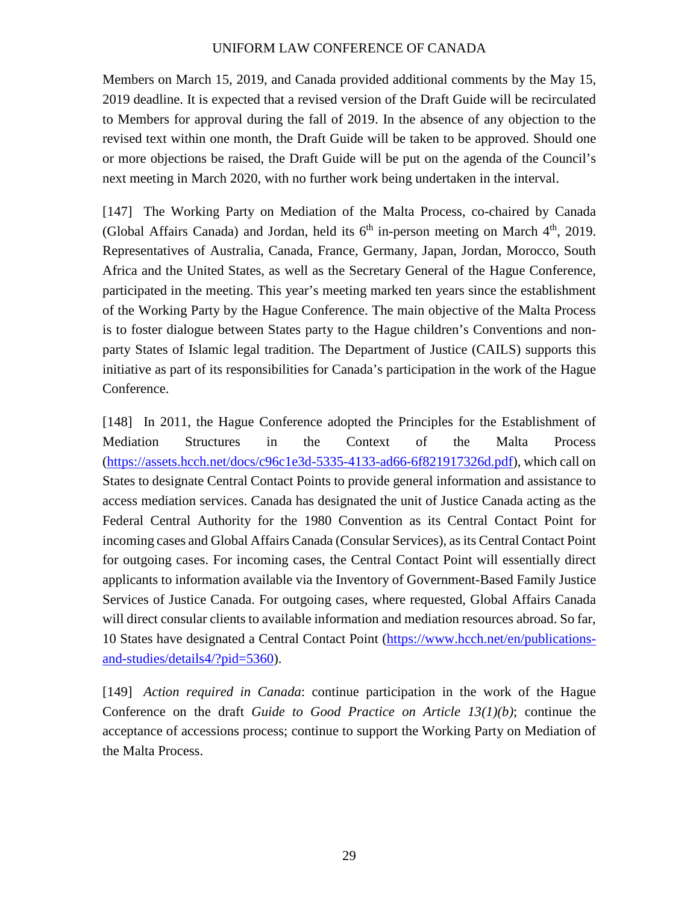Members on March 15, 2019, and Canada provided additional comments by the May 15, 2019 deadline. It is expected that a revised version of the Draft Guide will be recirculated to Members for approval during the fall of 2019. In the absence of any objection to the revised text within one month, the Draft Guide will be taken to be approved. Should one or more objections be raised, the Draft Guide will be put on the agenda of the Council's next meeting in March 2020, with no further work being undertaken in the interval.

[147] The Working Party on Mediation of the Malta Process, co-chaired by Canada (Global Affairs Canada) and Jordan, held its  $6<sup>th</sup>$  in-person meeting on March  $4<sup>th</sup>$ , 2019. Representatives of Australia, Canada, France, Germany, Japan, Jordan, Morocco, South Africa and the United States, as well as the Secretary General of the Hague Conference, participated in the meeting. This year's meeting marked ten years since the establishment of the Working Party by the Hague Conference. The main objective of the Malta Process is to foster dialogue between States party to the Hague children's Conventions and nonparty States of Islamic legal tradition. The Department of Justice (CAILS) supports this initiative as part of its responsibilities for Canada's participation in the work of the Hague Conference.

[148] In 2011, the Hague Conference adopted the Principles for the Establishment of Mediation Structures in the Context of the Malta Process (https://assets.hcch.net/docs/c96c1e3d-5335-4133-ad66-6f821917326d.pdf), which call on States to designate Central Contact Points to provide general information and assistance to access mediation services. Canada has designated the unit of Justice Canada acting as the Federal Central Authority for the 1980 Convention as its Central Contact Point for incoming cases and Global Affairs Canada (Consular Services), as its Central Contact Point for outgoing cases. For incoming cases, the Central Contact Point will essentially direct applicants to information available via the Inventory of Government-Based Family Justice Services of Justice Canada. For outgoing cases, where requested, Global Affairs Canada will direct consular clients to available information and mediation resources abroad. So far, 10 States have designated a Central Contact Point (https://www.hcch.net/en/publicationsand-studies/details4/?pid=5360).

[149] *Action required in Canada*: continue participation in the work of the Hague Conference on the draft *Guide to Good Practice on Article 13(1)(b)*; continue the acceptance of accessions process; continue to support the Working Party on Mediation of the Malta Process.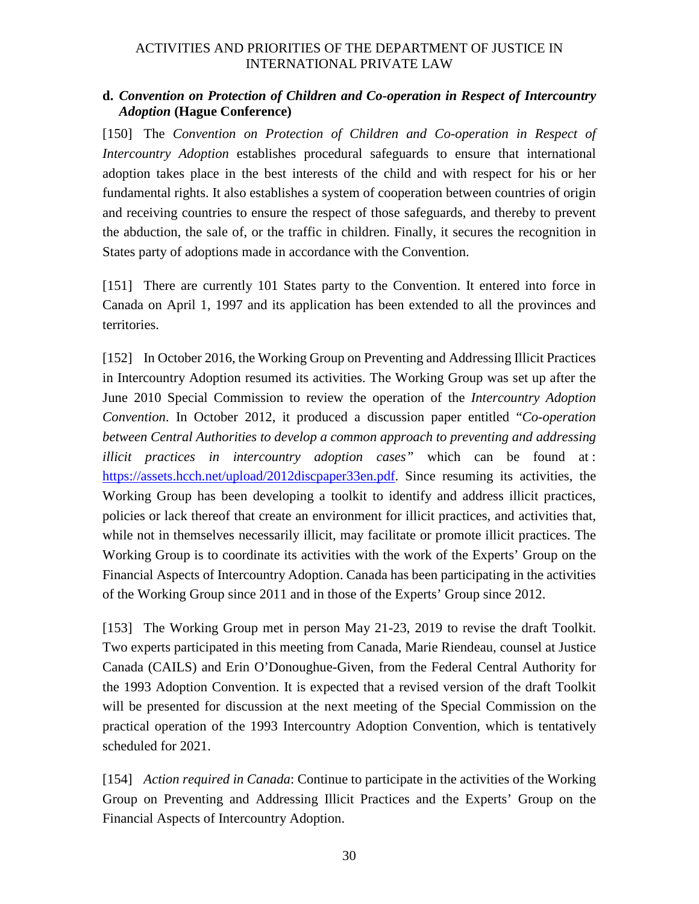#### **d.** *Convention on Protection of Children and Co-operation in Respect of Intercountry Adoption* **(Hague Conference)**

[150] The *Convention on Protection of Children and Co-operation in Respect of Intercountry Adoption* establishes procedural safeguards to ensure that international adoption takes place in the best interests of the child and with respect for his or her fundamental rights. It also establishes a system of cooperation between countries of origin and receiving countries to ensure the respect of those safeguards, and thereby to prevent the abduction, the sale of, or the traffic in children. Finally, it secures the recognition in States party of adoptions made in accordance with the Convention.

[151] There are currently 101 States party to the Convention. It entered into force in Canada on April 1, 1997 and its application has been extended to all the provinces and territories.

[152] In October 2016, the Working Group on Preventing and Addressing Illicit Practices in Intercountry Adoption resumed its activities. The Working Group was set up after the June 2010 Special Commission to review the operation of the *Intercountry Adoption Convention*. In October 2012, it produced a discussion paper entitled "*Co-operation between Central Authorities to develop a common approach to preventing and addressing illicit practices in intercountry adoption cases"* which can be found at : https://assets.hcch.net/upload/2012discpaper33en.pdf. Since resuming its activities, the Working Group has been developing a toolkit to identify and address illicit practices, policies or lack thereof that create an environment for illicit practices, and activities that, while not in themselves necessarily illicit, may facilitate or promote illicit practices. The Working Group is to coordinate its activities with the work of the Experts' Group on the Financial Aspects of Intercountry Adoption. Canada has been participating in the activities of the Working Group since 2011 and in those of the Experts' Group since 2012.

[153] The Working Group met in person May 21-23, 2019 to revise the draft Toolkit. Two experts participated in this meeting from Canada, Marie Riendeau, counsel at Justice Canada (CAILS) and Erin O'Donoughue-Given, from the Federal Central Authority for the 1993 Adoption Convention. It is expected that a revised version of the draft Toolkit will be presented for discussion at the next meeting of the Special Commission on the practical operation of the 1993 Intercountry Adoption Convention, which is tentatively scheduled for 2021.

[154] *Action required in Canada*: Continue to participate in the activities of the Working Group on Preventing and Addressing Illicit Practices and the Experts' Group on the Financial Aspects of Intercountry Adoption.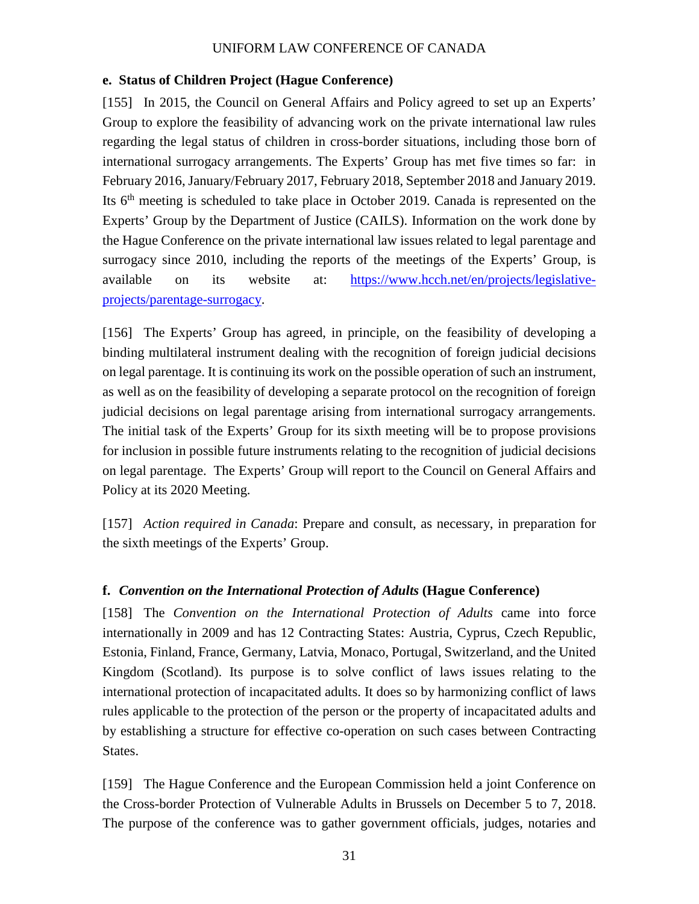#### **e. Status of Children Project (Hague Conference)**

[155] In 2015, the Council on General Affairs and Policy agreed to set up an Experts' Group to explore the feasibility of advancing work on the private international law rules regarding the legal status of children in cross-border situations, including those born of international surrogacy arrangements. The Experts' Group has met five times so far: in February 2016, January/February 2017, February 2018, September 2018 and January 2019. Its 6th meeting is scheduled to take place in October 2019. Canada is represented on the Experts' Group by the Department of Justice (CAILS). Information on the work done by the Hague Conference on the private international law issues related to legal parentage and surrogacy since 2010, including the reports of the meetings of the Experts' Group, is available on its website at: https://www.hcch.net/en/projects/legislativeprojects/parentage-surrogacy.

[156] The Experts' Group has agreed, in principle, on the feasibility of developing a binding multilateral instrument dealing with the recognition of foreign judicial decisions on legal parentage. It is continuing its work on the possible operation of such an instrument, as well as on the feasibility of developing a separate protocol on the recognition of foreign judicial decisions on legal parentage arising from international surrogacy arrangements. The initial task of the Experts' Group for its sixth meeting will be to propose provisions for inclusion in possible future instruments relating to the recognition of judicial decisions on legal parentage. The Experts' Group will report to the Council on General Affairs and Policy at its 2020 Meeting.

[157] *Action required in Canada*: Prepare and consult, as necessary, in preparation for the sixth meetings of the Experts' Group.

#### **f.** *Convention on the International Protection of Adults* **(Hague Conference)**

[158] The *Convention on the International Protection of Adults* came into force internationally in 2009 and has 12 Contracting States: Austria, Cyprus, Czech Republic, Estonia, Finland, France, Germany, Latvia, Monaco, Portugal, Switzerland, and the United Kingdom (Scotland). Its purpose is to solve conflict of laws issues relating to the international protection of incapacitated adults. It does so by harmonizing conflict of laws rules applicable to the protection of the person or the property of incapacitated adults and by establishing a structure for effective co-operation on such cases between Contracting States.

[159] The Hague Conference and the European Commission held a joint Conference on the Cross-border Protection of Vulnerable Adults in Brussels on December 5 to 7, 2018. The purpose of the conference was to gather government officials, judges, notaries and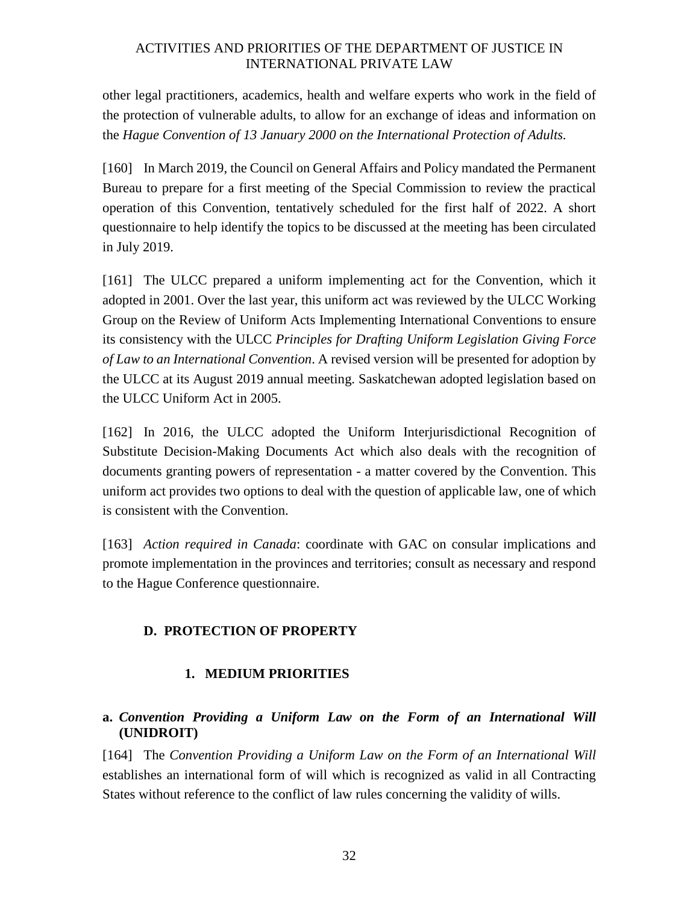other legal practitioners, academics, health and welfare experts who work in the field of the protection of vulnerable adults, to allow for an exchange of ideas and information on the *Hague Convention of 13 January 2000 on the International Protection of Adults.* 

[160] In March 2019, the Council on General Affairs and Policy mandated the Permanent Bureau to prepare for a first meeting of the Special Commission to review the practical operation of this Convention, tentatively scheduled for the first half of 2022. A short questionnaire to help identify the topics to be discussed at the meeting has been circulated in July 2019.

[161] The ULCC prepared a uniform implementing act for the Convention, which it adopted in 2001. Over the last year, this uniform act was reviewed by the ULCC Working Group on the Review of Uniform Acts Implementing International Conventions to ensure its consistency with the ULCC *Principles for Drafting Uniform Legislation Giving Force of Law to an International Convention*. A revised version will be presented for adoption by the ULCC at its August 2019 annual meeting. Saskatchewan adopted legislation based on the ULCC Uniform Act in 2005.

[162] In 2016, the ULCC adopted the Uniform Interjurisdictional Recognition of Substitute Decision-Making Documents Act which also deals with the recognition of documents granting powers of representation - a matter covered by the Convention. This uniform act provides two options to deal with the question of applicable law, one of which is consistent with the Convention.

[163] *Action required in Canada*: coordinate with GAC on consular implications and promote implementation in the provinces and territories; consult as necessary and respond to the Hague Conference questionnaire.

### **D. PROTECTION OF PROPERTY**

#### **1. MEDIUM PRIORITIES**

#### **a.** *Convention Providing a Uniform Law on the Form of an International Will*  **(UNIDROIT)**

[164] The *Convention Providing a Uniform Law on the Form of an International Will* establishes an international form of will which is recognized as valid in all Contracting States without reference to the conflict of law rules concerning the validity of wills.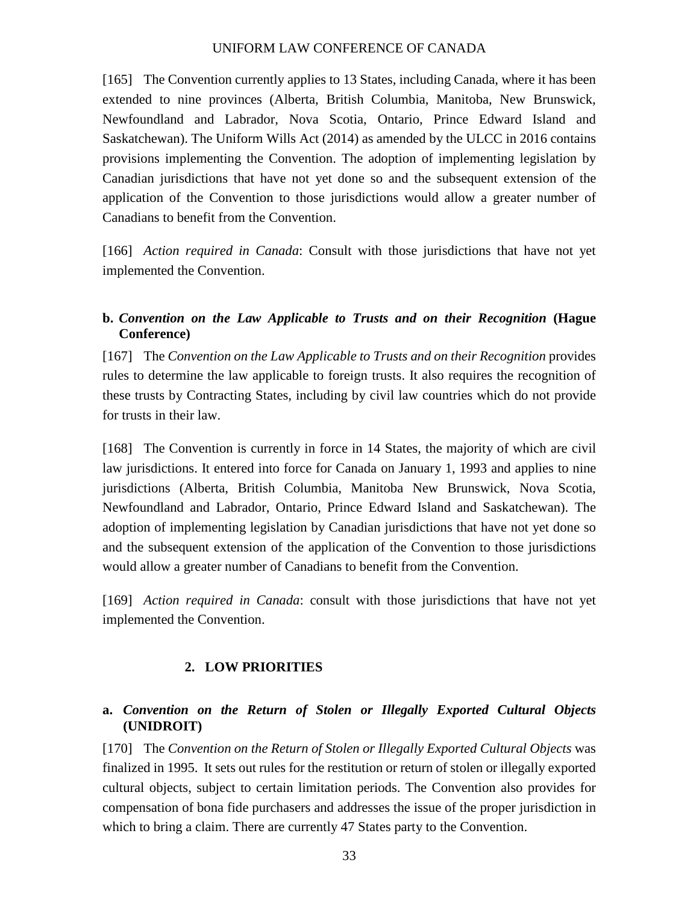[165] The Convention currently applies to 13 States, including Canada, where it has been extended to nine provinces (Alberta, British Columbia, Manitoba, New Brunswick, Newfoundland and Labrador, Nova Scotia, Ontario, Prince Edward Island and Saskatchewan). The Uniform Wills Act (2014) as amended by the ULCC in 2016 contains provisions implementing the Convention. The adoption of implementing legislation by Canadian jurisdictions that have not yet done so and the subsequent extension of the application of the Convention to those jurisdictions would allow a greater number of Canadians to benefit from the Convention.

[166] *Action required in Canada*: Consult with those jurisdictions that have not yet implemented the Convention.

#### **b.** *Convention on the Law Applicable to Trusts and on their Recognition* **(Hague Conference)**

[167] The *Convention on the Law Applicable to Trusts and on their Recognition* provides rules to determine the law applicable to foreign trusts. It also requires the recognition of these trusts by Contracting States, including by civil law countries which do not provide for trusts in their law.

[168] The Convention is currently in force in 14 States, the majority of which are civil law jurisdictions. It entered into force for Canada on January 1, 1993 and applies to nine jurisdictions (Alberta, British Columbia, Manitoba New Brunswick, Nova Scotia, Newfoundland and Labrador, Ontario, Prince Edward Island and Saskatchewan). The adoption of implementing legislation by Canadian jurisdictions that have not yet done so and the subsequent extension of the application of the Convention to those jurisdictions would allow a greater number of Canadians to benefit from the Convention.

[169] *Action required in Canada*: consult with those jurisdictions that have not yet implemented the Convention.

#### **2. LOW PRIORITIES**

#### **a.** *Convention on the Return of Stolen or Illegally Exported Cultural Objects*  **(UNIDROIT)**

[170] The *Convention on the Return of Stolen or Illegally Exported Cultural Objects* was finalized in 1995. It sets out rules for the restitution or return of stolen or illegally exported cultural objects, subject to certain limitation periods. The Convention also provides for compensation of bona fide purchasers and addresses the issue of the proper jurisdiction in which to bring a claim. There are currently 47 States party to the Convention.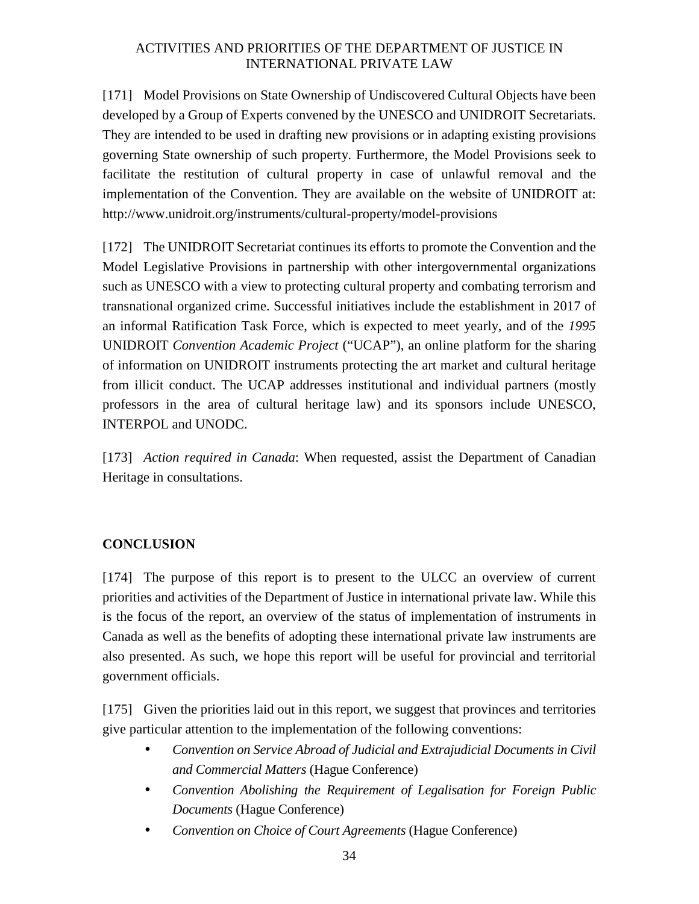[171] Model Provisions on State Ownership of Undiscovered Cultural Objects have been developed by a Group of Experts convened by the UNESCO and UNIDROIT Secretariats. They are intended to be used in drafting new provisions or in adapting existing provisions governing State ownership of such property. Furthermore, the Model Provisions seek to facilitate the restitution of cultural property in case of unlawful removal and the implementation of the Convention. They are available on the website of UNIDROIT at: http://www.unidroit.org/instruments/cultural-property/model-provisions

[172] The UNIDROIT Secretariat continues its efforts to promote the Convention and the Model Legislative Provisions in partnership with other intergovernmental organizations such as UNESCO with a view to protecting cultural property and combating terrorism and transnational organized crime. Successful initiatives include the establishment in 2017 of an informal Ratification Task Force, which is expected to meet yearly, and of the *1995*  UNIDROIT *Convention Academic Project* ("UCAP"), an online platform for the sharing of information on UNIDROIT instruments protecting the art market and cultural heritage from illicit conduct. The UCAP addresses institutional and individual partners (mostly professors in the area of cultural heritage law) and its sponsors include UNESCO, INTERPOL and UNODC.

[173] *Action required in Canada*: When requested, assist the Department of Canadian Heritage in consultations.

### **CONCLUSION**

[174] The purpose of this report is to present to the ULCC an overview of current priorities and activities of the Department of Justice in international private law. While this is the focus of the report, an overview of the status of implementation of instruments in Canada as well as the benefits of adopting these international private law instruments are also presented. As such, we hope this report will be useful for provincial and territorial government officials.

[175] Given the priorities laid out in this report, we suggest that provinces and territories give particular attention to the implementation of the following conventions:

- *Convention on Service Abroad of Judicial and Extrajudicial Documents in Civil and Commercial Matters* (Hague Conference)
- *Convention Abolishing the Requirement of Legalisation for Foreign Public Documents* (Hague Conference)
- *Convention on Choice of Court Agreements* (Hague Conference)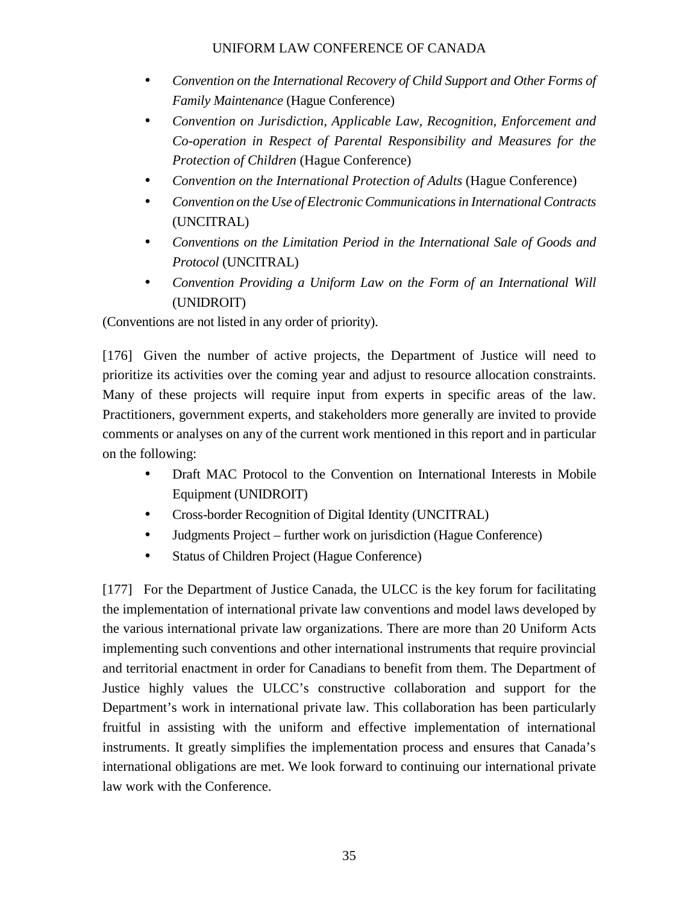- *Convention on the International Recovery of Child Support and Other Forms of Family Maintenance* (Hague Conference)
- *Convention on Jurisdiction, Applicable Law, Recognition, Enforcement and Co-operation in Respect of Parental Responsibility and Measures for the Protection of Children* (Hague Conference)
- *Convention on the International Protection of Adults* (Hague Conference)
- *Convention on the Use of Electronic Communications in International Contracts*  (UNCITRAL)
- *Conventions on the Limitation Period in the International Sale of Goods and Protocol* (UNCITRAL)
- *Convention Providing a Uniform Law on the Form of an International Will* (UNIDROIT)

(Conventions are not listed in any order of priority).

[176] Given the number of active projects, the Department of Justice will need to prioritize its activities over the coming year and adjust to resource allocation constraints. Many of these projects will require input from experts in specific areas of the law. Practitioners, government experts, and stakeholders more generally are invited to provide comments or analyses on any of the current work mentioned in this report and in particular on the following:

- Draft MAC Protocol to the Convention on International Interests in Mobile Equipment (UNIDROIT)
- Cross-border Recognition of Digital Identity (UNCITRAL)
- Judgments Project further work on jurisdiction (Hague Conference)
- Status of Children Project (Hague Conference)

[177] For the Department of Justice Canada, the ULCC is the key forum for facilitating the implementation of international private law conventions and model laws developed by the various international private law organizations. There are more than 20 Uniform Acts implementing such conventions and other international instruments that require provincial and territorial enactment in order for Canadians to benefit from them. The Department of Justice highly values the ULCC's constructive collaboration and support for the Department's work in international private law. This collaboration has been particularly fruitful in assisting with the uniform and effective implementation of international instruments. It greatly simplifies the implementation process and ensures that Canada's international obligations are met. We look forward to continuing our international private law work with the Conference.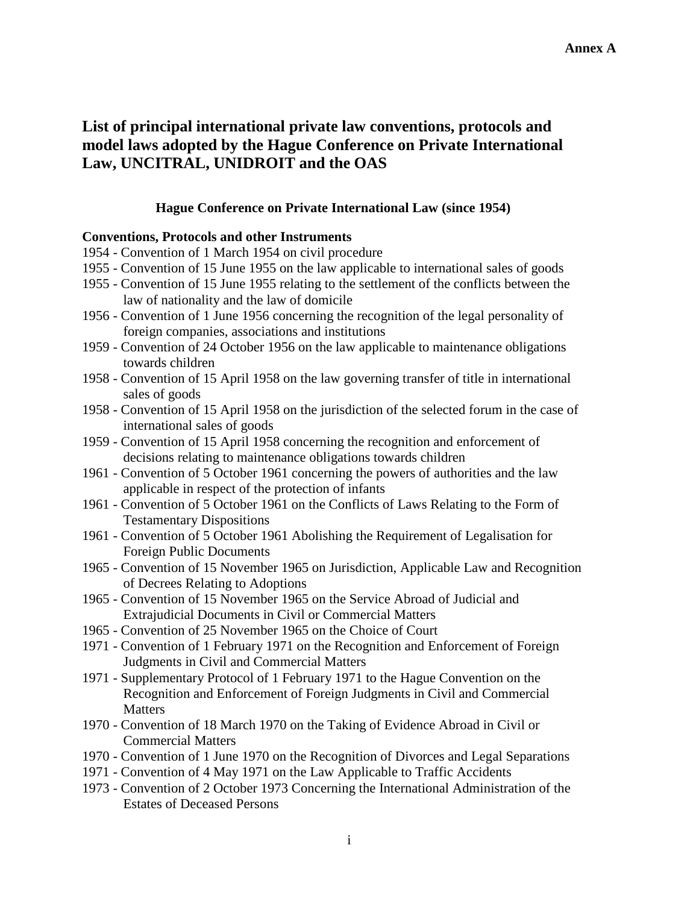# **List of principal international private law conventions, protocols and model laws adopted by the Hague Conference on Private International Law, UNCITRAL, UNIDROIT and the OAS**

#### **Hague Conference on Private International Law (since 1954)**

#### **Conventions, Protocols and other Instruments**

- 1954 Convention of 1 March 1954 on civil procedure
- 1955 Convention of 15 June 1955 on the law applicable to international sales of goods
- 1955 Convention of 15 June 1955 relating to the settlement of the conflicts between the law of nationality and the law of domicile
- 1956 Convention of 1 June 1956 concerning the recognition of the legal personality of foreign companies, associations and institutions
- 1959 Convention of 24 October 1956 on the law applicable to maintenance obligations towards children
- 1958 Convention of 15 April 1958 on the law governing transfer of title in international sales of goods
- 1958 Convention of 15 April 1958 on the jurisdiction of the selected forum in the case of international sales of goods
- 1959 Convention of 15 April 1958 concerning the recognition and enforcement of decisions relating to maintenance obligations towards children
- 1961 Convention of 5 October 1961 concerning the powers of authorities and the law applicable in respect of the protection of infants
- 1961 Convention of 5 October 1961 on the Conflicts of Laws Relating to the Form of Testamentary Dispositions
- 1961 Convention of 5 October 1961 Abolishing the Requirement of Legalisation for Foreign Public Documents
- 1965 Convention of 15 November 1965 on Jurisdiction, Applicable Law and Recognition of Decrees Relating to Adoptions
- 1965 Convention of 15 November 1965 on the Service Abroad of Judicial and Extrajudicial Documents in Civil or Commercial Matters
- 1965 Convention of 25 November 1965 on the Choice of Court
- 1971 Convention of 1 February 1971 on the Recognition and Enforcement of Foreign Judgments in Civil and Commercial Matters
- 1971 Supplementary Protocol of 1 February 1971 to the Hague Convention on the Recognition and Enforcement of Foreign Judgments in Civil and Commercial **Matters**
- 1970 Convention of 18 March 1970 on the Taking of Evidence Abroad in Civil or Commercial Matters
- 1970 Convention of 1 June 1970 on the Recognition of Divorces and Legal Separations
- 1971 Convention of 4 May 1971 on the Law Applicable to Traffic Accidents
- 1973 Convention of 2 October 1973 Concerning the International Administration of the Estates of Deceased Persons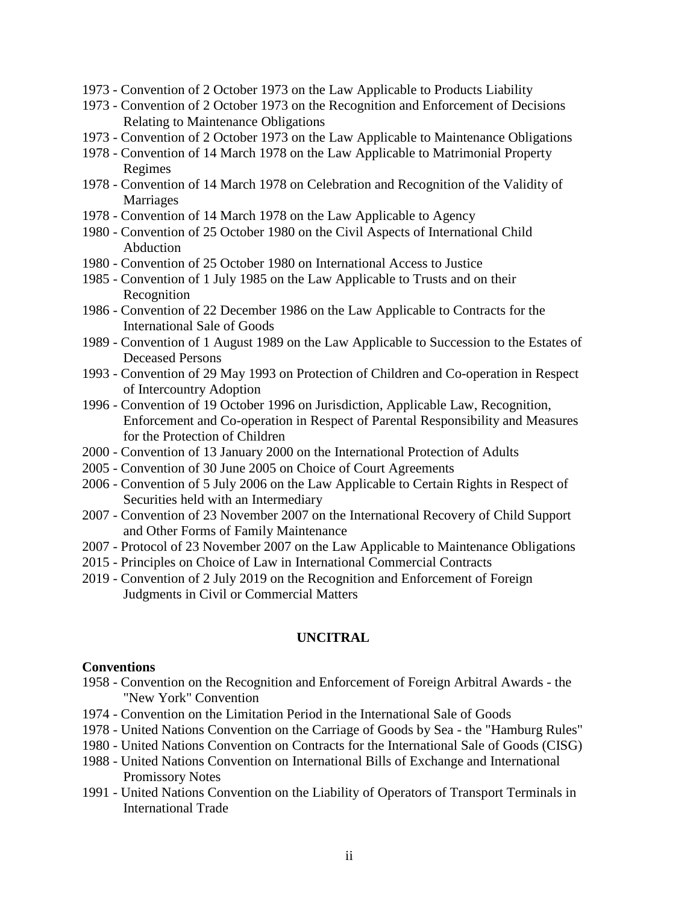- 1973 Convention of 2 October 1973 on the Law Applicable to Products Liability
- 1973 Convention of 2 October 1973 on the Recognition and Enforcement of Decisions Relating to Maintenance Obligations
- 1973 Convention of 2 October 1973 on the Law Applicable to Maintenance Obligations
- 1978 Convention of 14 March 1978 on the Law Applicable to Matrimonial Property Regimes
- 1978 Convention of 14 March 1978 on Celebration and Recognition of the Validity of Marriages
- 1978 Convention of 14 March 1978 on the Law Applicable to Agency
- 1980 Convention of 25 October 1980 on the Civil Aspects of International Child Abduction
- 1980 Convention of 25 October 1980 on International Access to Justice
- 1985 Convention of 1 July 1985 on the Law Applicable to Trusts and on their Recognition
- 1986 Convention of 22 December 1986 on the Law Applicable to Contracts for the International Sale of Goods
- 1989 Convention of 1 August 1989 on the Law Applicable to Succession to the Estates of Deceased Persons
- 1993 Convention of 29 May 1993 on Protection of Children and Co-operation in Respect of Intercountry Adoption
- 1996 Convention of 19 October 1996 on Jurisdiction, Applicable Law, Recognition, Enforcement and Co-operation in Respect of Parental Responsibility and Measures for the Protection of Children
- 2000 Convention of 13 January 2000 on the International Protection of Adults
- 2005 Convention of 30 June 2005 on Choice of Court Agreements
- 2006 Convention of 5 July 2006 on the Law Applicable to Certain Rights in Respect of Securities held with an Intermediary
- 2007 Convention of 23 November 2007 on the International Recovery of Child Support and Other Forms of Family Maintenance
- 2007 Protocol of 23 November 2007 on the Law Applicable to Maintenance Obligations
- 2015 Principles on Choice of Law in International Commercial Contracts
- 2019 Convention of 2 July 2019 on the Recognition and Enforcement of Foreign Judgments in Civil or Commercial Matters

#### **UNCITRAL**

#### **Conventions**

- 1958 Convention on the Recognition and Enforcement of Foreign Arbitral Awards the "New York" Convention
- 1974 Convention on the Limitation Period in the International Sale of Goods
- 1978 United Nations Convention on the Carriage of Goods by Sea the "Hamburg Rules"
- 1980 United Nations Convention on Contracts for the International Sale of Goods (CISG)
- 1988 United Nations Convention on International Bills of Exchange and International Promissory Notes
- 1991 United Nations Convention on the Liability of Operators of Transport Terminals in International Trade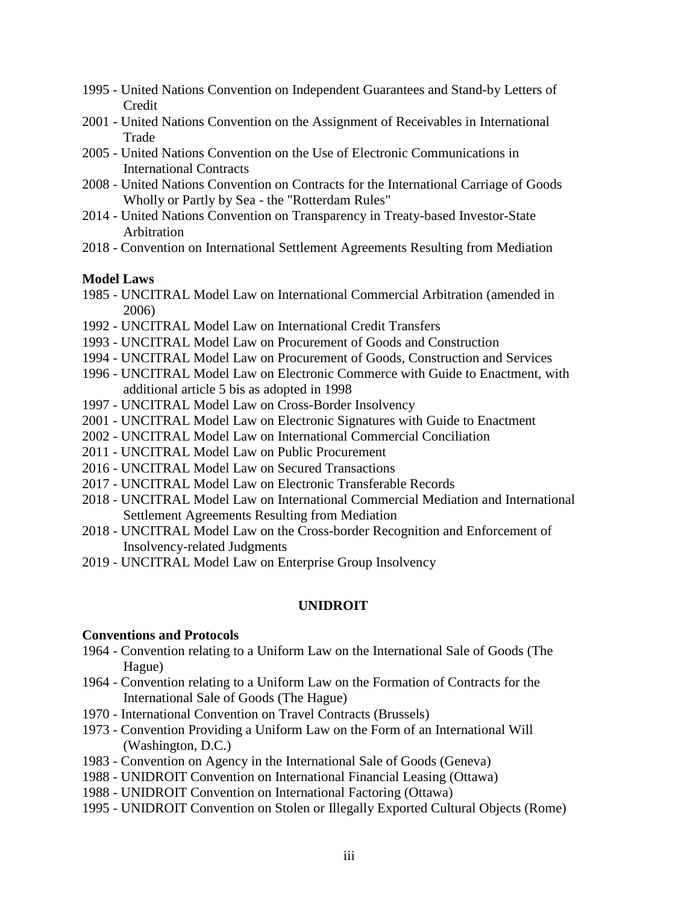- 1995 United Nations Convention on Independent Guarantees and Stand-by Letters of Credit
- 2001 United Nations Convention on the Assignment of Receivables in International Trade
- 2005 United Nations Convention on the Use of Electronic Communications in International Contracts
- 2008 United Nations Convention on Contracts for the International Carriage of Goods Wholly or Partly by Sea - the "Rotterdam Rules"
- 2014 United Nations Convention on Transparency in Treaty-based Investor-State Arbitration
- 2018 Convention on International Settlement Agreements Resulting from Mediation

#### **Model Laws**

- 1985 UNCITRAL Model Law on International Commercial Arbitration (amended in 2006)
- 1992 UNCITRAL Model Law on International Credit Transfers
- 1993 UNCITRAL Model Law on Procurement of Goods and Construction
- 1994 UNCITRAL Model Law on Procurement of Goods, Construction and Services
- 1996 UNCITRAL Model Law on Electronic Commerce with Guide to Enactment, with additional article 5 bis as adopted in 1998
- 1997 UNCITRAL Model Law on Cross-Border Insolvency
- 2001 UNCITRAL Model Law on Electronic Signatures with Guide to Enactment
- 2002 UNCITRAL Model Law on International Commercial Conciliation
- 2011 UNCITRAL Model Law on Public Procurement
- 2016 UNCITRAL Model Law on Secured Transactions
- 2017 UNCITRAL Model Law on Electronic Transferable Records
- 2018 UNCITRAL Model Law on International Commercial Mediation and International Settlement Agreements Resulting from Mediation
- 2018 UNCITRAL Model Law on the Cross-border Recognition and Enforcement of Insolvency-related Judgments
- 2019 UNCITRAL Model Law on Enterprise Group Insolvency

#### **UNIDROIT**

#### **Conventions and Protocols**

- 1964 Convention relating to a Uniform Law on the International Sale of Goods (The Hague)
- 1964 Convention relating to a Uniform Law on the Formation of Contracts for the International Sale of Goods (The Hague)
- 1970 International Convention on Travel Contracts (Brussels)
- 1973 Convention Providing a Uniform Law on the Form of an International Will (Washington, D.C.)
- 1983 Convention on Agency in the International Sale of Goods (Geneva)
- 1988 UNIDROIT Convention on International Financial Leasing (Ottawa)
- 1988 UNIDROIT Convention on International Factoring (Ottawa)
- 1995 UNIDROIT Convention on Stolen or Illegally Exported Cultural Objects (Rome)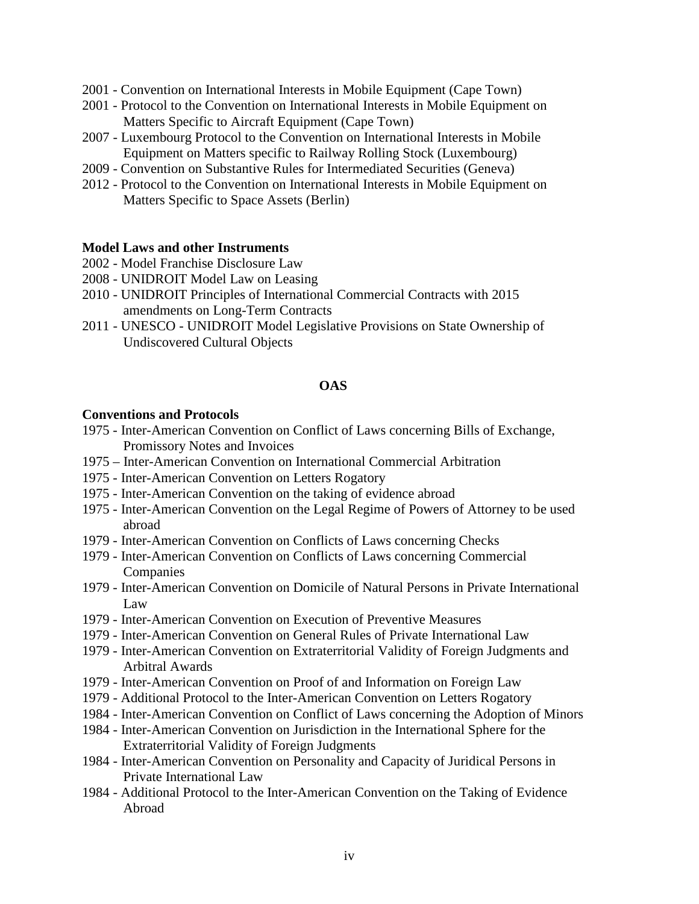- 2001 Convention on International Interests in Mobile Equipment (Cape Town)
- 2001 Protocol to the Convention on International Interests in Mobile Equipment on Matters Specific to Aircraft Equipment (Cape Town)
- 2007 Luxembourg Protocol to the Convention on International Interests in Mobile Equipment on Matters specific to Railway Rolling Stock (Luxembourg)
- 2009 Convention on Substantive Rules for Intermediated Securities (Geneva)
- 2012 Protocol to the Convention on International Interests in Mobile Equipment on Matters Specific to Space Assets (Berlin)

#### **Model Laws and other Instruments**

- 2002 Model Franchise Disclosure Law
- 2008 UNIDROIT Model Law on Leasing
- 2010 UNIDROIT Principles of International Commercial Contracts with 2015 amendments on Long-Term Contracts
- 2011 UNESCO UNIDROIT Model Legislative Provisions on State Ownership of Undiscovered Cultural Objects

#### **OAS**

#### **Conventions and Protocols**

- 1975 Inter-American Convention on Conflict of Laws concerning Bills of Exchange, Promissory Notes and Invoices
- 1975 Inter-American Convention on International Commercial Arbitration
- 1975 Inter-American Convention on Letters Rogatory
- 1975 Inter-American Convention on the taking of evidence abroad
- 1975 Inter-American Convention on the Legal Regime of Powers of Attorney to be used abroad
- 1979 Inter-American Convention on Conflicts of Laws concerning Checks
- 1979 Inter-American Convention on Conflicts of Laws concerning Commercial Companies
- 1979 Inter-American Convention on Domicile of Natural Persons in Private International Law
- 1979 Inter-American Convention on Execution of Preventive Measures
- 1979 Inter-American Convention on General Rules of Private International Law
- 1979 Inter-American Convention on Extraterritorial Validity of Foreign Judgments and Arbitral Awards
- 1979 Inter-American Convention on Proof of and Information on Foreign Law
- 1979 Additional Protocol to the Inter-American Convention on Letters Rogatory
- 1984 Inter-American Convention on Conflict of Laws concerning the Adoption of Minors
- 1984 Inter-American Convention on Jurisdiction in the International Sphere for the Extraterritorial Validity of Foreign Judgments
- 1984 Inter-American Convention on Personality and Capacity of Juridical Persons in Private International Law
- 1984 Additional Protocol to the Inter-American Convention on the Taking of Evidence Abroad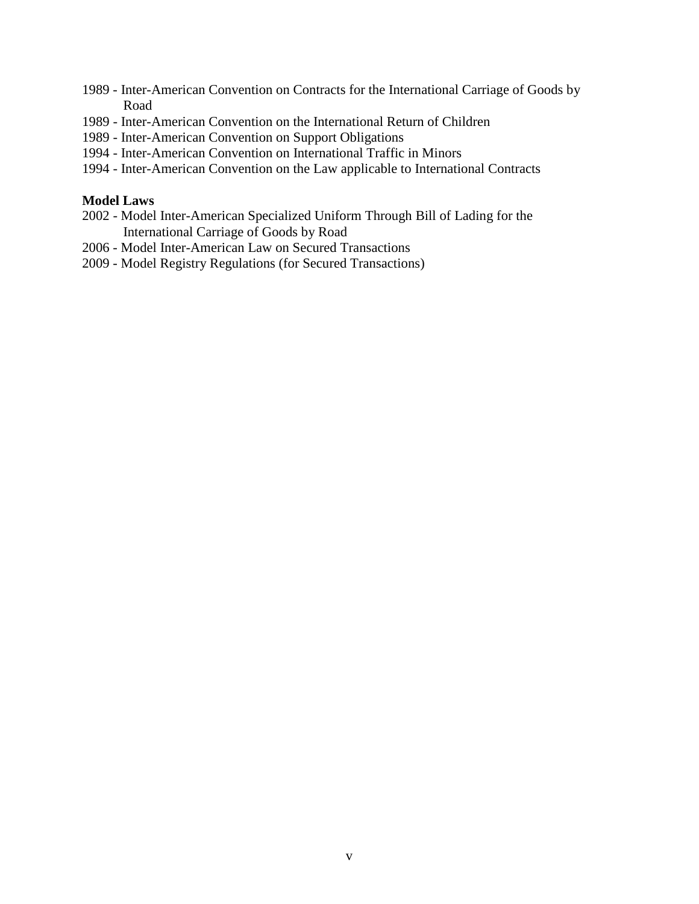- 1989 Inter-American Convention on Contracts for the International Carriage of Goods by Road
- 1989 Inter-American Convention on the International Return of Children
- 1989 Inter-American Convention on Support Obligations
- 1994 Inter-American Convention on International Traffic in Minors
- 1994 Inter-American Convention on the Law applicable to International Contracts

#### **Model Laws**

- 2002 Model Inter-American Specialized Uniform Through Bill of Lading for the International Carriage of Goods by Road
- 2006 Model Inter-American Law on Secured Transactions
- 2009 Model Registry Regulations (for Secured Transactions)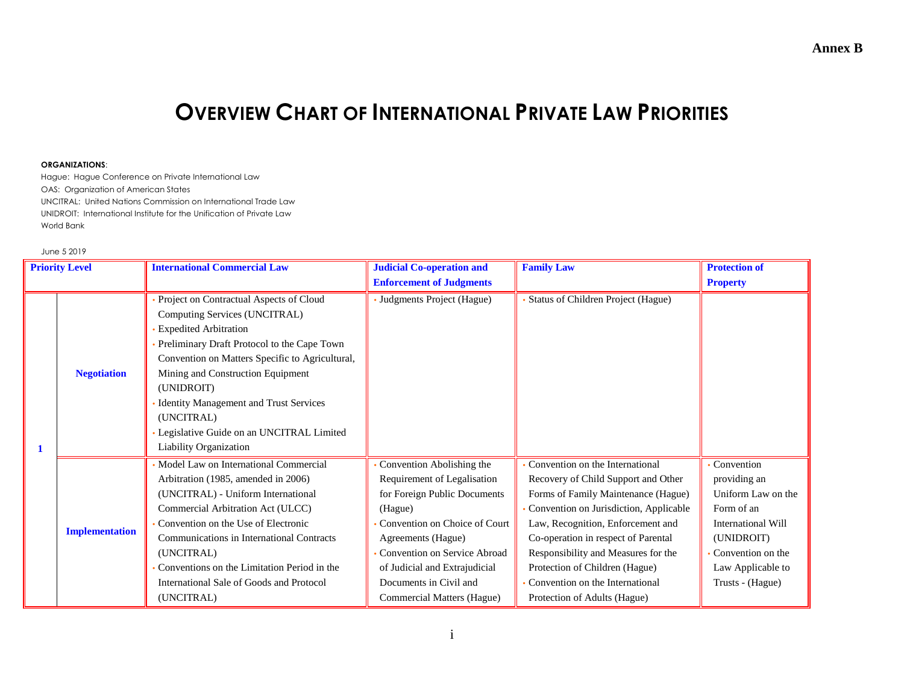# **OVERVIEW CHART OF INTERNATIONAL PRIVATE LAW PRIORITIES**

#### **ORGANIZATIONS**:

Hague: Hague Conference on Private International Law OAS: Organization of American States UNCITRAL: United Nations Commission on International Trade Law UNIDROIT: International Institute for the Unification of Private Law World Bank

#### June 5 2019

| <b>Priority Level</b> |                       | <b>International Commercial Law</b>                                                                                                                                                                                                                                                                                                                                                                | <b>Judicial Co-operation and</b>                                                                                                                                                                                                                                                    | <b>Family Law</b>                                                                                                                                                                                                                                                                                                                                                               | <b>Protection of</b>                                                                                                                                                    |
|-----------------------|-----------------------|----------------------------------------------------------------------------------------------------------------------------------------------------------------------------------------------------------------------------------------------------------------------------------------------------------------------------------------------------------------------------------------------------|-------------------------------------------------------------------------------------------------------------------------------------------------------------------------------------------------------------------------------------------------------------------------------------|---------------------------------------------------------------------------------------------------------------------------------------------------------------------------------------------------------------------------------------------------------------------------------------------------------------------------------------------------------------------------------|-------------------------------------------------------------------------------------------------------------------------------------------------------------------------|
|                       |                       |                                                                                                                                                                                                                                                                                                                                                                                                    | <b>Enforcement of Judgments</b>                                                                                                                                                                                                                                                     |                                                                                                                                                                                                                                                                                                                                                                                 | <b>Property</b>                                                                                                                                                         |
| 1                     | <b>Negotiation</b>    | Project on Contractual Aspects of Cloud<br>Computing Services (UNCITRAL)<br><b>Expedited Arbitration</b><br>Preliminary Draft Protocol to the Cape Town<br>Convention on Matters Specific to Agricultural,<br>Mining and Construction Equipment<br>(UNIDROIT)<br><b>Identity Management and Trust Services</b><br>(UNCITRAL)<br>Legislative Guide on an UNCITRAL Limited<br>Liability Organization | • Judgments Project (Hague)                                                                                                                                                                                                                                                         | Status of Children Project (Hague)                                                                                                                                                                                                                                                                                                                                              |                                                                                                                                                                         |
|                       | <b>Implementation</b> | Model Law on International Commercial<br>Arbitration (1985, amended in 2006)<br>(UNCITRAL) - Uniform International<br>Commercial Arbitration Act (ULCC)<br>Convention on the Use of Electronic<br>Communications in International Contracts<br>(UNCITRAL)<br>Conventions on the Limitation Period in the<br>International Sale of Goods and Protocol<br>(UNCITRAL)                                 | Convention Abolishing the<br>Requirement of Legalisation<br>for Foreign Public Documents<br>(Hague)<br>Convention on Choice of Court<br>Agreements (Hague)<br>Convention on Service Abroad<br>of Judicial and Extrajudicial<br>Documents in Civil and<br>Commercial Matters (Hague) | Convention on the International<br>Recovery of Child Support and Other<br>Forms of Family Maintenance (Hague)<br>Convention on Jurisdiction, Applicable<br>Law, Recognition, Enforcement and<br>Co-operation in respect of Parental<br>Responsibility and Measures for the<br>Protection of Children (Hague)<br>Convention on the International<br>Protection of Adults (Hague) | Convention<br>providing an<br>Uniform Law on the<br>Form of an<br><b>International Will</b><br>(UNIDROIT)<br>Convention on the<br>Law Applicable to<br>Trusts - (Hague) |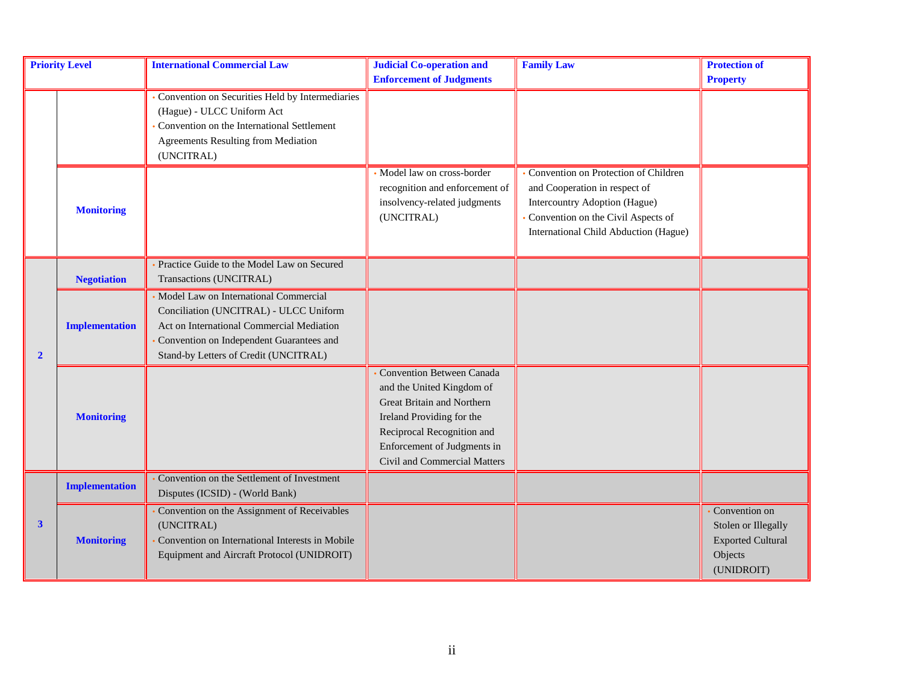| <b>Priority Level</b> |                       | <b>International Commercial Law</b>             | <b>Judicial Co-operation and</b> | <b>Family Law</b>                     | <b>Protection of</b>                                                                      |
|-----------------------|-----------------------|-------------------------------------------------|----------------------------------|---------------------------------------|-------------------------------------------------------------------------------------------|
|                       |                       |                                                 | <b>Enforcement of Judgments</b>  |                                       | <b>Property</b>                                                                           |
|                       |                       | Convention on Securities Held by Intermediaries |                                  |                                       |                                                                                           |
|                       |                       | (Hague) - ULCC Uniform Act                      |                                  |                                       |                                                                                           |
|                       |                       | Convention on the International Settlement      |                                  |                                       |                                                                                           |
|                       |                       | Agreements Resulting from Mediation             |                                  |                                       |                                                                                           |
|                       |                       | (UNCITRAL)                                      |                                  |                                       |                                                                                           |
|                       |                       |                                                 | Model law on cross-border        | Convention on Protection of Children  |                                                                                           |
|                       |                       |                                                 | recognition and enforcement of   | and Cooperation in respect of         |                                                                                           |
|                       |                       |                                                 | insolvency-related judgments     | Intercountry Adoption (Hague)         |                                                                                           |
|                       | <b>Monitoring</b>     |                                                 | (UNCITRAL)                       | Convention on the Civil Aspects of    |                                                                                           |
|                       |                       |                                                 |                                  | International Child Abduction (Hague) |                                                                                           |
|                       |                       |                                                 |                                  |                                       |                                                                                           |
|                       |                       | Practice Guide to the Model Law on Secured      |                                  |                                       |                                                                                           |
|                       | <b>Negotiation</b>    | Transactions (UNCITRAL)                         |                                  |                                       |                                                                                           |
|                       |                       | Model Law on International Commercial           |                                  |                                       |                                                                                           |
|                       |                       | Conciliation (UNCITRAL) - ULCC Uniform          |                                  |                                       |                                                                                           |
|                       | <b>Implementation</b> | Act on International Commercial Mediation       |                                  |                                       |                                                                                           |
|                       |                       | Convention on Independent Guarantees and        |                                  |                                       |                                                                                           |
| $\overline{2}$        |                       | Stand-by Letters of Credit (UNCITRAL)           |                                  |                                       |                                                                                           |
|                       |                       |                                                 | Convention Between Canada        |                                       |                                                                                           |
|                       |                       |                                                 | and the United Kingdom of        |                                       | Convention on<br>Stolen or Illegally<br><b>Exported Cultural</b><br>Objects<br>(UNIDROIT) |
|                       |                       |                                                 | Great Britain and Northern       |                                       |                                                                                           |
|                       | <b>Monitoring</b>     |                                                 | Ireland Providing for the        |                                       |                                                                                           |
|                       |                       |                                                 | Reciprocal Recognition and       |                                       |                                                                                           |
|                       |                       |                                                 | Enforcement of Judgments in      |                                       |                                                                                           |
|                       |                       |                                                 | Civil and Commercial Matters     |                                       |                                                                                           |
|                       |                       | Convention on the Settlement of Investment      |                                  |                                       |                                                                                           |
|                       | <b>Implementation</b> | Disputes (ICSID) - (World Bank)                 |                                  |                                       |                                                                                           |
|                       |                       | Convention on the Assignment of Receivables     |                                  |                                       |                                                                                           |
| $\mathbf{3}$          |                       | (UNCITRAL)                                      |                                  |                                       |                                                                                           |
|                       | <b>Monitoring</b>     | Convention on International Interests in Mobile |                                  |                                       |                                                                                           |
|                       |                       | Equipment and Aircraft Protocol (UNIDROIT)      |                                  |                                       |                                                                                           |
|                       |                       |                                                 |                                  |                                       |                                                                                           |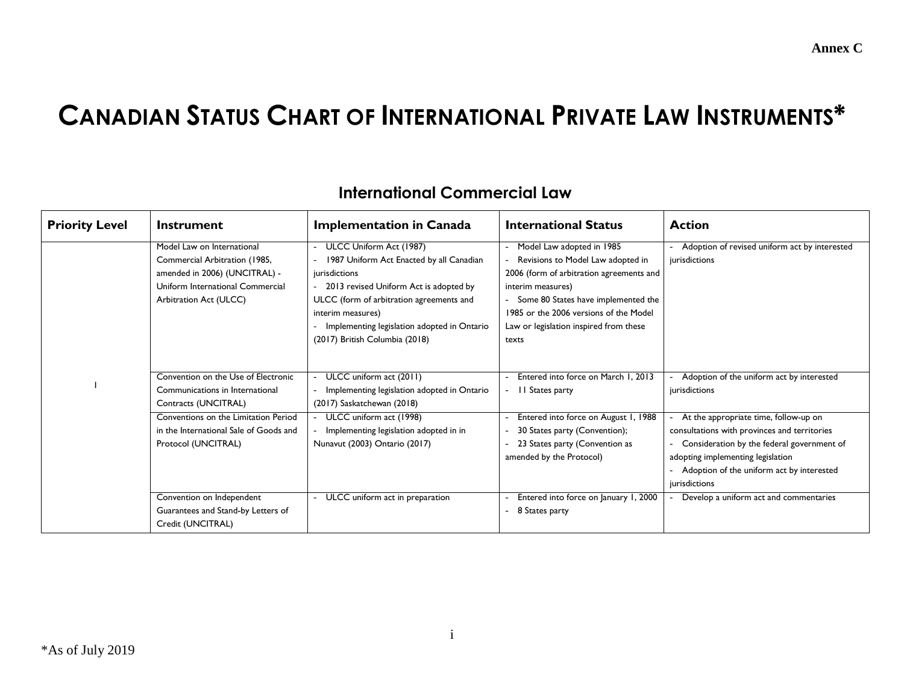#### **Annex C**

# **CANADIAN STATUS CHART OF INTERNATIONAL PRIVATE LAW INSTRUMENTS\***

| <b>Priority Level</b> | <b>Instrument</b>                                                                                                                                                                                       | <b>Implementation in Canada</b>                                                                                                                                                                                                                                                    | <b>International Status</b>                                                                                                                                                                                                                                           | <b>Action</b>                                                                                                                                                                                                                          |
|-----------------------|---------------------------------------------------------------------------------------------------------------------------------------------------------------------------------------------------------|------------------------------------------------------------------------------------------------------------------------------------------------------------------------------------------------------------------------------------------------------------------------------------|-----------------------------------------------------------------------------------------------------------------------------------------------------------------------------------------------------------------------------------------------------------------------|----------------------------------------------------------------------------------------------------------------------------------------------------------------------------------------------------------------------------------------|
|                       | Model Law on International<br>Commercial Arbitration (1985,<br>amended in 2006) (UNCITRAL) -<br>Uniform International Commercial<br>Arbitration Act (ULCC)                                              | - ULCC Uniform Act (1987)<br>1987 Uniform Act Enacted by all Canadian<br>jurisdictions<br>2013 revised Uniform Act is adopted by<br>ULCC (form of arbitration agreements and<br>interim measures)<br>Implementing legislation adopted in Ontario<br>(2017) British Columbia (2018) | Model Law adopted in 1985<br>Revisions to Model Law adopted in<br>2006 (form of arbitration agreements and<br>interim measures)<br>- Some 80 States have implemented the<br>1985 or the 2006 versions of the Model<br>Law or legislation inspired from these<br>texts | Adoption of revised uniform act by interested<br>jurisdictions                                                                                                                                                                         |
|                       | Convention on the Use of Electronic<br>Communications in International<br>Contracts (UNCITRAL)<br>Conventions on the Limitation Period<br>in the International Sale of Goods and<br>Protocol (UNCITRAL) | - ULCC uniform act (2011)<br>Implementing legislation adopted in Ontario<br>(2017) Saskatchewan (2018)<br>- ULCC uniform act (1998)<br>Implementing legislation adopted in in<br>Nunavut (2003) Ontario (2017)                                                                     | Entered into force on March 1, 2013<br>- II States party<br>Entered into force on August 1, 1988<br>30 States party (Convention);<br>23 States party (Convention as<br>amended by the Protocol)                                                                       | Adoption of the uniform act by interested<br>jurisdictions<br>At the appropriate time, follow-up on<br>consultations with provinces and territories<br>Consideration by the federal government of<br>adopting implementing legislation |
|                       | Convention on Independent<br>Guarantees and Stand-by Letters of<br>Credit (UNCITRAL)                                                                                                                    | ULCC uniform act in preparation                                                                                                                                                                                                                                                    | Entered into force on January 1, 2000<br>8 States party                                                                                                                                                                                                               | Adoption of the uniform act by interested<br>jurisdictions<br>Develop a uniform act and commentaries                                                                                                                                   |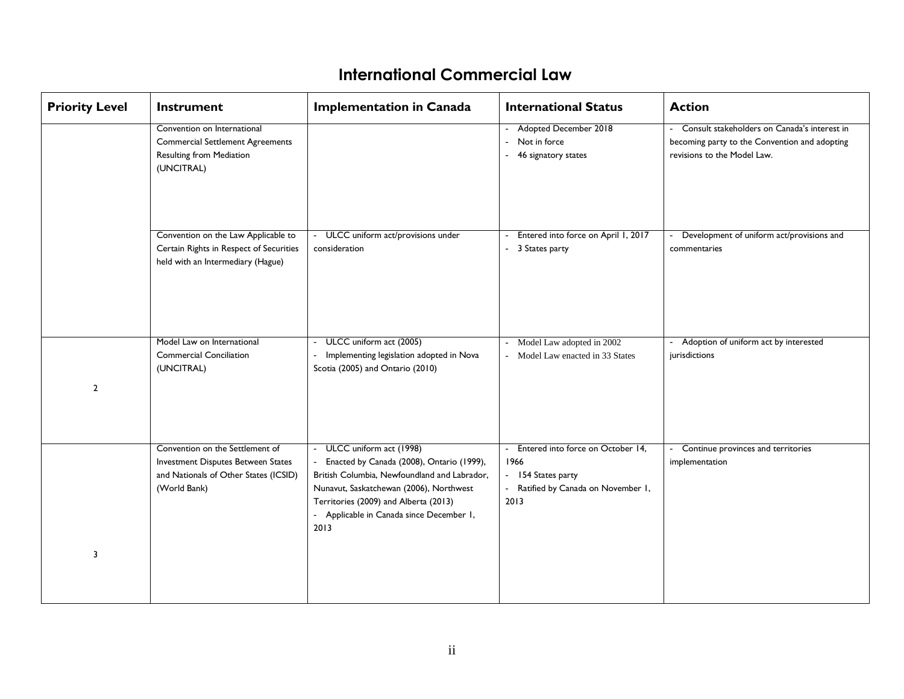| <b>Priority Level</b> | <b>Instrument</b>                                                                                                              | <b>Implementation in Canada</b>                                                                                                                                                                                                                                | <b>International Status</b>                                                                                      | <b>Action</b>                                                                                                                  |
|-----------------------|--------------------------------------------------------------------------------------------------------------------------------|----------------------------------------------------------------------------------------------------------------------------------------------------------------------------------------------------------------------------------------------------------------|------------------------------------------------------------------------------------------------------------------|--------------------------------------------------------------------------------------------------------------------------------|
|                       | Convention on International<br><b>Commercial Settlement Agreements</b><br><b>Resulting from Mediation</b><br>(UNCITRAL)        |                                                                                                                                                                                                                                                                | - Adopted December 2018<br>- Not in force<br>- 46 signatory states                                               | - Consult stakeholders on Canada's interest in<br>becoming party to the Convention and adopting<br>revisions to the Model Law. |
|                       | Convention on the Law Applicable to<br>Certain Rights in Respect of Securities<br>held with an Intermediary (Hague)            | - ULCC uniform act/provisions under<br>consideration                                                                                                                                                                                                           | Entered into force on April 1, 2017<br>- 3 States party                                                          | - Development of uniform act/provisions and<br>commentaries                                                                    |
| $\overline{2}$        | Model Law on International<br><b>Commercial Conciliation</b><br>(UNCITRAL)                                                     | ULCC uniform act (2005)<br>Implementing legislation adopted in Nova<br>Scotia (2005) and Ontario (2010)                                                                                                                                                        | - Model Law adopted in 2002<br>- Model Law enacted in 33 States                                                  | - Adoption of uniform act by interested<br>jurisdictions                                                                       |
| 3                     | Convention on the Settlement of<br>Investment Disputes Between States<br>and Nationals of Other States (ICSID)<br>(World Bank) | - ULCC uniform act (1998)<br>Enacted by Canada (2008), Ontario (1999),<br>British Columbia, Newfoundland and Labrador,<br>Nunavut, Saskatchewan (2006), Northwest<br>Territories (2009) and Alberta (2013)<br>- Applicable in Canada since December 1,<br>2013 | - Entered into force on October 14,<br>1966<br>- 154 States party<br>- Ratified by Canada on November 1,<br>2013 | - Continue provinces and territories<br>implementation                                                                         |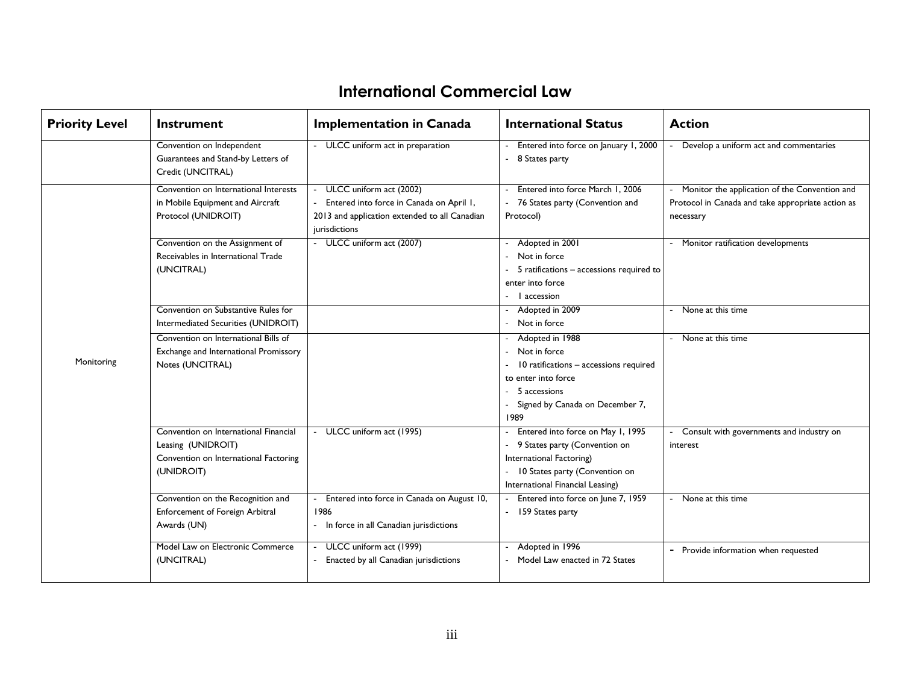| <b>Priority Level</b> | Instrument                                                                                                         | <b>Implementation in Canada</b>                                                                                                       | <b>International Status</b>                                                                                                                                            | <b>Action</b>                                                                                                   |
|-----------------------|--------------------------------------------------------------------------------------------------------------------|---------------------------------------------------------------------------------------------------------------------------------------|------------------------------------------------------------------------------------------------------------------------------------------------------------------------|-----------------------------------------------------------------------------------------------------------------|
|                       | Convention on Independent<br>Guarantees and Stand-by Letters of<br>Credit (UNCITRAL)                               | - ULCC uniform act in preparation                                                                                                     | Entered into force on January 1, 2000<br>8 States party                                                                                                                | Develop a uniform act and commentaries                                                                          |
|                       | Convention on International Interests<br>in Mobile Equipment and Aircraft<br>Protocol (UNIDROIT)                   | ULCC uniform act (2002)<br>Entered into force in Canada on April 1,<br>2013 and application extended to all Canadian<br>jurisdictions | Entered into force March 1, 2006<br>76 States party (Convention and<br>Protocol)                                                                                       | Monitor the application of the Convention and<br>Protocol in Canada and take appropriate action as<br>necessary |
|                       | Convention on the Assignment of<br>Receivables in International Trade<br>(UNCITRAL)                                | - ULCC uniform act (2007)                                                                                                             | Adopted in 2001<br>Not in force<br>5 ratifications - accessions required to<br>enter into force<br>- l accession                                                       | - Monitor ratification developments                                                                             |
|                       | Convention on Substantive Rules for<br>Intermediated Securities (UNIDROIT)                                         |                                                                                                                                       | Adopted in 2009<br>Not in force                                                                                                                                        | None at this time                                                                                               |
| Monitoring            | Convention on International Bills of<br>Exchange and International Promissory<br>Notes (UNCITRAL)                  |                                                                                                                                       | Adopted in 1988<br>Not in force<br>10 ratifications - accessions required<br>to enter into force<br>5 accessions<br>Signed by Canada on December 7,<br>1989            | None at this time                                                                                               |
|                       | Convention on International Financial<br>Leasing (UNIDROIT)<br>Convention on International Factoring<br>(UNIDROIT) | ULCC uniform act (1995)                                                                                                               | Entered into force on May 1, 1995<br>9 States party (Convention on<br>International Factoring)<br>- 10 States party (Convention on<br>International Financial Leasing) | Consult with governments and industry on<br>interest                                                            |
|                       | Convention on the Recognition and<br>Enforcement of Foreign Arbitral<br>Awards (UN)                                | Entered into force in Canada on August 10,<br>1986<br>- In force in all Canadian jurisdictions                                        | Entered into force on June 7, 1959<br>- 159 States party                                                                                                               | None at this time                                                                                               |
|                       | Model Law on Electronic Commerce<br>(UNCITRAL)                                                                     | ULCC uniform act (1999)<br>Enacted by all Canadian jurisdictions                                                                      | Adopted in 1996<br>Model Law enacted in 72 States                                                                                                                      | - Provide information when requested                                                                            |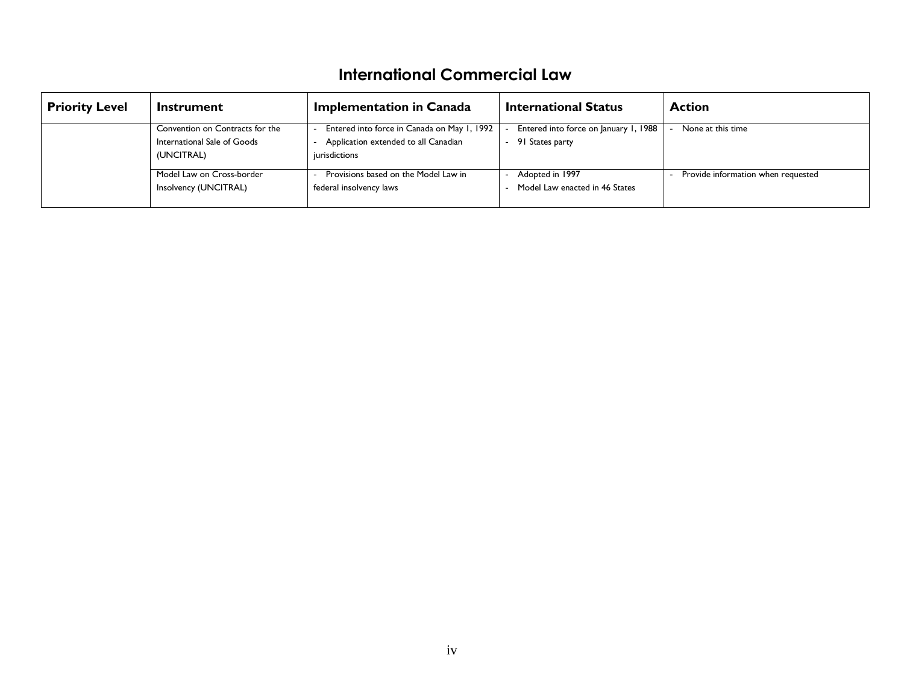| <b>Priority Level</b> | Instrument                                                                   | <b>Implementation in Canada</b>                                                                      | <b>International Status</b>                              | <b>Action</b>                      |
|-----------------------|------------------------------------------------------------------------------|------------------------------------------------------------------------------------------------------|----------------------------------------------------------|------------------------------------|
|                       | Convention on Contracts for the<br>International Sale of Goods<br>(UNCITRAL) | Entered into force in Canada on May 1, 1992<br>Application extended to all Canadian<br>jurisdictions | Entered into force on January 1, 1988<br>91 States party | None at this time                  |
|                       | Model Law on Cross-border<br>Insolvency (UNCITRAL)                           | Provisions based on the Model Law in<br>federal insolvency laws                                      | Adopted in 1997<br>Model Law enacted in 46 States        | Provide information when requested |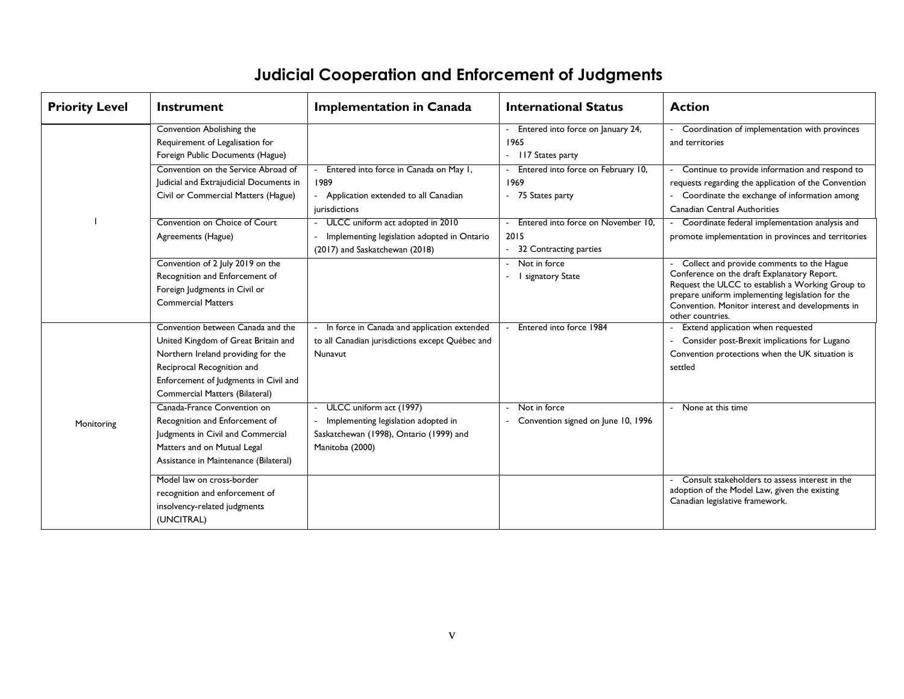# **Judicial Cooperation and Enforcement of Judgments**

| <b>Priority Level</b> | Instrument                                                                                                                                                                                                              | <b>Implementation in Canada</b>                                                                                              | <b>International Status</b>                                          | <b>Action</b>                                                                                                                                                                                                                                                            |
|-----------------------|-------------------------------------------------------------------------------------------------------------------------------------------------------------------------------------------------------------------------|------------------------------------------------------------------------------------------------------------------------------|----------------------------------------------------------------------|--------------------------------------------------------------------------------------------------------------------------------------------------------------------------------------------------------------------------------------------------------------------------|
|                       | Convention Abolishing the<br>Requirement of Legalisation for<br>Foreign Public Documents (Hague)                                                                                                                        |                                                                                                                              | Entered into force on January 24,<br>1965<br>- II7 States party      | Coordination of implementation with provinces<br>and territories                                                                                                                                                                                                         |
|                       | Convention on the Service Abroad of<br>Judicial and Extrajudicial Documents in<br>Civil or Commercial Matters (Hague)                                                                                                   | Entered into force in Canada on May 1,<br>1989<br>- Application extended to all Canadian<br>jurisdictions                    | Entered into force on February 10,<br>1969<br>- 75 States party      | Continue to provide information and respond to<br>requests regarding the application of the Convention<br>Coordinate the exchange of information among<br>Canadian Central Authorities                                                                                   |
|                       | Convention on Choice of Court<br>Agreements (Hague)                                                                                                                                                                     | ULCC uniform act adopted in 2010<br>Implementing legislation adopted in Ontario<br>(2017) and Saskatchewan (2018)            | Entered into force on November 10.<br>2015<br>32 Contracting parties | Coordinate federal implementation analysis and<br>promote implementation in provinces and territories                                                                                                                                                                    |
|                       | Convention of 2 July 2019 on the<br>Recognition and Enforcement of<br>Foreign Judgments in Civil or<br><b>Commercial Matters</b>                                                                                        |                                                                                                                              | Not in force<br>I signatory State                                    | Collect and provide comments to the Hague<br>Conference on the draft Explanatory Report.<br>Request the ULCC to establish a Working Group to<br>prepare uniform implementing legislation for the<br>Convention. Monitor interest and developments in<br>other countries. |
|                       | Convention between Canada and the<br>United Kingdom of Great Britain and<br>Northern Ireland providing for the<br>Reciprocal Recognition and<br>Enforcement of Judgments in Civil and<br>Commercial Matters (Bilateral) | In force in Canada and application extended<br>to all Canadian jurisdictions except Québec and<br><b>Nunavut</b>             | Entered into force 1984                                              | Extend application when requested<br>Consider post-Brexit implications for Lugano<br>Convention protections when the UK situation is<br>settled                                                                                                                          |
| Monitoring            | Canada-France Convention on<br>Recognition and Enforcement of<br>Judgments in Civil and Commercial<br>Matters and on Mutual Legal<br>Assistance in Maintenance (Bilateral)                                              | ULCC uniform act (1997)<br>Implementing legislation adopted in<br>Saskatchewan (1998), Ontario (1999) and<br>Manitoba (2000) | Not in force<br>Convention signed on June 10, 1996                   | None at this time                                                                                                                                                                                                                                                        |
|                       | Model law on cross-border<br>recognition and enforcement of<br>insolvency-related judgments<br>(UNCITRAL)                                                                                                               |                                                                                                                              |                                                                      | Consult stakeholders to assess interest in the<br>adoption of the Model Law, given the existing<br>Canadian legislative framework.                                                                                                                                       |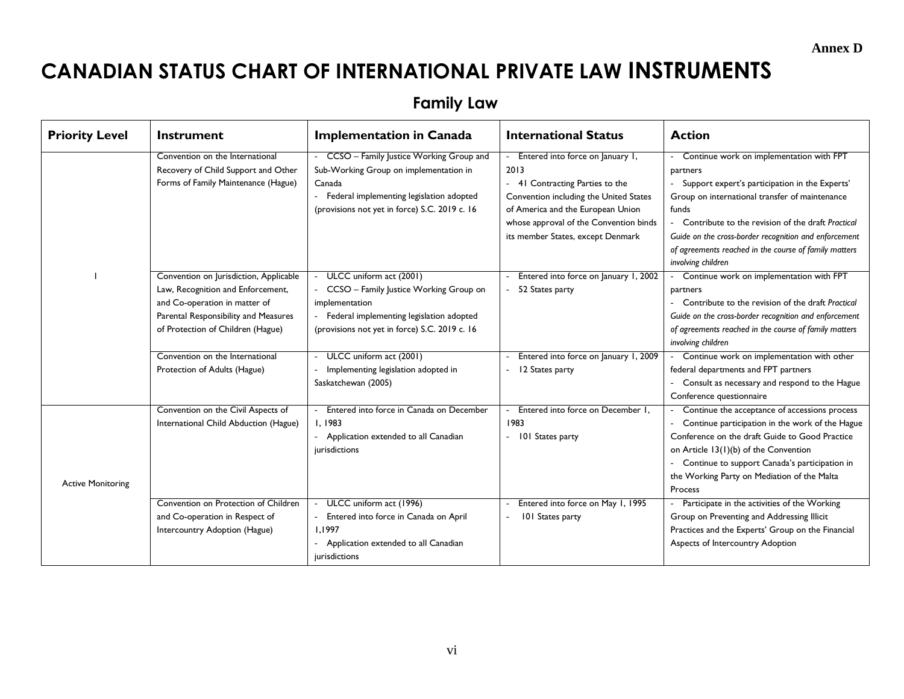**Annex D** 

# **CANADIAN STATUS CHART OF INTERNATIONAL PRIVATE LAW INSTRUMENTS**

**Family Law**

| <b>Priority Level</b>    | Instrument                                                                                                                                                                                | <b>Implementation in Canada</b>                                                                                                                                                            | <b>International Status</b>                                                                                                                                                                                                             | <b>Action</b>                                                                                                                                                                                                                                                                                                                                                      |
|--------------------------|-------------------------------------------------------------------------------------------------------------------------------------------------------------------------------------------|--------------------------------------------------------------------------------------------------------------------------------------------------------------------------------------------|-----------------------------------------------------------------------------------------------------------------------------------------------------------------------------------------------------------------------------------------|--------------------------------------------------------------------------------------------------------------------------------------------------------------------------------------------------------------------------------------------------------------------------------------------------------------------------------------------------------------------|
|                          | Convention on the International<br>Recovery of Child Support and Other<br>Forms of Family Maintenance (Hague)                                                                             | - CCSO - Family Justice Working Group and<br>Sub-Working Group on implementation in<br>Canada<br>Federal implementing legislation adopted<br>(provisions not yet in force) S.C. 2019 c. 16 | Entered into force on January 1,<br>2013<br>41 Contracting Parties to the<br>Convention including the United States<br>of America and the European Union<br>whose approval of the Convention binds<br>its member States, except Denmark | Continue work on implementation with FPT<br>partners<br>- Support expert's participation in the Experts'<br>Group on international transfer of maintenance<br>funds<br>- Contribute to the revision of the draft Practical<br>Guide on the cross-border recognition and enforcement<br>of agreements reached in the course of family matters<br>involving children |
|                          | Convention on Jurisdiction, Applicable<br>Law, Recognition and Enforcement,<br>and Co-operation in matter of<br>Parental Responsibility and Measures<br>of Protection of Children (Hague) | ULCC uniform act (2001)<br>- CCSO - Family Justice Working Group on<br>implementation<br>- Federal implementing legislation adopted<br>(provisions not yet in force) S.C. 2019 c. 16       | Entered into force on January 1, 2002<br>52 States party                                                                                                                                                                                | - Continue work on implementation with FPT<br>partners<br>Contribute to the revision of the draft Practical<br>Guide on the cross-border recognition and enforcement<br>of agreements reached in the course of family matters<br>involving children                                                                                                                |
|                          | Convention on the International<br>Protection of Adults (Hague)                                                                                                                           | ULCC uniform act (2001)<br>Implementing legislation adopted in<br>Saskatchewan (2005)                                                                                                      | Entered into force on January 1, 2009<br>12 States party                                                                                                                                                                                | - Continue work on implementation with other<br>federal departments and FPT partners<br>- Consult as necessary and respond to the Hague<br>Conference questionnaire                                                                                                                                                                                                |
| <b>Active Monitoring</b> | Convention on the Civil Aspects of<br>International Child Abduction (Hague)                                                                                                               | Entered into force in Canada on December<br>1.1983<br>- Application extended to all Canadian<br>jurisdictions                                                                              | Entered into force on December 1.<br>1983<br>- 101 States party                                                                                                                                                                         | Continue the acceptance of accessions process<br>Continue participation in the work of the Hague<br>Conference on the draft Guide to Good Practice<br>on Article 13(1)(b) of the Convention<br>Continue to support Canada's participation in<br>the Working Party on Mediation of the Malta<br>Process                                                             |
|                          | Convention on Protection of Children<br>and Co-operation in Respect of<br>Intercountry Adoption (Hague)                                                                                   | - ULCC uniform act (1996)<br>- Entered into force in Canada on April<br>1.1997<br>- Application extended to all Canadian<br>jurisdictions                                                  | Entered into force on May 1, 1995<br>101 States party                                                                                                                                                                                   | - Participate in the activities of the Working<br>Group on Preventing and Addressing Illicit<br>Practices and the Experts' Group on the Financial<br>Aspects of Intercountry Adoption                                                                                                                                                                              |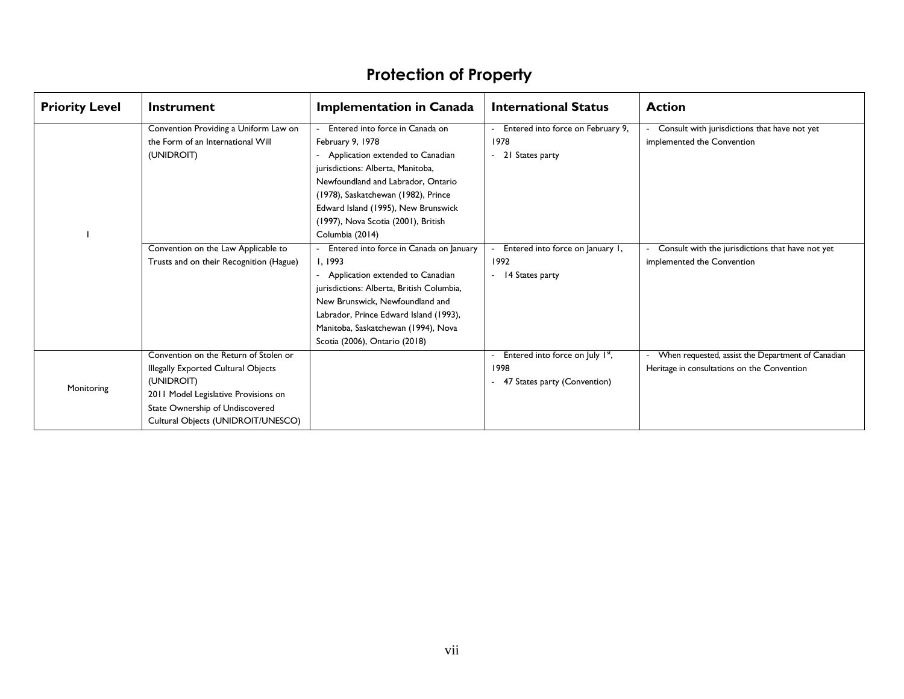| <b>Priority Level</b> | Instrument                                                                                                                                                                                                                                                                                                                                                                                                                                                                                                                                                                                                                                                                                                                                                                                                                                                                                         | <b>Implementation in Canada</b>   | <b>International Status</b>       | <b>Action</b>                                     |
|-----------------------|----------------------------------------------------------------------------------------------------------------------------------------------------------------------------------------------------------------------------------------------------------------------------------------------------------------------------------------------------------------------------------------------------------------------------------------------------------------------------------------------------------------------------------------------------------------------------------------------------------------------------------------------------------------------------------------------------------------------------------------------------------------------------------------------------------------------------------------------------------------------------------------------------|-----------------------------------|-----------------------------------|---------------------------------------------------|
|                       | Convention Providing a Uniform Law on                                                                                                                                                                                                                                                                                                                                                                                                                                                                                                                                                                                                                                                                                                                                                                                                                                                              | Entered into force in Canada on   | Entered into force on February 9, | Consult with jurisdictions that have not yet      |
|                       | the Form of an International Will                                                                                                                                                                                                                                                                                                                                                                                                                                                                                                                                                                                                                                                                                                                                                                                                                                                                  | February 9, 1978                  | 1978                              | implemented the Convention                        |
|                       | (UNIDROIT)                                                                                                                                                                                                                                                                                                                                                                                                                                                                                                                                                                                                                                                                                                                                                                                                                                                                                         | Application extended to Canadian  | 21 States party                   |                                                   |
|                       |                                                                                                                                                                                                                                                                                                                                                                                                                                                                                                                                                                                                                                                                                                                                                                                                                                                                                                    | jurisdictions: Alberta, Manitoba, |                                   |                                                   |
|                       | Newfoundland and Labrador, Ontario<br>(1978), Saskatchewan (1982), Prince<br>Edward Island (1995), New Brunswick<br>(1997), Nova Scotia (2001), British<br>Columbia (2014)<br>Convention on the Law Applicable to<br>Entered into force in Canada on January<br>Entered into force on January 1,<br>Trusts and on their Recognition (Hague)<br>I, 1993<br>1992<br>implemented the Convention<br>Application extended to Canadian<br>14 States party<br>jurisdictions: Alberta, British Columbia,<br>New Brunswick, Newfoundland and<br>Labrador, Prince Edward Island (1993),<br>Manitoba, Saskatchewan (1994), Nova<br>Scotia (2006), Ontario (2018)<br>Convention on the Return of Stolen or<br>Entered into force on July 1st,<br>1998<br><b>Illegally Exported Cultural Objects</b><br>Heritage in consultations on the Convention<br>(UNIDROIT)<br>47 States party (Convention)<br>Monitoring |                                   |                                   |                                                   |
|                       |                                                                                                                                                                                                                                                                                                                                                                                                                                                                                                                                                                                                                                                                                                                                                                                                                                                                                                    |                                   |                                   |                                                   |
|                       |                                                                                                                                                                                                                                                                                                                                                                                                                                                                                                                                                                                                                                                                                                                                                                                                                                                                                                    |                                   |                                   |                                                   |
|                       |                                                                                                                                                                                                                                                                                                                                                                                                                                                                                                                                                                                                                                                                                                                                                                                                                                                                                                    |                                   |                                   |                                                   |
|                       |                                                                                                                                                                                                                                                                                                                                                                                                                                                                                                                                                                                                                                                                                                                                                                                                                                                                                                    |                                   |                                   |                                                   |
|                       |                                                                                                                                                                                                                                                                                                                                                                                                                                                                                                                                                                                                                                                                                                                                                                                                                                                                                                    |                                   |                                   | Consult with the jurisdictions that have not yet  |
|                       |                                                                                                                                                                                                                                                                                                                                                                                                                                                                                                                                                                                                                                                                                                                                                                                                                                                                                                    |                                   |                                   |                                                   |
|                       |                                                                                                                                                                                                                                                                                                                                                                                                                                                                                                                                                                                                                                                                                                                                                                                                                                                                                                    |                                   |                                   |                                                   |
|                       |                                                                                                                                                                                                                                                                                                                                                                                                                                                                                                                                                                                                                                                                                                                                                                                                                                                                                                    |                                   |                                   |                                                   |
|                       |                                                                                                                                                                                                                                                                                                                                                                                                                                                                                                                                                                                                                                                                                                                                                                                                                                                                                                    |                                   |                                   |                                                   |
|                       |                                                                                                                                                                                                                                                                                                                                                                                                                                                                                                                                                                                                                                                                                                                                                                                                                                                                                                    |                                   |                                   |                                                   |
|                       |                                                                                                                                                                                                                                                                                                                                                                                                                                                                                                                                                                                                                                                                                                                                                                                                                                                                                                    |                                   |                                   |                                                   |
|                       |                                                                                                                                                                                                                                                                                                                                                                                                                                                                                                                                                                                                                                                                                                                                                                                                                                                                                                    |                                   |                                   |                                                   |
|                       |                                                                                                                                                                                                                                                                                                                                                                                                                                                                                                                                                                                                                                                                                                                                                                                                                                                                                                    |                                   |                                   | When requested, assist the Department of Canadian |
|                       |                                                                                                                                                                                                                                                                                                                                                                                                                                                                                                                                                                                                                                                                                                                                                                                                                                                                                                    |                                   |                                   |                                                   |
|                       |                                                                                                                                                                                                                                                                                                                                                                                                                                                                                                                                                                                                                                                                                                                                                                                                                                                                                                    |                                   |                                   |                                                   |
|                       | 2011 Model Legislative Provisions on                                                                                                                                                                                                                                                                                                                                                                                                                                                                                                                                                                                                                                                                                                                                                                                                                                                               |                                   |                                   |                                                   |
|                       | State Ownership of Undiscovered                                                                                                                                                                                                                                                                                                                                                                                                                                                                                                                                                                                                                                                                                                                                                                                                                                                                    |                                   |                                   |                                                   |
|                       | Cultural Objects (UNIDROIT/UNESCO)                                                                                                                                                                                                                                                                                                                                                                                                                                                                                                                                                                                                                                                                                                                                                                                                                                                                 |                                   |                                   |                                                   |

# **Protection of Property**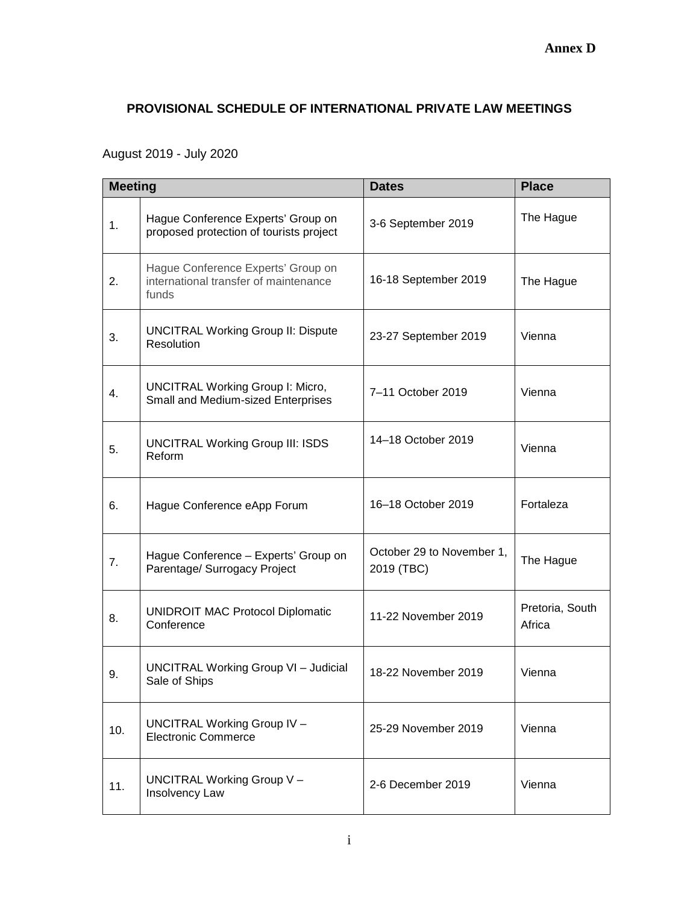## **PROVISIONAL SCHEDULE OF INTERNATIONAL PRIVATE LAW MEETINGS**

# August 2019 - July 2020

| <b>Meeting</b> |                                                                                      | <b>Dates</b>                            | <b>Place</b>              |
|----------------|--------------------------------------------------------------------------------------|-----------------------------------------|---------------------------|
| 1.             | Hague Conference Experts' Group on<br>proposed protection of tourists project        | 3-6 September 2019                      | The Hague                 |
| 2.             | Hague Conference Experts' Group on<br>international transfer of maintenance<br>funds | 16-18 September 2019                    | The Hague                 |
| 3.             | <b>UNCITRAL Working Group II: Dispute</b><br>Resolution                              | 23-27 September 2019                    | Vienna                    |
| 4.             | <b>UNCITRAL Working Group I: Micro,</b><br>Small and Medium-sized Enterprises        | 7-11 October 2019                       | Vienna                    |
| 5.             | <b>UNCITRAL Working Group III: ISDS</b><br>Reform                                    | 14-18 October 2019                      | Vienna                    |
| 6.             | Hague Conference eApp Forum                                                          | 16-18 October 2019                      | Fortaleza                 |
| 7.             | Hague Conference - Experts' Group on<br>Parentage/ Surrogacy Project                 | October 29 to November 1,<br>2019 (TBC) | The Hague                 |
| 8.             | <b>UNIDROIT MAC Protocol Diplomatic</b><br>Conference                                | 11-22 November 2019                     | Pretoria, South<br>Africa |
| 9.             | <b>UNCITRAL Working Group VI - Judicial</b><br>Sale of Ships                         | 18-22 November 2019                     | Vienna                    |
| 10.            | UNCITRAL Working Group IV -<br><b>Electronic Commerce</b>                            | 25-29 November 2019                     | Vienna                    |
| 11.            | UNCITRAL Working Group V -<br>Insolvency Law                                         | 2-6 December 2019                       | Vienna                    |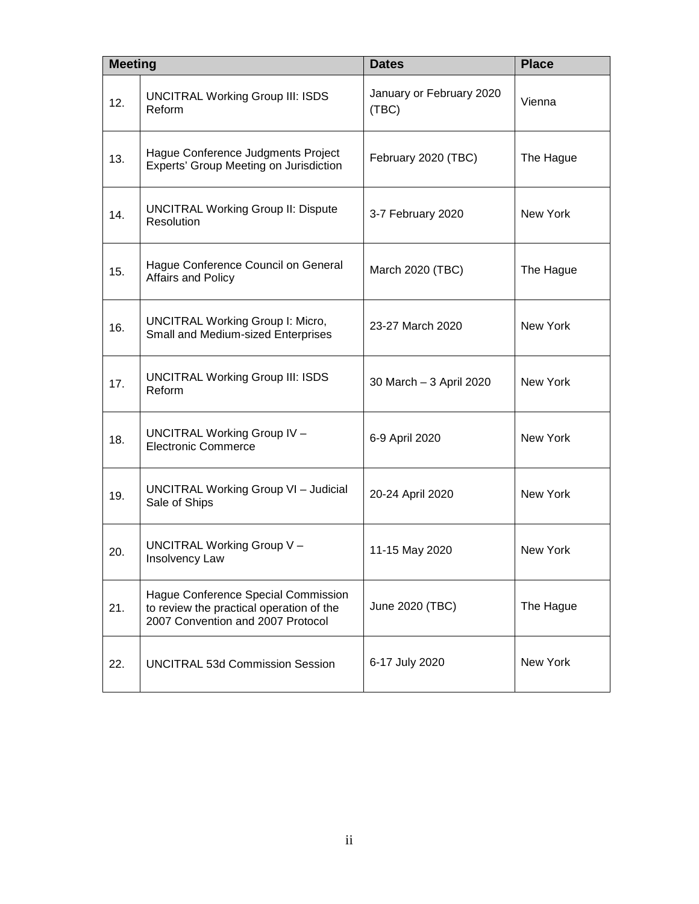| <b>Meeting</b> |                                                                                                                      | <b>Dates</b>                      | <b>Place</b> |
|----------------|----------------------------------------------------------------------------------------------------------------------|-----------------------------------|--------------|
| 12.            | <b>UNCITRAL Working Group III: ISDS</b><br>Reform                                                                    | January or February 2020<br>(TBC) | Vienna       |
| 13.            | Hague Conference Judgments Project<br>Experts' Group Meeting on Jurisdiction                                         | February 2020 (TBC)               | The Hague    |
| 14.            | <b>UNCITRAL Working Group II: Dispute</b><br>Resolution                                                              | 3-7 February 2020                 | New York     |
| 15.            | Hague Conference Council on General<br>Affairs and Policy                                                            | March 2020 (TBC)                  | The Hague    |
| 16.            | <b>UNCITRAL Working Group I: Micro,</b><br>Small and Medium-sized Enterprises                                        | 23-27 March 2020                  | New York     |
| 17.            | <b>UNCITRAL Working Group III: ISDS</b><br>Reform                                                                    | 30 March - 3 April 2020           | New York     |
| 18.            | <b>UNCITRAL Working Group IV -</b><br><b>Electronic Commerce</b>                                                     | 6-9 April 2020                    | New York     |
| 19.            | <b>UNCITRAL Working Group VI - Judicial</b><br>Sale of Ships                                                         | 20-24 April 2020                  | New York     |
| 20.            | UNCITRAL Working Group V -<br>Insolvency Law                                                                         | 11-15 May 2020                    | New York     |
| 21.            | Hague Conference Special Commission<br>to review the practical operation of the<br>2007 Convention and 2007 Protocol | June 2020 (TBC)                   | The Hague    |
| 22.            | <b>UNCITRAL 53d Commission Session</b>                                                                               | 6-17 July 2020                    | New York     |